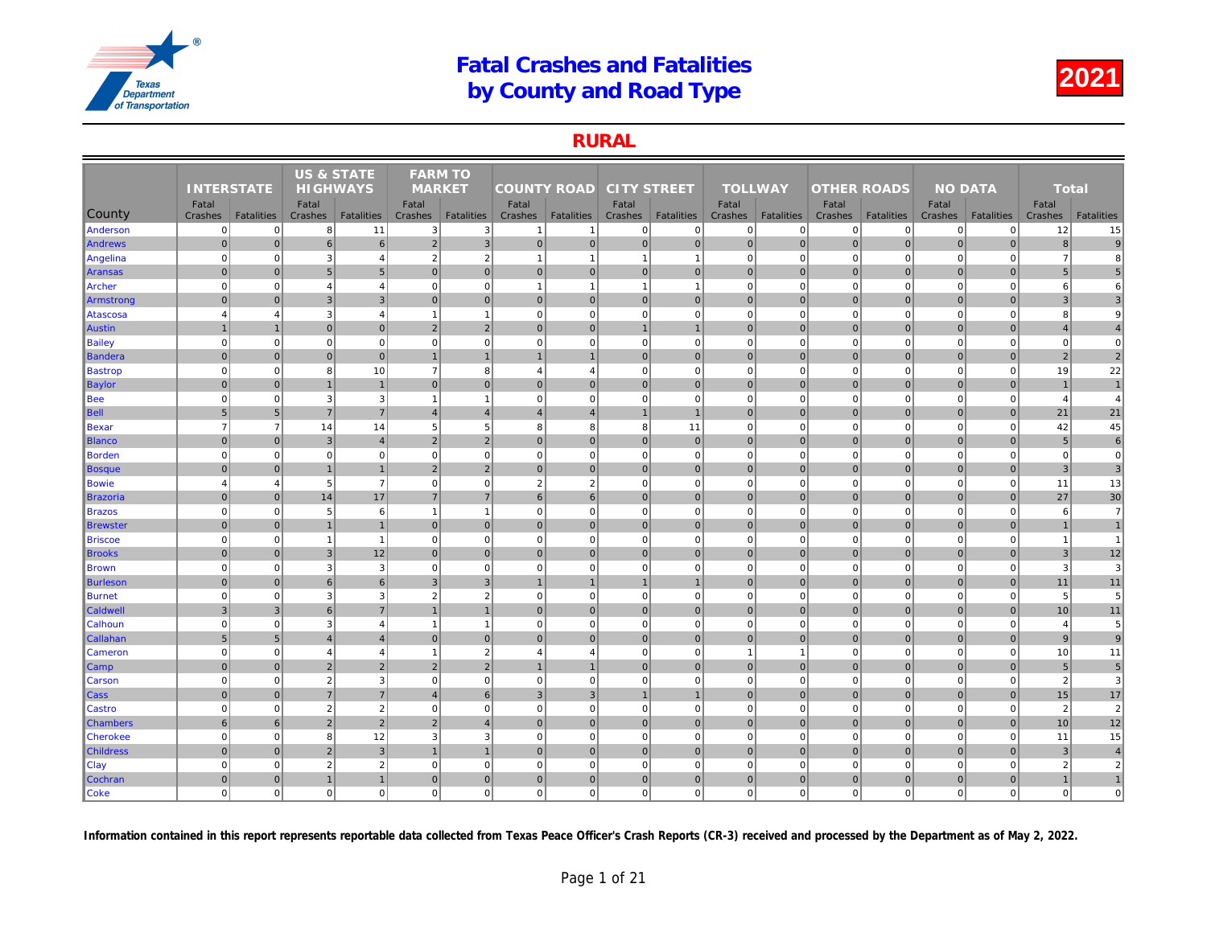### RURAL

|                 |                   |                   | <b>US &amp; STATE</b> |                   | <b>FARM TO</b>           |                   |                         |                |                    |                   |                |                   |                    |                   |     |
|-----------------|-------------------|-------------------|-----------------------|-------------------|--------------------------|-------------------|-------------------------|----------------|--------------------|-------------------|----------------|-------------------|--------------------|-------------------|-----|
|                 | <b>INTERSTATE</b> |                   | <b>HIGHWAYS</b>       |                   | <b>MARKET</b>            |                   | <b>COUNTY ROAD</b>      |                | <b>CITY STREET</b> |                   | <b>TOLLWAY</b> |                   | <b>OTHER ROADS</b> |                   |     |
|                 | Fatal             |                   | Fatal                 |                   | Fatal                    |                   | Fatal                   |                | Fatal              |                   | Fatal          |                   | Fatal              |                   |     |
| County          | Crashes           | <b>Fatalities</b> | Crashes               | <b>Fatalities</b> | Crashes                  | <b>Fatalities</b> | Crashes                 | Fatalities     | Crashes            | <b>Fatalities</b> | Crashes        | <b>Fatalities</b> | Crashes            | <b>Fatalities</b> | Cra |
| Anderson        | $\overline{0}$    | $\mathbf 0$       | 8                     | 11                | 3                        | 3                 | -1                      | -1             | $\mathbf{0}$       | $\overline{0}$    | 0              | $\Omega$          | 0                  | $\mathbf{0}$      |     |
| Andrews         | $\mathbf 0$       | $\mathbf{0}$      | $6\phantom{1}6$       | $6 \overline{6}$  | $\overline{2}$           | $\overline{3}$    | 0                       | $\mathbf 0$    | 0                  | $\overline{0}$    | $\mathbf 0$    | $\overline{0}$    | $\mathbf 0$        | $\overline{0}$    |     |
| Angelina        | $\mathbf 0$       | $\mathbf 0$       | 3                     | $\overline{4}$    | $\overline{2}$           | $\overline{2}$    | $\overline{1}$          | -1             | $\overline{1}$     | $\mathbf{1}$      | $\mathbf 0$    | $\mathbf 0$       | $\mathbf 0$        | $\mathbf 0$       |     |
| Aransas         | $\mathbf{0}$      | $\overline{0}$    | 5                     | 5 <sub>5</sub>    | $\Omega$                 | $\mathbf 0$       | $\overline{0}$          | $\overline{0}$ | $\overline{0}$     | $\overline{0}$    | $\mathbf 0$    | $\Omega$          | $\mathbf 0$        | $\overline{0}$    |     |
| Archer          | $\mathbf 0$       | $\mathbf 0$       | $\overline{4}$        | $\overline{4}$    | 0                        | $\mathbf 0$       | $\mathbf{1}$            | -1             | $\overline{1}$     | $\mathbf{1}$      | $\mathbf 0$    | $\mathbf 0$       | $\mathbf 0$        | $\mathbf 0$       |     |
| Armstrong       | $\mathbf{0}$      | $\Omega$          | 3                     | $\overline{3}$    | $\Omega$                 | $\mathbf{0}$      | $\overline{0}$          | $\overline{0}$ | $\overline{0}$     | $\mathbf{0}$      | $\mathbf{0}$   | $\Omega$          | $\mathbf{0}$       | $\overline{0}$    |     |
| Atascosa        | $\overline{4}$    | $\overline{4}$    | 3                     | $\overline{4}$    | $\overline{\phantom{a}}$ | $\overline{1}$    | $\mathbf{0}$            | $\mathbf 0$    | $\mathbf{0}$       | $\mathbf{0}$      | $\mathbf 0$    | $\mathbf 0$       | $\mathbf 0$        | $\mathbf 0$       |     |
| <b>Austin</b>   | $\mathbf{1}$      | $\overline{1}$    | $\mathbf{0}$          | $\overline{0}$    | $\overline{2}$           | $\overline{2}$    | $\overline{0}$          | $\overline{0}$ | $\mathbf{1}$       | $\mathbf{1}$      | $\mathbf{0}$   | $\mathbf{0}$      | $\mathbf 0$        | $\mathbf 0$       |     |
| Bailey          | $\mathbf 0$       | $\mathbf 0$       | $\Omega$              | $\overline{0}$    | $\mathbf 0$              | $\mathbf 0$       | 0                       | $\Omega$       | $\mathbf{0}$       | $\mathbf{0}$      | $\mathbf 0$    | $\mathbf 0$       | $\mathbf 0$        | $\mathbf 0$       |     |
| Bandera         | $\mathbf{0}$      | $\Omega$          | $\mathbf{0}$          | $\overline{0}$    |                          | $\overline{1}$    | $\overline{1}$          |                | $\overline{0}$     | $\overline{0}$    | $\Omega$       | $\Omega$          | $\mathbf{0}$       | $\overline{0}$    |     |
| Bastrop         | $\mathbf 0$       | $\mathbf 0$       | 8                     | 10                | $\overline{7}$           | 8                 | $\overline{4}$          | $\overline{4}$ | $\mathbf{0}$       | $\mathbf{0}$      | $\mathbf 0$    | $\mathbf 0$       | $\mathbf 0$        | $\mathbf 0$       |     |
| Baylor          | $\mathbf{0}$      | $\Omega$          | $\mathbf 1$           | $\mathbf{1}$      | $\mathbf{0}$             | $\mathbf{0}$      | $\overline{0}$          | $\overline{0}$ | $\overline{0}$     | $\overline{0}$    | $\mathbf{0}$   | $\Omega$          | $\mathbf 0$        | $\overline{0}$    |     |
| Bee             | $\mathbf 0$       | $\mathbf 0$       | 3                     | 3                 | -1                       | $\overline{1}$    | 0                       | $\mathbf 0$    | $\mathbf{0}$       | $\mathbf{0}$      | $\mathbf 0$    | $\mathbf 0$       | $\mathbf 0$        | $\overline{0}$    |     |
| Bell            | 5                 | 5                 | $\overline{7}$        | $\overline{7}$    | $\Delta$                 | $\overline{4}$    | $\overline{\mathbf{A}}$ | $\overline{4}$ | $\overline{1}$     | $\mathbf{1}$      | $\mathbf 0$    | $\Omega$          | $\mathbf{0}$       | $\Omega$          |     |
| Bexar           | $\overline{7}$    | $\overline{7}$    | 14                    | 14                | 5                        | 5                 | 8                       | 8              | 8                  | 11                | $\mathbf 0$    | $\mathbf 0$       | $\mathbf 0$        | $\mathbf 0$       |     |
| <b>Blanco</b>   | $\mathbf 0$       | $\mathbf 0$       | $\mathbf{3}$          | $\overline{4}$    | $\overline{2}$           | $\overline{2}$    | 0                       | $\mathbf 0$    | $\overline{0}$     | $\overline{0}$    | $\mathbf 0$    | $\overline{0}$    | $\mathbf 0$        | $\overline{0}$    |     |
| Borden          | $\mathbf 0$       | $\mathbf 0$       | $\Omega$              | $\mathbf{0}$      | $\mathbf 0$              | $\mathbf 0$       | 0                       | $\mathbf 0$    | $\mathbf{0}$       | $\mathbf 0$       | $\mathbf 0$    | $\mathbf 0$       | $\mathbf 0$        | $\overline{0}$    |     |
| Bosque          | $\mathbf{0}$      | $\Omega$          | $\overline{1}$        | $\overline{1}$    | 2                        | $\overline{2}$    | 0                       | $\overline{0}$ | $\overline{0}$     | $\overline{0}$    | $\mathbf{0}$   | $\mathbf{0}$      | $\mathbf 0$        | $\overline{0}$    |     |
| Bowie           | $\overline{4}$    | $\overline{4}$    | 5                     | $\overline{7}$    | $\mathbf 0$              | $\mathbf 0$       | $\overline{2}$          | $\overline{2}$ | $\mathbf{0}$       | $\mathbf 0$       | $\mathbf 0$    | $\Omega$          | $\mathbf 0$        | $\mathbf 0$       |     |
| Brazoria        | $\mathbf{0}$      | $\Omega$          | 14                    | 17                | $\overline{7}$           | $\overline{7}$    | 6                       | 6              | $\overline{0}$     | $\overline{0}$    | $\mathbf{0}$   | $\Omega$          | $\mathbf{0}$       | $\overline{0}$    |     |
| Brazos          | $\mathbf 0$       | $\mathbf 0$       | 5                     | $6 \overline{6}$  | $\overline{1}$           | $\overline{1}$    | $\overline{0}$          | $\mathbf 0$    | $\mathbf{0}$       | $\mathbf 0$       | $\mathbf 0$    | $\mathbf 0$       | $\mathbf 0$        | $\mathbf 0$       |     |
| ∥Brewster       | $\mathbf{0}$      | $\overline{0}$    | $\overline{1}$        | $\mathbf{1}$      | $\mathbf 0$              | $\mathbf{0}$      | $\overline{0}$          | $\overline{0}$ | $\overline{0}$     | $\overline{0}$    | $\mathbf 0$    | $\mathbf{0}$      | $\mathbf 0$        | $\overline{0}$    |     |
| <b>Briscoe</b>  | $\mathbf 0$       | $\mathbf 0$       | $\overline{1}$        | $\mathbf{1}$      | $\mathbf 0$              | $\mathbf 0$       | $\overline{0}$          | $\mathbf 0$    | $\mathbf{0}$       | $\mathbf 0$       | $\mathbf 0$    | $\mathbf 0$       | $\mathbf 0$        | $\mathbf 0$       |     |
| <b>Brooks</b>   | $\mathbf{0}$      | $\Omega$          | $\mathbf{3}$          | 12                | $\mathbf{0}$             | $\mathbf{0}$      | 0                       | $\overline{0}$ | $\overline{0}$     | $\overline{0}$    | $\mathbf{0}$   | $\overline{0}$    | $\mathbf 0$        | $\overline{0}$    |     |
| <b>Brown</b>    | $\mathbf 0$       | $\mathbf 0$       | 3                     | 3                 | $\mathbf 0$              | $\mathbf 0$       | $\overline{0}$          | $\mathbf 0$    | $\mathbf{0}$       | $\mathbf 0$       | $\mathbf 0$    | $\mathbf 0$       | $\mathbf 0$        | $\mathbf 0$       |     |
| Burleson        | $\mathbf{0}$      | $\overline{0}$    | 6                     | $6 \overline{6}$  | 3                        | $\mathbf{3}$      |                         |                | $\overline{1}$     | $\mathbf{1}$      | $\Omega$       | $\Omega$          | $\mathbf 0$        | $\overline{0}$    |     |
| Burnet          | $\mathbf 0$       | $\mathbf 0$       | 3                     | 3                 | $\overline{2}$           | $\overline{2}$    | $\overline{0}$          | $\mathbf 0$    | $\overline{0}$     | $\overline{0}$    | $\mathbf 0$    | $\mathbf 0$       | $\mathbf 0$        | $\Omega$          |     |
| <b>Caldwell</b> | $\mathbf{3}$      | 3                 | 6                     | $\overline{7}$    |                          | $\overline{1}$    | $\overline{0}$          | $\overline{0}$ | $\overline{0}$     | $\overline{0}$    | $\mathbf{0}$   | $\Omega$          | $\mathbf 0$        | $\mathbf 0$       |     |
| <b>Calhoun</b>  | $\overline{0}$    | $\mathbf 0$       | 3                     | $\overline{4}$    | $\overline{\phantom{a}}$ | $\overline{1}$    | 0                       | $\overline{0}$ | $\mathbf{0}$       | $\overline{0}$    | $\mathbf 0$    | $\mathbf 0$       | $\mathbf 0$        | $\mathbf 0$       |     |
| Callahan        | $\sqrt{5}$        | $\sqrt{5}$        | $\overline{4}$        | $\overline{4}$    | $\mathbf 0$              | $\mathbf 0$       | $\overline{0}$          | $\overline{0}$ | $\overline{0}$     | $\overline{0}$    | $\mathbf 0$    | $\overline{0}$    | $\mathbf 0$        | $\mathbf 0$       |     |
| <b>Cameron</b>  | $\mathbf 0$       | $\Omega$          | $\overline{4}$        | $\overline{4}$    | -1                       | $\overline{2}$    | $\overline{4}$          | $\overline{4}$ | $\overline{0}$     | $\mathbf{0}$      | $\overline{1}$ | $\mathbf{1}$      | $\mathbf 0$        | $\Omega$          |     |
| Camp            | $\mathbf 0$       | $\Omega$          | $\overline{2}$        | $\overline{2}$    | $\overline{2}$           | $\overline{2}$    | $\mathbf{1}$            |                | $\overline{0}$     | $\overline{0}$    | $\mathbf 0$    | $\overline{0}$    | $\mathbf 0$        | $\overline{0}$    |     |
| <b>Carson</b>   | $\mathbf 0$       | $\Omega$          | $\overline{2}$        | $\mathbf{3}$      | $\mathbf 0$              | $\mathbf 0$       | $\overline{0}$          | $\Omega$       | $\overline{0}$     | $\overline{0}$    | $\mathbf 0$    | $\Omega$          | $\mathbf 0$        | $\Omega$          |     |
| Cass            | $\mathbf 0$       | $\mathbf 0$       | $\overline{7}$        | $\overline{7}$    | $\overline{4}$           | 6                 | 3 <sup>1</sup>          | 3              | $\mathbf{1}$       | $\mathbf{1}$      | $\mathbf 0$    | $\mathbf 0$       | $\mathbf 0$        | $\mathbf 0$       |     |
| <b>Castro</b>   | $\mathbf 0$       | $\mathbf 0$       | $\overline{2}$        | $\overline{2}$    | $\mathbf 0$              | $\mathbf 0$       | 0                       | $\mathbf 0$    | $\overline{0}$     | $\overline{0}$    | $\mathbf 0$    | $\mathbf 0$       | $\mathbf 0$        | $\overline{0}$    |     |
| <b>Chambers</b> | 6                 | 6                 | $\overline{2}$        | $\overline{2}$    | $\overline{2}$           | $\overline{4}$    | $\overline{0}$          | $\mathbf 0$    | $\overline{0}$     | $\mathbf 0$       | $\mathbf 0$    | $\mathbf{0}$      | $\mathbf 0$        | $\overline{0}$    |     |
| <b>Cherokee</b> | $\mathbf 0$       | $\Omega$          | 8                     | 12                | 3                        | 3                 | $\overline{0}$          | $\mathbf 0$    | $\overline{0}$     | $\overline{0}$    | $\mathbf 0$    | $\Omega$          | $\mathbf 0$        | $\Omega$          |     |
| Childress       | $\mathbf 0$       | $\pmb{0}$         | $\overline{2}$        | $\mathbf{3}$      | $\mathbf{1}$             | $\mathbf{1}$      | 0                       | $\mathbf 0$    | $\overline{0}$     | $\overline{0}$    | $\mathbf 0$    | $\overline{0}$    | $\mathbf 0$        | $\overline{0}$    |     |
| <b>Clay</b>     | $\mathbf 0$       | $\mathbf 0$       | $\overline{2}$        | $\sqrt{2}$        | $\mathbf 0$              | $\mathbf 0$       | $\mathbf{0}$            | $\mathbf 0$    | $\mathbf{0}$       | $\mathbf 0$       | $\mathbf 0$    | $\mathbf 0$       | $\mathbf 0$        | $\mathbf 0$       |     |
| Cochran         | $\mathbf 0$       | $\overline{0}$    | $\overline{1}$        | $\mathbf{1}$      | $\mathbf 0$              | $\mathbf 0$       | $\overline{0}$          | $\overline{0}$ | $\overline{0}$     | $\overline{0}$    | $\mathbf 0$    | $\overline{0}$    | $\mathbf 0$        | $\overline{0}$    |     |
| <b>Coke</b>     | $\mathbf 0$       | $\mathbf 0$       | $\Omega$              | $\overline{0}$    | $\mathbf 0$              | $\mathbf 0$       | $\overline{0}$          | $\mathbf 0$    | $\overline{0}$     | $\Omega$          | $\mathbf 0$    | $\Omega$          | $\mathbf 0$        | $\mathbf{0}$      |     |
|                 |                   |                   |                       |                   |                          |                   |                         |                |                    |                   |                |                   |                    |                   |     |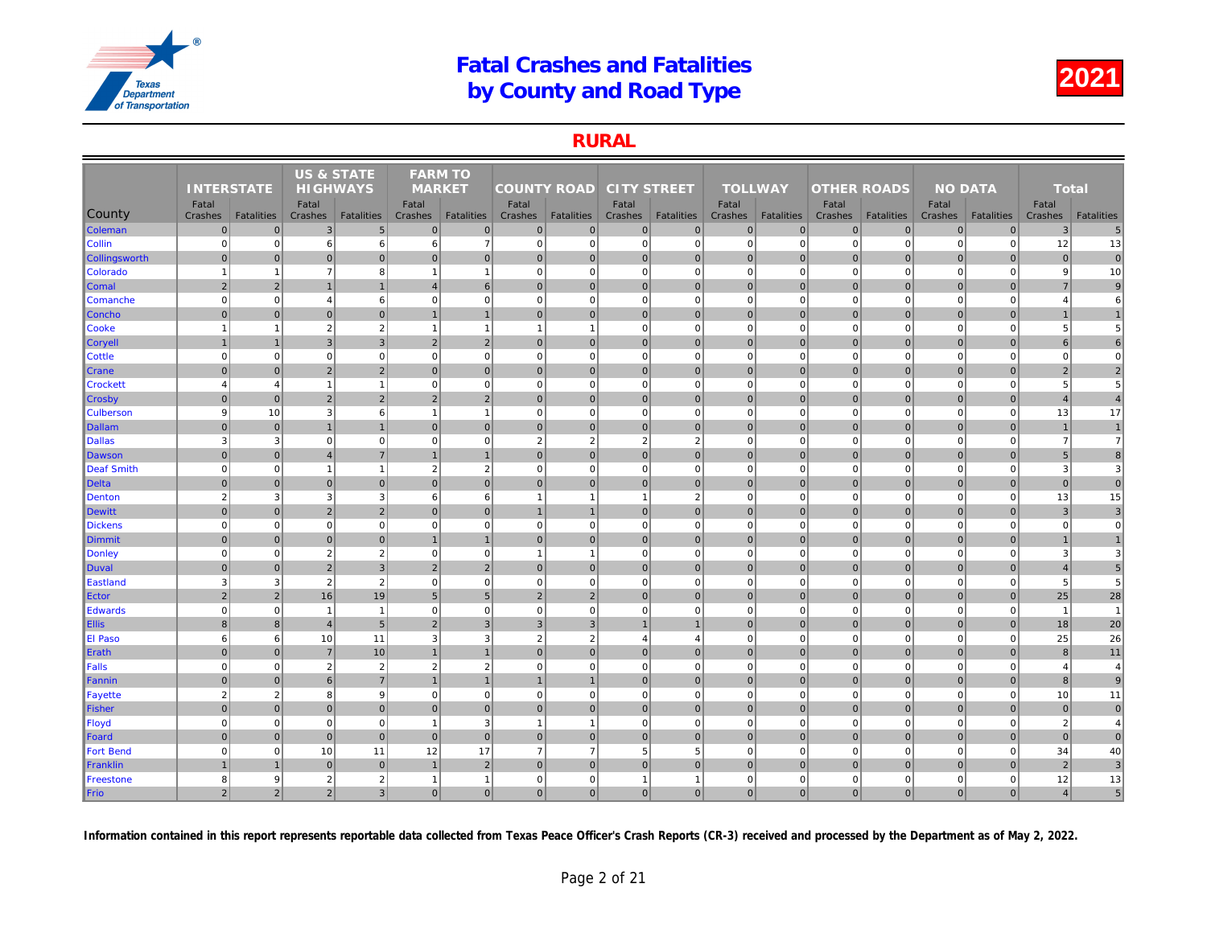### RURAL

|                  |                   |                   | <b>US &amp; STATE</b> |                   | <b>FARM TO</b> |                   |                    |                   |                    |                   |                |                   |                    |                   |     |
|------------------|-------------------|-------------------|-----------------------|-------------------|----------------|-------------------|--------------------|-------------------|--------------------|-------------------|----------------|-------------------|--------------------|-------------------|-----|
|                  | <b>INTERSTATE</b> |                   | <b>HIGHWAYS</b>       |                   | <b>MARKET</b>  |                   | <b>COUNTY ROAD</b> |                   | <b>CITY STREET</b> |                   | <b>TOLLWAY</b> |                   | <b>OTHER ROADS</b> |                   |     |
|                  | Fatal             |                   | Fatal                 |                   | Fatal          |                   | Fatal              |                   | Fatal              |                   | Fatal          |                   | Fatal              |                   |     |
| <b>County</b>    | Crashes           | <b>Fatalities</b> | Crashes               | <b>Fatalities</b> | Crashes        | <b>Fatalities</b> | Crashes            | <b>Fatalities</b> | Crashes            | <b>Fatalities</b> | Crashes        | <b>Fatalities</b> | Crashes            | <b>Fatalities</b> | Cra |
| Coleman          | $\mathbf 0$       | $\mathbf{0}$      | 3                     | $5\overline{)}$   | $\mathbf 0$    | $\mathbf 0$       | $\overline{0}$     | $\overline{0}$    | $\overline{0}$     | $\overline{0}$    | $\mathbf 0$    | $\mathbf{0}$      | $\mathbf 0$        | $\overline{0}$    |     |
| <b>Collin</b>    | $\mathbf 0$       | $\mathbf 0$       | 6                     | $6\phantom{.}$    | 6              | $\overline{7}$    | $\overline{0}$     | $\overline{0}$    | $\overline{0}$     | $\mathbf{0}$      | $\mathbf 0$    | $\mathbf 0$       | $\mathbf 0$        | $\mathbf 0$       |     |
| Collingsworth    | $\mathbf 0$       | $\Omega$          | $\mathbf 0$           | $\overline{0}$    | $\mathbf{0}$   | $\mathbf{0}$      | $\overline{0}$     | $\mathbf 0$       | $\overline{0}$     | $\overline{0}$    | $\mathbf{0}$   | $\Omega$          | $\mathbf 0$        | $\overline{0}$    |     |
| Colorado         | $\overline{1}$    | $\mathbf{1}$      | $\overline{7}$        | 8                 | $\overline{1}$ | $\mathbf{1}$      | 0                  | $\mathbf 0$       | $\overline{0}$     | $\overline{0}$    | $\mathbf 0$    | $\Omega$          | $\Omega$           | $\mathbf 0$       |     |
| <b>Comal</b>     | $\overline{2}$    | $\overline{2}$    | $\overline{1}$        | $\mathbf{1}$      | $\overline{4}$ | $6\phantom{1}6$   | 0                  | $\overline{0}$    | $\overline{0}$     | $\overline{0}$    | $\mathbf 0$    | $\mathbf 0$       | $\mathbf 0$        | $\overline{0}$    |     |
| Comanche         | $\Omega$          | $\mathbf 0$       | $\overline{4}$        | $6 \overline{6}$  | $\mathbf 0$    | $\mathbf 0$       | $\Omega$           | $\Omega$          | $\overline{0}$     | $\Omega$          | $\mathbf 0$    | $\mathbf 0$       | $\mathbf 0$        | $\Omega$          |     |
| <b>Concho</b>    | $\overline{0}$    | $\mathbf{0}$      | $\overline{0}$        | $\overline{0}$    | $\overline{1}$ | $\mathbf{1}$      | 0                  | $\mathbf 0$       | 0                  | $\overline{0}$    | $\mathbf 0$    | $\overline{0}$    | 0                  | $\overline{0}$    |     |
| <b>Cooke</b>     | $\overline{1}$    | 1                 | $\overline{2}$        | $\sqrt{2}$        | $\overline{1}$ | $\mathbf{1}$      | $\mathbf{1}$       | $\overline{1}$    | $\mathbf{0}$       | $\mathbf 0$       | $\mathbf 0$    | $\mathbf 0$       | $\mathbf 0$        | $\mathbf 0$       |     |
| <b>Coryell</b>   |                   |                   | $\overline{3}$        | $\overline{3}$    | 2              | $\overline{2}$    | $\overline{0}$     | $\overline{0}$    | $\overline{0}$     | $\mathbf{0}$      | $\mathbf{0}$   | $\mathbf{0}$      | $\mathbf{0}$       | $\overline{0}$    |     |
| <b>Cottle</b>    | $\Omega$          | $\Omega$          | $\mathbf 0$           | $\mathbf 0$       | $\mathbf 0$    | $\mathbf 0$       | $\overline{0}$     | $\Omega$          | $\mathbf{0}$       | $\mathbf{0}$      | $\mathbf 0$    | $\mathbf 0$       | $\mathbf 0$        | $\mathbf 0$       |     |
| <b>Crane</b>     | $\Omega$          | $\Omega$          | $\overline{2}$        | $\overline{2}$    | $\Omega$       | $\mathbf{0}$      | $\Omega$           | $\overline{0}$    | $\overline{0}$     | $\overline{0}$    | $\mathbf{0}$   | $\Omega$          | $\mathbf{0}$       | $\Omega$          |     |
| <b>Crockett</b>  | $\overline{4}$    | $\overline{4}$    | $\overline{1}$        | $\mathbf{1}$      | $\mathbf 0$    | $\mathbf 0$       | 0                  | $\mathbf 0$       | $\mathbf{0}$       | $\mathbf{0}$      | $\mathbf 0$    | $\mathbf 0$       | $\mathbf 0$        | $\Omega$          |     |
| ∥Crosby          | $\mathbf 0$       | $\mathbf 0$       | $\overline{2}$        | $\overline{2}$    | $\overline{2}$ | $\overline{2}$    | 0                  | $\mathbf 0$       | $\overline{0}$     | $\overline{0}$    | $\mathbf 0$    | $\overline{0}$    | $\mathbf 0$        | $\mathbf 0$       |     |
| <b>Culberson</b> | 9                 | 10                | 3                     | $6 \overline{6}$  | $\overline{1}$ | $\mathbf{1}$      | 0                  | $\mathbf 0$       | $\mathbf{0}$       | $\overline{0}$    | $\mathbf 0$    | $\mathbf 0$       | $\mathbf 0$        | $\mathbf{0}$      |     |
| Dallam           | $\mathbf 0$       | $\overline{0}$    | $\overline{1}$        | $\mathbf{1}$      | $\mathbf{0}$   | $\mathbf{0}$      | 0                  | $\overline{0}$    | $\overline{0}$     | $\overline{0}$    | $\mathbf{0}$   | $\overline{0}$    | $\mathbf 0$        | $\overline{0}$    |     |
| Dallas           | 3                 | 3                 | $\overline{0}$        | $\mathbf{0}$      | $\mathbf 0$    | $\mathbf 0$       | $\overline{2}$     | $\overline{2}$    | $\overline{2}$     | $\overline{2}$    | $\mathbf 0$    | $\mathbf 0$       | $\overline{0}$     | $\mathbf 0$       |     |
| Dawson           | $\mathbf{0}$      | $\Omega$          | $\overline{4}$        | $\overline{7}$    | $\mathbf{1}$   | $\mathbf{1}$      | $\overline{0}$     | $\mathbf 0$       | $\overline{0}$     | $\overline{0}$    | $\mathbf{0}$   | $\Omega$          | $\mathbf 0$        | $\overline{0}$    |     |
| Deaf Smith       | $\mathbf 0$       | $\mathbf 0$       | $\overline{1}$        | $\mathbf{1}$      | $\overline{2}$ | $\overline{2}$    | 0                  | $\mathbf 0$       | $\overline{0}$     | $\overline{0}$    | $\mathbf 0$    | $\Omega$          | $\mathbf 0$        | $\mathbf 0$       |     |
| Delta            | $\Omega$          | $\overline{0}$    | $\mathbf 0$           | $\overline{0}$    | $\mathbf 0$    | $\mathbf{0}$      | $\overline{0}$     | $\overline{0}$    | $\overline{0}$     | $\overline{0}$    | $\mathbf 0$    | $\overline{0}$    | $\mathbf 0$        | $\overline{0}$    |     |
| Denton           | $\overline{2}$    | 3                 | 3                     | $\mathbf{3}$      | 6              | 6                 | $\mathbf{1}$       |                   | $\overline{1}$     | 2                 | $\mathbf 0$    | $\Omega$          | $\Omega$           | $\Omega$          |     |
| Dewitt           | $\mathbf 0$       | $\pmb{0}$         | $\overline{2}$        | $\overline{2}$    | $\mathbf{0}$   | $\mathbf 0$       | $\mathbf{1}$       | $\overline{1}$    | 0                  | $\overline{0}$    | $\mathbf 0$    | $\overline{0}$    | $\mathbf 0$        | $\overline{0}$    |     |
| <b>Dickens</b>   | $\mathbf 0$       | $\mathbf 0$       | $\Omega$              | $\mathbf{0}$      | $\mathbf 0$    | $\mathbf 0$       | 0                  | $\mathbf 0$       | $\mathbf{0}$       | $\overline{0}$    | $\mathbf 0$    | $\mathbf 0$       | $\mathbf 0$        | $\mathbf 0$       |     |
| Dimmit           | $\mathbf{0}$      | $\Omega$          | $\mathbf{0}$          | $\overline{0}$    |                | $\overline{1}$    | 0                  | $\Omega$          | $\overline{0}$     | $\overline{0}$    | $\mathbf{0}$   | $\mathbf{0}$      | $\mathbf 0$        | $\overline{0}$    |     |
| Donley           | $\mathbf 0$       | $\mathbf 0$       | $\overline{2}$        | $\overline{2}$    | 0              | $\mathbf 0$       | $\mathbf{1}$       | -1                | $\mathbf{0}$       | $\mathbf{0}$      | $\mathbf 0$    | $\mathbf 0$       | $\mathbf 0$        | $\mathbf 0$       |     |
| Duval            | $\mathbf{0}$      | $\Omega$          | $\overline{2}$        | $\overline{3}$    | $\overline{2}$ | $\overline{2}$    | $\overline{0}$     | $\mathbf{0}$      | $\overline{0}$     | $\overline{0}$    | $\mathbf{0}$   | $\Omega$          | $\mathbf{0}$       | $\Omega$          |     |
| Eastland         | 3                 | 3                 | $\overline{2}$        | $\sqrt{2}$        | $\mathbf 0$    | $\mathbf 0$       | 0                  | $\mathbf 0$       | $\mathbf{0}$       | $\mathbf{0}$      | $\mathbf 0$    | $\mathbf 0$       | $\mathbf 0$        | $\mathbf 0$       |     |
| Ector            | $\overline{2}$    | $\overline{2}$    | 16                    | 19                | 5              | $5\phantom{.0}$   | 2                  | $\overline{2}$    | $\overline{0}$     | $\overline{0}$    | $\mathbf{0}$   | $\overline{0}$    | $\mathbf 0$        | $\mathbf 0$       |     |
| Edwards          | $\mathbf 0$       | $\pmb{0}$         | $\overline{1}$        | $\mathbf{1}$      | $\mathbf 0$    | $\mathbf 0$       | $\mathbf{0}$       | $\mathbf 0$       | $\mathbf{0}$       | $\overline{0}$    | $\mathbf 0$    | $\mathbf 0$       | $\mathbf 0$        | $\mathbf 0$       |     |
| <b>Ellis</b>     | $\bf{8}$          | $\mathbf{8}$      | $\overline{4}$        | 5 <sup>5</sup>    | 2              | $\overline{3}$    | 3 <sup>1</sup>     | $\overline{3}$    | $\overline{1}$     | $\mathbf{1}$      | $\mathbf{0}$   | $\Omega$          | $\mathbf{0}$       | $\overline{0}$    |     |
| <b>El Paso</b>   | 6                 | 6                 | 10                    | 11                | 3              | 3                 | $\overline{2}$     | $\overline{2}$    | $\overline{4}$     | $\overline{4}$    | $\mathbf 0$    | $\Omega$          | $\overline{0}$     | $\Omega$          |     |
| Erath            | $\mathbf 0$       | $\overline{0}$    | $\overline{7}$        | 10                |                | $\overline{1}$    | $\overline{0}$     | $\mathbf 0$       | $\overline{0}$     | $\overline{0}$    | $\mathbf 0$    | $\mathbf 0$       | $\mathbf{0}$       | $\mathbf 0$       |     |
| Falls            | $\mathbf 0$       | $\mathbf 0$       | $\overline{2}$        | $\overline{2}$    | $\overline{2}$ | $\overline{2}$    | 0                  | $\mathbf 0$       | $\overline{0}$     | $\overline{0}$    | $\mathbf 0$    | $\Omega$          | $\overline{0}$     | $\mathbf 0$       |     |
| Fannin           | $\mathbf 0$       | $\overline{0}$    | 6                     | $\sqrt{7}$        |                | $\overline{1}$    | $\mathbf{1}$       | $\overline{1}$    | $\overline{0}$     | $\overline{0}$    | $\mathbf 0$    | $\overline{0}$    | $\mathbf 0$        | $\overline{0}$    |     |
| <b>Fayette</b>   | $\overline{2}$    | $\overline{2}$    | 8                     | 9                 | $\mathbf 0$    | $\mathbf 0$       | $\overline{0}$     | $\overline{0}$    | $\overline{0}$     | $\overline{0}$    | $\mathbf 0$    | $\mathbf 0$       | $\overline{0}$     | $\Omega$          |     |
| Fisher           | $\overline{0}$    | $\pmb{0}$         | $\overline{0}$        | $\overline{0}$    | $\mathbf 0$    | $\overline{0}$    | 0                  | $\mathbf 0$       | $\overline{0}$     | $\overline{0}$    | $\mathbf 0$    | $\overline{0}$    | $\mathbf 0$        | $\overline{0}$    |     |
| Floyd            | $\mathbf 0$       | $\mathbf 0$       | $\mathbf 0$           | $\mathbf{0}$      | $\overline{1}$ | 3                 | $\mathbf{1}$       | $\overline{1}$    | $\mathbf{0}$       | $\mathbf 0$       | $\mathbf 0$    | $\mathbf 0$       | $\mathbf 0$        | $\mathbf 0$       |     |
| Foard            | $\Omega$          | $\Omega$          | $\mathbf{0}$          | $\overline{0}$    | $\mathbf{0}$   | $\mathbf{0}$      | $\overline{0}$     | $\overline{0}$    | $\overline{0}$     | $\mathbf{0}$      | $\mathbf{0}$   | $\Omega$          | $\mathbf{0}$       | $\Omega$          |     |
| <b>Fort Bend</b> | $\mathbf 0$       | $\mathbf 0$       | 10                    | 11                | 12             | 17                | $\overline{7}$     | $\overline{7}$    | $5\overline{5}$    | 5                 | $\mathbf 0$    | $\mathbf 0$       | $\mathbf 0$        | $\mathbf 0$       |     |
| Franklin         |                   | $\overline{1}$    | $\mathbf 0$           | $\overline{0}$    | $\overline{1}$ | $\overline{2}$    | 0                  | $\mathbf{0}$      | $\overline{0}$     | $\overline{0}$    | $\mathbf{0}$   | $\overline{0}$    | $\mathbf 0$        | $\Omega$          |     |
| Freestone        | 8                 | 9                 | $\overline{2}$        | $\sqrt{2}$        | $\overline{1}$ | $\overline{1}$    | 0                  | $\mathbf 0$       | $\overline{1}$     | $\mathbf{1}$      | $\pmb{0}$      | $\mathbf 0$       | $\mathbf 0$        | $\mathbf 0$       |     |
| Frio             | $\overline{2}$    | $\overline{2}$    | 2                     | $\overline{3}$    | $\mathbf{0}$   | $\overline{0}$    | 0                  | $\Omega$          | 0                  | $\overline{0}$    | $\mathbf{0}$   | $\overline{0}$    | $\mathbf{0}$       | $\Omega$          |     |
|                  |                   |                   |                       |                   |                |                   |                    |                   |                    |                   |                |                   |                    |                   |     |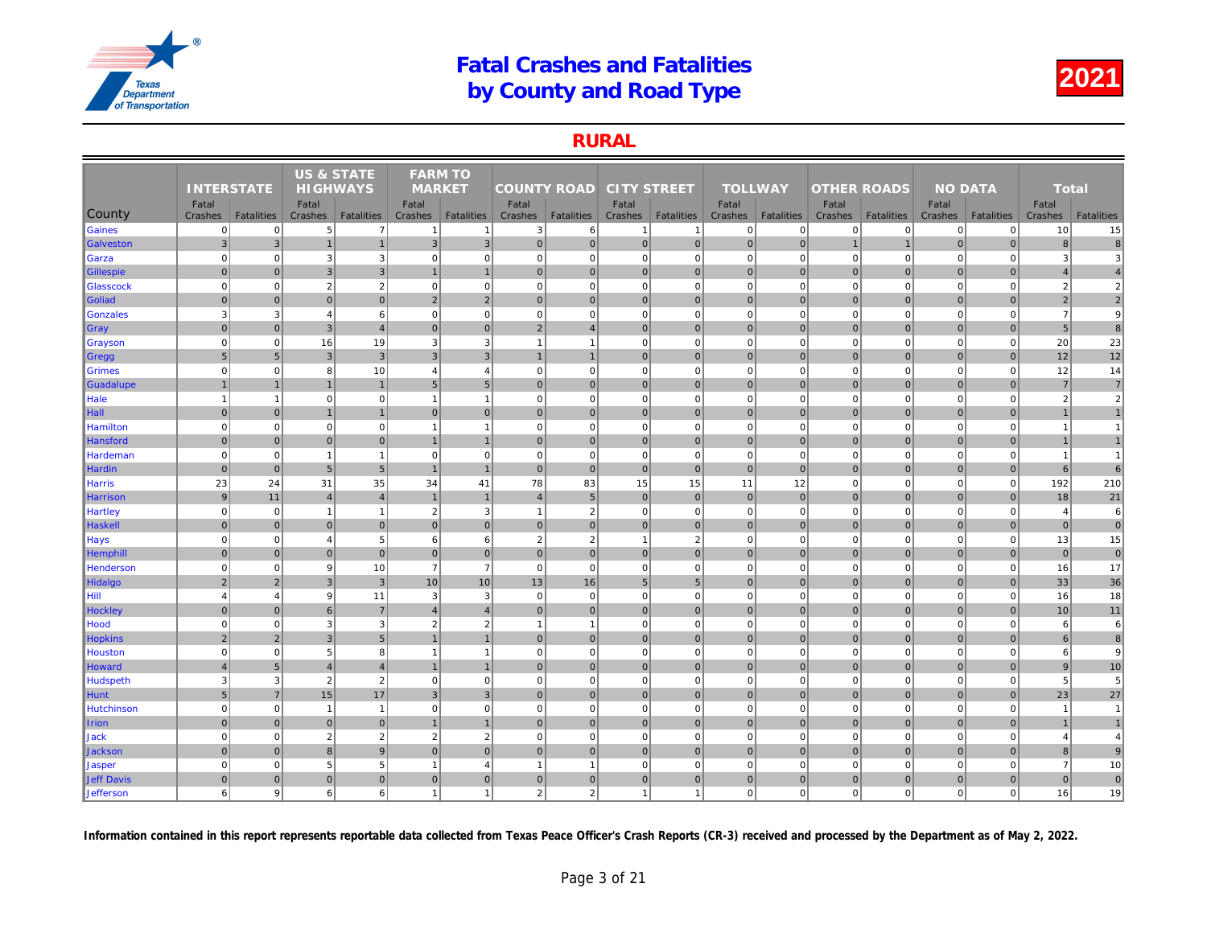### RURAL

|                  |                           |                   | <b>US &amp; STATE</b> |                                     | <b>FARM TO</b>           |                               |                    |                        |                    |                   |                |                               |                    |                   |     |
|------------------|---------------------------|-------------------|-----------------------|-------------------------------------|--------------------------|-------------------------------|--------------------|------------------------|--------------------|-------------------|----------------|-------------------------------|--------------------|-------------------|-----|
|                  | <b>INTERSTATE</b>         |                   | <b>HIGHWAYS</b>       |                                     | <b>MARKET</b>            |                               | <b>COUNTY ROAD</b> |                        | <b>CITY STREET</b> |                   | <b>TOLLWAY</b> |                               | <b>OTHER ROADS</b> |                   |     |
|                  | Fatal                     |                   | Fatal                 |                                     | Fatal                    |                               | Fatal              |                        | Fatal              |                   | Fatal          |                               | Fatal              |                   |     |
| County           | Crashes<br>$\overline{0}$ | <b>Fatalities</b> | Crashes<br>5          | <b>Fatalities</b><br>$\overline{7}$ | Crashes                  | <b>Fatalities</b>             | Crashes            | <b>Fatalities</b><br>6 | Crashes            | <b>Fatalities</b> | Crashes        | <b>Fatalities</b><br>$\Omega$ | Crashes<br> 0      | <b>Fatalities</b> | Cra |
| Gaines           |                           | $\Omega$          |                       |                                     |                          | $\mathbf{1}$                  | 3                  |                        | -1                 | $\mathbf{1}$      | $\mathbf 0$    |                               |                    | $\overline{0}$    |     |
| Galveston        | $\mathbf{3}$              | $\mathbf{3}$      | $\overline{1}$        | $\mathbf{1}$                        | $\mathbf{3}$             | 3                             | 0                  | $\mathbf 0$            | 0                  | 0                 | $\mathbf 0$    | $\overline{0}$                | $\overline{1}$     | $\mathbf{1}$      |     |
| Garza            | $\mathbf 0$               | $\mathbf 0$       | 3                     | $\mathbf{3}$                        | $\mathbf 0$              | $\mathbf 0$<br>$\overline{1}$ | 0                  | $\mathbf 0$            | $\mathbf{0}$       | $\mathbf{0}$      | $\mathbf 0$    | $\Omega$                      | $\mathbf 0$        | $\mathbf 0$       |     |
| Gillespie        | $\mathbf 0$               | $\overline{0}$    | 3                     | $\mathbf{3}$                        |                          |                               | 0                  | $\overline{0}$         | $\overline{0}$     | $\overline{0}$    | $\mathbf 0$    | $\mathbf{0}$                  | $\mathbf 0$        | $\overline{0}$    |     |
| <b>Glasscock</b> | $\mathbf 0$               | $\Omega$          | $\overline{2}$        | $\overline{2}$                      | $\mathbf 0$              | $\mathbf 0$                   | $\overline{0}$     | $\Omega$               | $\mathbf{0}$       | $\mathbf 0$       | $\mathbf 0$    | $\Omega$                      | $\mathbf 0$        | $\mathbf 0$       |     |
| Goliad           | $\mathbf 0$               | $\overline{0}$    | $\mathbf 0$           | $\overline{0}$                      | 2                        | $\overline{2}$                | 0                  | $\mathbf 0$            | $\overline{0}$     | $\overline{0}$    | $\mathbf 0$    | $\Omega$                      | $\mathbf 0$        | $\overline{0}$    |     |
| Gonzales         | 3                         | 3                 | $\overline{4}$        | 6<br>$\overline{4}$                 | $\mathbf 0$              | $\mathbf 0$                   | 0                  | $\mathbf 0$            | $\mathbf{0}$       | $\mathbf{0}$      | $\mathbf 0$    | $\mathbf 0$                   | $\mathbf 0$        | $\mathbf 0$       |     |
| ∥Gray            | $\mathbf 0$               | $\mathbf 0$       | $\mathbf{3}$          |                                     | $\mathbf{0}$             | $\mathbf{0}$                  | $\overline{2}$     | $\overline{4}$         | $\overline{0}$     | $\overline{0}$    | $\mathbf{0}$   | $\mathbf{0}$                  | $\mathbf 0$        | $\overline{0}$    |     |
| <b>Grayson</b>   | $\Omega$                  | $\mathbf 0$       | 16                    | 19                                  | 3                        | 3                             | $\mathbf{1}$       | -1                     | $\mathbf{0}$       | $\mathbf{0}$      | $\mathbf 0$    | $\mathbf 0$                   | $\mathbf 0$        | $\mathbf 0$       |     |
| ∥Gregg           | 5                         | 5                 | $\overline{3}$        | $\overline{3}$                      | 3                        | $\overline{3}$                | $\mathbf{1}$       | $\overline{1}$         | 0                  | $\overline{0}$    | $\mathbf{0}$   | $\overline{0}$                | $\mathbf{0}$       | $\overline{0}$    |     |
| <b>Grimes</b>    | $\mathbf 0$               | $\mathbf 0$       | 8                     | 10                                  | $\overline{4}$           | $\overline{4}$                | $\mathbf{0}$       | $\mathbf 0$            | $\mathbf{0}$       | $\mathbf 0$       | $\mathbf 0$    | $\mathbf 0$                   | $\mathbf 0$        | $\mathbf 0$       |     |
| Guadalupe        | $\mathbf{1}$              | $\overline{1}$    | $\overline{1}$        | $\mathbf{1}$                        | 5                        | $5\phantom{.0}$               | $\overline{0}$     | $\overline{0}$         | $\overline{0}$     | $\overline{0}$    | $\mathbf{0}$   | $\Omega$                      | $\mathbf 0$        | $\overline{0}$    |     |
| Hale             | $\overline{1}$            | -1                | $\mathbf 0$           | $\mathbf{0}$                        | -1                       | $\overline{1}$                | $\mathbf{0}$       | $\mathbf 0$            | $\mathbf{0}$       | $\mathbf{0}$      | $\mathbf 0$    | $\mathbf 0$                   | $\mathbf 0$        | $\mathbf 0$       |     |
| $\ $ Hall        | $\mathbf{0}$              | $\Omega$          | $\overline{1}$        | $\mathbf{1}$                        | $\Omega$                 | $\mathbf{0}$                  | $\overline{0}$     | $\overline{0}$         | $\overline{0}$     | $\overline{0}$    | $\mathbf{0}$   | $\Omega$                      | $\mathbf{0}$       | $\Omega$          |     |
| Hamilton         | $\mathbf 0$               | $\mathbf 0$       | $\mathbf 0$           | $\mathbf{0}$                        | $\overline{\phantom{a}}$ | $\overline{1}$                | $\overline{0}$     | $\mathbf 0$            | $\mathbf{0}$       | $\overline{0}$    | $\mathbf 0$    | $\mathbf 0$                   | $\mathbf 0$        | $\Omega$          |     |
| Hansford         | $\mathbf 0$               | $\overline{0}$    | $\mathbf 0$           | $\mathbf 0$                         | $\mathbf{1}$             | $\mathbf{1}$                  | 0                  | $\overline{0}$         | $\overline{0}$     | $\overline{0}$    | $\mathbf 0$    | $\overline{0}$                | $\pmb{0}$          | $\mathbf 0$       |     |
| Hardeman         | $\mathbf 0$               | $\mathbf 0$       | $\overline{1}$        | $\mathbf{1}$                        | $\mathbf 0$              | $\mathbf 0$                   | 0                  | $\mathbf 0$            | $\mathbf{0}$       | $\mathbf{0}$      | $\mathbf 0$    | $\mathbf 0$                   | $\mathbf 0$        | $\mathbf{0}$      |     |
| Hardin           | $\mathbf 0$               | $\pmb{0}$         | $5\phantom{1}$        | 5 <sub>5</sub>                      |                          | $\overline{1}$                | 0                  | $\overline{0}$         | $\overline{0}$     | $\overline{0}$    | $\mathbf 0$    | $\overline{0}$                | $\mathbf 0$        | $\overline{0}$    |     |
| Harris           | 23                        | 24                | 31                    | 35                                  | 34                       | 41                            | 78                 | 83                     | 15                 | 15                | 11             | 12                            | $\mathbf 0$        | $\mathbf 0$       |     |
| Harrison         | 9                         | 11                | $\overline{4}$        | $\overline{4}$                      | $\overline{1}$           | $\mathbf{1}$                  | $\overline{4}$     | 5                      | $\overline{0}$     | $\overline{0}$    | $\mathbf 0$    | $\mathbf{0}$                  | $\mathbf 0$        | $\overline{0}$    |     |
| <b>Hartley</b>   | $\mathbf 0$               | $\mathbf 0$       | $\overline{1}$        | $\mathbf{1}$                        | $\overline{2}$           | 3                             | $\mathbf{1}$       | $\overline{2}$         | $\overline{0}$     | $\overline{0}$    | $\mathbf 0$    | $\mathbf 0$                   | $\mathbf 0$        | $\mathbf 0$       |     |
| Haskell          | $\mathbf{0}$              | $\overline{0}$    | $\mathbf 0$           | $\overline{0}$                      | $\mathbf{0}$             | $\mathbf{0}$                  | 0                  | $\overline{0}$         | $\overline{0}$     | $\overline{0}$    | $\mathbf 0$    | $\overline{0}$                | $\mathbf 0$        | $\overline{0}$    |     |
| <b>Hays</b>      | $\mathbf 0$               | $\mathbf 0$       | $\overline{4}$        | $\sqrt{5}$                          | 6                        | $6\phantom{1}$                | $\overline{2}$     | $\overline{2}$         | $\overline{1}$     | $\overline{2}$    | $\mathbf 0$    | $\mathbf 0$                   | $\mathbf 0$        | $\mathbf 0$       |     |
| <b>Hemphill</b>  | $\overline{0}$            | $\mathbf{0}$      | $\overline{0}$        | $\overline{0}$                      | $\mathbf{0}$             | $\mathbf{0}$                  | 0                  | $\mathbf 0$            | 0                  | $\overline{0}$    | $\mathbf{0}$   | $\overline{0}$                | $\mathbf 0$        | $\overline{0}$    |     |
| Henderson        | $\mathbf 0$               | $\mathbf 0$       | 9                     | 10                                  | $\overline{7}$           | $\overline{7}$                | 0                  | $\mathbf 0$            | $\mathbf{0}$       | $\mathbf 0$       | $\mathbf 0$    | $\mathbf 0$                   | $\mathbf 0$        | $\mathbf 0$       |     |
| Hidalgo          | $\overline{2}$            | $\overline{2}$    | $\mathbf{3}$          | $\overline{3}$                      | 10                       | 10                            | 13                 | 16                     | 5 <sup>5</sup>     | 5 <sub>5</sub>    | $\mathbf{0}$   | $\mathbf{0}$                  | $\mathbf 0$        | $\overline{0}$    |     |
| Hill             | $\overline{4}$            | $\overline{4}$    | 9                     | 11                                  | 3                        | 3                             | $\Omega$           | $\mathbf 0$            | $\overline{0}$     | $\Omega$          | $\mathbf 0$    | $\Omega$                      | $\Omega$           | $\Omega$          |     |
| <b>Hockley</b>   | $\mathbf{0}$              | $\Omega$          | 6                     | $\overline{7}$                      | $\overline{4}$           | $\overline{4}$                | 0                  | $\mathbf 0$            | $\overline{0}$     | $\overline{0}$    | $\mathbf{0}$   | $\Omega$                      | $\mathbf 0$        | $\overline{0}$    |     |
| Hood             | $\mathbf 0$               | $\mathbf 0$       | 3                     | 3                                   | $\overline{2}$           | $\overline{2}$                | $\mathbf{1}$       | $\overline{1}$         | $\mathbf{0}$       | $\mathbf{0}$      | $\mathbf 0$    | $\mathbf 0$                   | $\mathbf 0$        | $\mathbf 0$       |     |
| <b>Hopkins</b>   | $\overline{2}$            | $\overline{2}$    | $\mathbf{3}$          | $5\overline{)}$                     |                          | $\mathbf{1}$                  | 0                  | $\overline{0}$         | $\overline{0}$     | $\overline{0}$    | $\mathbf 0$    | $\mathbf{0}$                  | $\pmb{0}$          | $\mathbf 0$       |     |
| Houston          | $\Omega$                  | $\Omega$          | 5                     | 8                                   | $\overline{\phantom{a}}$ | $\overline{1}$                | $\Omega$           | $\Omega$               | $\overline{0}$     | $\Omega$          | $\mathbf 0$    | $\mathbf 0$                   | $\Omega$           | $\Omega$          |     |
| Howard           | $\overline{4}$            | 5                 | $\overline{4}$        | $\overline{4}$                      |                          | $\overline{1}$                | 0                  | $\overline{0}$         | $\overline{0}$     | $\overline{0}$    | $\mathbf{0}$   | $\overline{0}$                | $\mathbf 0$        | $\overline{0}$    |     |
| Hudspeth         | 3                         | 3                 | $\overline{2}$        | $\overline{2}$                      | $\mathbf 0$              | $\mathbf 0$                   | $\overline{0}$     | $\Omega$               | $\mathbf{0}$       | $\overline{0}$    | $\mathbf 0$    | $\mathbf 0$                   | $\mathbf 0$        | $\Omega$          |     |
| Hunt             | $\sqrt{5}$                | $\overline{7}$    | 15                    | 17                                  | 3                        | $\mathbf{3}$                  | $\overline{0}$     | $\mathbf 0$            | $\overline{0}$     | $\overline{0}$    | $\mathbf 0$    | $\mathbf 0$                   | $\mathbf 0$        | $\mathbf 0$       |     |
| Hutchinson       | $\mathbf 0$               | $\mathbf 0$       | $\overline{1}$        | $\mathbf{1}$                        | $\mathbf 0$              | $\mathbf 0$                   | 0                  | $\mathbf 0$            | $\overline{0}$     | $\overline{0}$    | $\mathbf 0$    | $\mathbf 0$                   | $\mathbf 0$        | $\overline{0}$    |     |
| <b>Irion</b>     | $\mathbf 0$               | $\overline{0}$    | $\overline{0}$        | $\overline{0}$                      |                          | $\mathbf{1}$                  | $\overline{0}$     | $\overline{0}$         | $\overline{0}$     | $\overline{0}$    | $\mathbf 0$    | $\overline{0}$                | $\mathbf 0$        | $\overline{0}$    |     |
| Jack             | $\mathbf 0$               | $\Omega$          | $\overline{2}$        | $\overline{2}$                      | $\overline{2}$           | $\overline{2}$                | 0                  | $\mathbf 0$            | $\mathbf{0}$       | $\overline{0}$    | $\mathbf 0$    | $\mathbf 0$                   | $\mathbf 0$        | $\mathbf 0$       |     |
| <b>Jackson</b>   | $\pmb{0}$                 | $\mathbf 0$       | $\bf8$                | 9                                   | $\mathbf 0$              | $\mathbf 0$                   | 0                  | $\mathbf 0$            | $\overline{0}$     | $\overline{0}$    | $\mathbf 0$    | $\overline{0}$                | $\pmb{0}$          | $\overline{0}$    |     |
| <b>Jasper</b>    | $\mathbf 0$               | $\mathbf 0$       | 5                     | 5                                   | -1                       | $\overline{4}$                | $\mathbf{1}$       | -1                     | $\overline{0}$     | $\mathbf 0$       | $\mathbf 0$    | $\mathbf 0$                   | $\mathbf 0$        | $\overline{0}$    |     |
| Jeff Davis       | $\mathbf 0$               | $\mathbf{0}$      | $\mathbf{0}$          | $\overline{0}$                      | $\mathbf{0}$             | $\mathbf{0}$                  | $\overline{0}$     | $\overline{0}$         | $\overline{0}$     | $\overline{0}$    | $\mathbf 0$    | $\overline{0}$                | $\mathbf 0$        | $\mathbf{0}$      |     |
| Jefferson        | 6                         | 9                 | 6                     | $6 \overline{6}$                    | $\overline{\phantom{a}}$ | $\overline{1}$                | $\overline{2}$     | $\overline{2}$         | $\overline{1}$     | $\mathbf{1}$      | $\mathbf 0$    | $\mathbf 0$                   | $\mathbf 0$        | $\mathbf{0}$      |     |
|                  |                           |                   |                       |                                     |                          |                               |                    |                        |                    |                   |                |                               |                    |                   |     |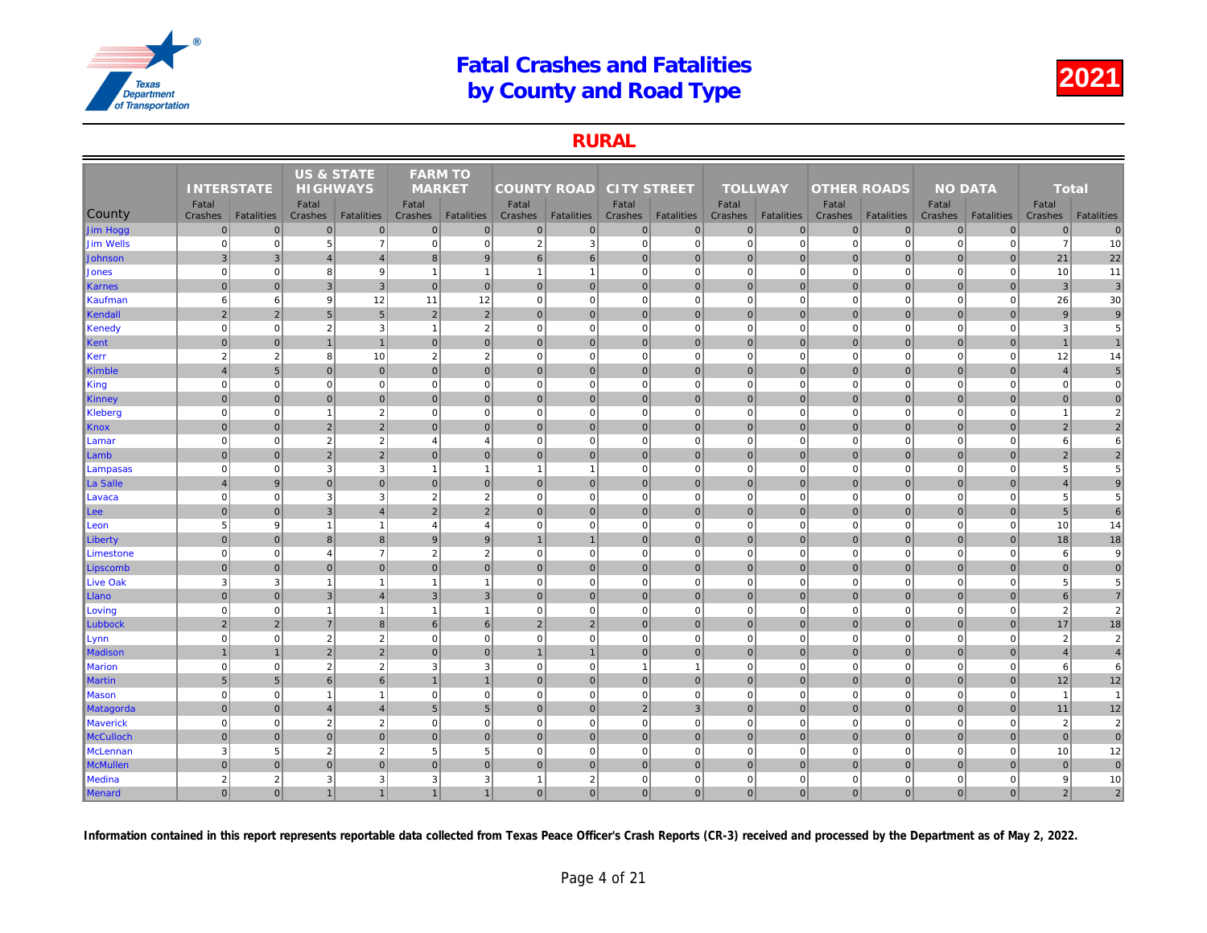### RURAL

|                  |                   |                   | <b>US &amp; STATE</b> |                   | <b>FARM TO</b>  |                   |                    |                   |                    |                   |                |                   |                    |                   |     |
|------------------|-------------------|-------------------|-----------------------|-------------------|-----------------|-------------------|--------------------|-------------------|--------------------|-------------------|----------------|-------------------|--------------------|-------------------|-----|
|                  | <b>INTERSTATE</b> |                   | <b>HIGHWAYS</b>       |                   | <b>MARKET</b>   |                   | <b>COUNTY ROAD</b> |                   | <b>CITY STREET</b> |                   | <b>TOLLWAY</b> |                   | <b>OTHER ROADS</b> |                   |     |
|                  | Fatal             |                   | Fatal                 |                   | Fatal           |                   | Fatal              |                   | Fatal              |                   | Fatal          |                   | Fatal              |                   |     |
| County           | Crashes           | <b>Fatalities</b> | Crashes               | <b>Fatalities</b> | <b>Crashes</b>  | <b>Fatalities</b> | Crashes            | <b>Fatalities</b> | Crashes            | <b>Fatalities</b> | <b>Crashes</b> | <b>Fatalities</b> | Crashes            | <b>Fatalities</b> | Cra |
| Jim Hogg         | $\pmb{0}$         | $\mathbf 0$       | $\mathbf 0$           | $\overline{0}$    | $\mathbf 0$     | $\mathbf 0$       | $\overline{0}$     | $\overline{0}$    | $\overline{0}$     | $\overline{0}$    | $\mathbf 0$    | $\overline{0}$    | $\mathbf 0$        | $\overline{0}$    |     |
| Jim Wells        | $\mathbf 0$       | $\Omega$          | 5                     | $\overline{7}$    | $\mathbf 0$     | $\mathbf 0$       | $\overline{2}$     | 3                 | $\mathbf{0}$       | $\overline{0}$    | $\mathbf 0$    | $\Omega$          | $\mathbf 0$        | $\Omega$          |     |
| Johnson          | $\mathbf{3}$      | 3                 | $\overline{4}$        | $\overline{4}$    | 8               | 9                 | $6 \mid$           | 6                 | $\overline{0}$     | $\overline{0}$    | $\mathbf 0$    | $\Omega$          | $\mathbf 0$        | $\overline{0}$    |     |
| <b>Jones</b>     | $\mathbf 0$       | $\mathbf 0$       | 8                     | 9                 | -1              | $\overline{1}$    | $\mathbf{1}$       | $\overline{1}$    | $\overline{0}$     | $\overline{0}$    | $\mathbf 0$    | $\mathbf 0$       | $\mathbf 0$        | $\overline{0}$    |     |
| Karnes           | $\overline{0}$    | $\Omega$          | 3                     | $\overline{3}$    | $\mathbf{0}$    | $\mathbf{0}$      | 0                  | $\overline{0}$    | $\overline{0}$     | $\overline{0}$    | $\mathbf{0}$   | $\mathbf{0}$      | $\mathbf 0$        | $\overline{0}$    |     |
| Kaufman          | 6                 | 6                 | 9                     | 12                | 11              | 12                | $\overline{0}$     | $\Omega$          | $\mathbf{0}$       | $\mathbf 0$       | $\mathbf 0$    | $\Omega$          | $\mathbf 0$        | $\mathbf 0$       |     |
| Kendall          | $\overline{2}$    | 2                 | 5 <sub>5</sub>        | 5 <sup>5</sup>    | $\overline{2}$  | $\overline{2}$    | 0                  | $\mathbf 0$       | 0                  | $\overline{0}$    | $\mathbf{0}$   | $\overline{0}$    | 0                  | $\overline{0}$    |     |
| Kenedy           | $\mathbf 0$       | $\mathbf 0$       | $\overline{2}$        | 3                 | $\overline{1}$  | $\overline{2}$    | 0                  | $\mathbf 0$       | $\mathbf{0}$       | $\mathbf 0$       | $\mathbf 0$    | $\mathbf 0$       | $\mathbf 0$        | $\mathbf 0$       |     |
| Kent             | $\mathbf 0$       | $\overline{0}$    | $\overline{1}$        | $\overline{1}$    | $\mathbf{0}$    | $\mathbf{0}$      | $\overline{0}$     | $\overline{0}$    | $\overline{0}$     | $\overline{0}$    | $\mathbf{0}$   | $\Omega$          | $\mathbf 0$        | $\mathbf 0$       |     |
| Kerr             | $\overline{2}$    | $\overline{2}$    | 8                     | 10                | $\overline{2}$  | $\overline{2}$    | $\Omega$           | $\Omega$          | $\mathbf{0}$       | $\overline{0}$    | $\mathbf 0$    | $\Omega$          | $\mathbf 0$        | $\mathbf 0$       |     |
| Kimble           | $\overline{4}$    | 5                 | $\mathbf 0$           | $\overline{0}$    | $\Omega$        | $\mathbf{0}$      | $\overline{0}$     | $\overline{0}$    | $\overline{0}$     | $\overline{0}$    | $\mathbf 0$    | $\overline{0}$    | $\mathbf 0$        | $\overline{0}$    |     |
| King             | $\mathbf 0$       | $\mathbf 0$       | $\mathbf 0$           | $\mathbf{0}$      | $\mathbf 0$     | $\mathbf 0$       | 0                  | $\overline{0}$    | $\mathbf{0}$       | $\overline{0}$    | $\mathbf 0$    | $\mathbf 0$       | $\mathbf 0$        | $\Omega$          |     |
| Kinney           | $\mathbf 0$       | $\overline{0}$    | $\mathbf 0$           | $\overline{0}$    | $\mathbf{0}$    | $\mathbf{0}$      | 0                  | $\overline{0}$    | $\overline{0}$     | $\overline{0}$    | $\mathbf{0}$   | $\overline{0}$    | $\mathbf 0$        | $\mathbf 0$       |     |
| Kleberg          | $\mathbf 0$       | $\mathbf 0$       | $\overline{1}$        | $\overline{2}$    | $\mathbf 0$     | $\mathbf 0$       | 0                  | $\mathbf 0$       | $\mathbf{0}$       | $\mathbf{0}$      | $\mathbf 0$    | $\mathbf 0$       | $\mathbf 0$        | $\mathbf{0}$      |     |
| Knox             | $\mathbf{0}$      | $\Omega$          | $\overline{2}$        | $\overline{2}$    | $\mathbf{0}$    | $\Omega$          | 0                  | $\overline{0}$    | $\overline{0}$     | $\overline{0}$    | $\mathbf{0}$   | $\Omega$          | $\mathbf{0}$       | $\overline{0}$    |     |
| Lamar            | $\mathbf 0$       | $\pmb{0}$         | $\overline{2}$        | $\overline{2}$    | $\overline{4}$  | $\overline{4}$    | 0                  | $\mathbf 0$       | $\mathbf{0}$       | $\mathbf{0}$      | $\mathbf 0$    | $\mathbf 0$       | $\mathbf 0$        | $\mathbf 0$       |     |
| Lamb             | $\mathbf{0}$      | $\Omega$          | $\overline{2}$        | $\overline{2}$    | $\mathbf{0}$    | $\overline{0}$    | $\overline{0}$     | $\mathbf 0$       | $\overline{0}$     | $\overline{0}$    | $\mathbf{0}$   | $\Omega$          | $\mathbf 0$        | $\overline{0}$    |     |
| Lampasas         | $\mathbf 0$       | $\mathbf 0$       | 3                     | $\mathbf{3}$      | $\overline{1}$  | $\mathbf{1}$      | $\mathbf{1}$       | $\overline{1}$    | $\overline{0}$     | $\overline{0}$    | $\mathbf 0$    | $\Omega$          | $\mathbf 0$        | $\mathbf 0$       |     |
| ∥La Salle        | $\overline{4}$    | 9                 | $\mathbf 0$           | $\overline{0}$    | $\mathbf{0}$    | $\mathbf 0$       | 0                  | $\overline{0}$    | $\overline{0}$     | $\overline{0}$    | $\mathbf 0$    | $\overline{0}$    | $\mathbf 0$        | $\overline{0}$    |     |
| Lavaca           | $\mathbf 0$       | $\Omega$          | 3                     | $\mathbf{3}$      | $\overline{2}$  | $\overline{2}$    | $\Omega$           | $\Omega$          | $\overline{0}$     | $\Omega$          | $\mathbf 0$    | $\Omega$          | $\Omega$           | $\Omega$          |     |
| Lee              | $\overline{0}$    | $\Omega$          | $\overline{3}$        | $\overline{4}$    | $\overline{2}$  | $\overline{2}$    | 0                  | $\mathbf{0}$      | 0                  | $\overline{0}$    | $\mathbf{0}$   | $\overline{0}$    | $\mathbf{0}$       | $\overline{0}$    |     |
| Leon             | $\overline{5}$    | 9                 | $\overline{1}$        | $\mathbf{1}$      | $\overline{4}$  | $\overline{4}$    | 0                  | $\mathbf 0$       | $\mathbf{0}$       | $\mathbf{0}$      | $\mathbf 0$    | $\mathbf 0$       | $\mathbf 0$        | $\mathbf{0}$      |     |
| Liberty          | $\mathbf{0}$      | $\Omega$          | $\boldsymbol{8}$      | 8 <sup>1</sup>    | 9               | 9                 | $\overline{1}$     |                   | $\overline{0}$     | $\overline{0}$    | $\mathbf{0}$   | $\mathbf{0}$      | $\mathbf 0$        | $\overline{0}$    |     |
| Limestone        | $\mathbf 0$       | $\pmb{0}$         | $\overline{4}$        | $\overline{7}$    | $\overline{2}$  | $\overline{2}$    | $\overline{0}$     | $\overline{0}$    | $\mathbf{0}$       | $\mathbf{0}$      | $\mathbf 0$    | $\mathbf 0$       | $\mathbf 0$        | $\mathbf 0$       |     |
| Lipscomb         | $\mathbf{0}$      | $\Omega$          | $\mathbf{0}$          | $\overline{0}$    | $\Omega$        | $\mathbf{0}$      | $\overline{0}$     | $\overline{0}$    | $\overline{0}$     | $\overline{0}$    | $\mathbf{0}$   | $\overline{0}$    | $\mathbf{0}$       | $\Omega$          |     |
| Live Oak         | 3                 | 3                 | $\overline{1}$        | $\mathbf{1}$      | $\overline{1}$  | $\overline{1}$    | 0                  | $\overline{0}$    | $\mathbf{0}$       | $\overline{0}$    | $\mathbf 0$    | $\Omega$          | $\mathbf 0$        | $\Omega$          |     |
| Llano            | $\mathbf 0$       | $\pmb{0}$         | $\mathbf{3}$          | $\overline{4}$    | $\mathsf 3$     | 3                 | 0                  | $\overline{0}$    | $\overline{0}$     | $\overline{0}$    | $\mathbf 0$    | $\overline{0}$    | $\pmb{0}$          | $\mathbf 0$       |     |
| Loving           | $\mathbf 0$       | $\mathbf 0$       | $\overline{1}$        | $\mathbf{1}$      | $\overline{1}$  | $\mathbf{1}$      | 0                  | $\Omega$          | $\overline{0}$     | $\overline{0}$    | $\mathbf 0$    | $\mathbf 0$       | $\mathbf 0$        | $\overline{0}$    |     |
| Lubbock          | $\overline{2}$    | $\overline{2}$    | $\overline{7}$        | 8 <sup>1</sup>    | 6               | $6\phantom{1}$    | $\overline{2}$     | $\overline{2}$    | $\overline{0}$     | $\overline{0}$    | $\mathbf{0}$   | $\overline{0}$    | $\mathbf{0}$       | $\overline{0}$    |     |
| Lynn             | $\mathbf 0$       | $\Omega$          | $\overline{2}$        | $\sqrt{2}$        | $\mathbf 0$     | $\mathbf 0$       | $\overline{0}$     | $\mathbf 0$       | $\mathbf{0}$       | $\overline{0}$    | $\mathbf 0$    | $\mathbf 0$       | $\mathbf 0$        | $\mathbf 0$       |     |
| <b>Madison</b>   | $\mathbf{1}$      |                   | $\overline{2}$        | $\overline{2}$    | $\mathbf{0}$    | $\mathbf{0}$      | $\mathbf{1}$       |                   | $\overline{0}$     | $\overline{0}$    | $\mathbf{0}$   | $\Omega$          | $\mathbf{0}$       | $\overline{0}$    |     |
| <b>Marion</b>    | $\mathbf 0$       | $\mathbf 0$       | $\overline{2}$        | $\sqrt{2}$        | 3               | 3                 | 0                  | $\mathbf 0$       | $\mathbf{1}$       | $\mathbf{1}$      | $\mathbf 0$    | $\mathbf 0$       | $\mathbf 0$        | $\mathbf 0$       |     |
| <b>Martin</b>    | $5\phantom{.0}$   | $5\phantom{.0}$   | 6                     | $6 \overline{6}$  |                 | $\mathbf{1}$      | 0                  | $\overline{0}$    | $\overline{0}$     | $\overline{0}$    | $\mathbf 0$    | $\mathbf{0}$      | $\mathbf 0$        | $\overline{0}$    |     |
| Mason            | $\Omega$          | $\Omega$          | $\overline{1}$        | $\mathbf{1}$      | $\mathbf 0$     | $\Omega$          | $\Omega$           | $\Omega$          | $\overline{0}$     | $\Omega$          | $\mathbf 0$    | $\Omega$          | $\Omega$           | $\Omega$          |     |
| <b>Matagorda</b> | $\overline{0}$    | $\mathbf{0}$      | $\overline{4}$        | $\overline{4}$    | $5\phantom{.0}$ | 5 <sup>5</sup>    | 0                  | $\mathbf 0$       | 2                  | 3                 | $\mathbf 0$    | $\overline{0}$    | $\mathbf 0$        | $\overline{0}$    |     |
| <b>Maverick</b>  | $\Omega$          | $\mathbf 0$       | $\overline{2}$        | $\sqrt{2}$        | $\mathbf 0$     | $\mathbf 0$       | 0                  | $\mathbf 0$       | $\mathbf{0}$       | $\mathbf 0$       | $\mathbf 0$    | $\mathbf 0$       | $\mathbf 0$        | $\mathbf 0$       |     |
| <b>McCulloch</b> | $\mathbf 0$       | $\overline{0}$    | $\mathbf 0$           | $\overline{0}$    | $\pmb{0}$       | $\mathbf 0$       | $\overline{0}$     | $\overline{0}$    | $\overline{0}$     | $\overline{0}$    | $\mathbf 0$    | $\mathbf 0$       | $\mathbf 0$        | $\overline{0}$    |     |
| McLennan         | 3                 | 5 <sup>5</sup>    | $\overline{2}$        | $\sqrt{2}$        | 5               | 5                 | $\mathbf{0}$       | $\mathbf 0$       | $\mathbf{0}$       | $\mathbf{0}$      | $\mathbf 0$    | $\mathbf 0$       | $\mathbf 0$        | $\mathbf 0$       |     |
| <b>McMullen</b>  | $\mathbf{0}$      | $\Omega$          | $\Omega$              | $\overline{0}$    | $\Omega$        | $\Omega$          | $\Omega$           | $\overline{0}$    | $\overline{0}$     | $\overline{0}$    | $\mathbf{0}$   | $\overline{0}$    | $\mathbf 0$        | $\Omega$          |     |
| Medina           | $\overline{2}$    | 2                 | 3                     | 3                 | 3               | 3                 | $\mathbf{1}$       | $\overline{2}$    | $\mathbf{0}$       | $\mathbf{0}$      | $\mathbf 0$    | $\mathbf 0$       | $\mathbf 0$        | $\mathbf 0$       |     |
| Menard           | $\overline{0}$    | $\Omega$          | $\mathbf{1}$          | 1                 | $\mathbf{1}$    | $\mathbf{1}$      | $\overline{0}$     | $\mathbf{0}$      | $\overline{0}$     | $\overline{0}$    | $\mathbf{0}$   | $\overline{0}$    | $\mathbf{0}$       | $\overline{0}$    |     |
|                  |                   |                   |                       |                   |                 |                   |                    |                   |                    |                   |                |                   |                    |                   |     |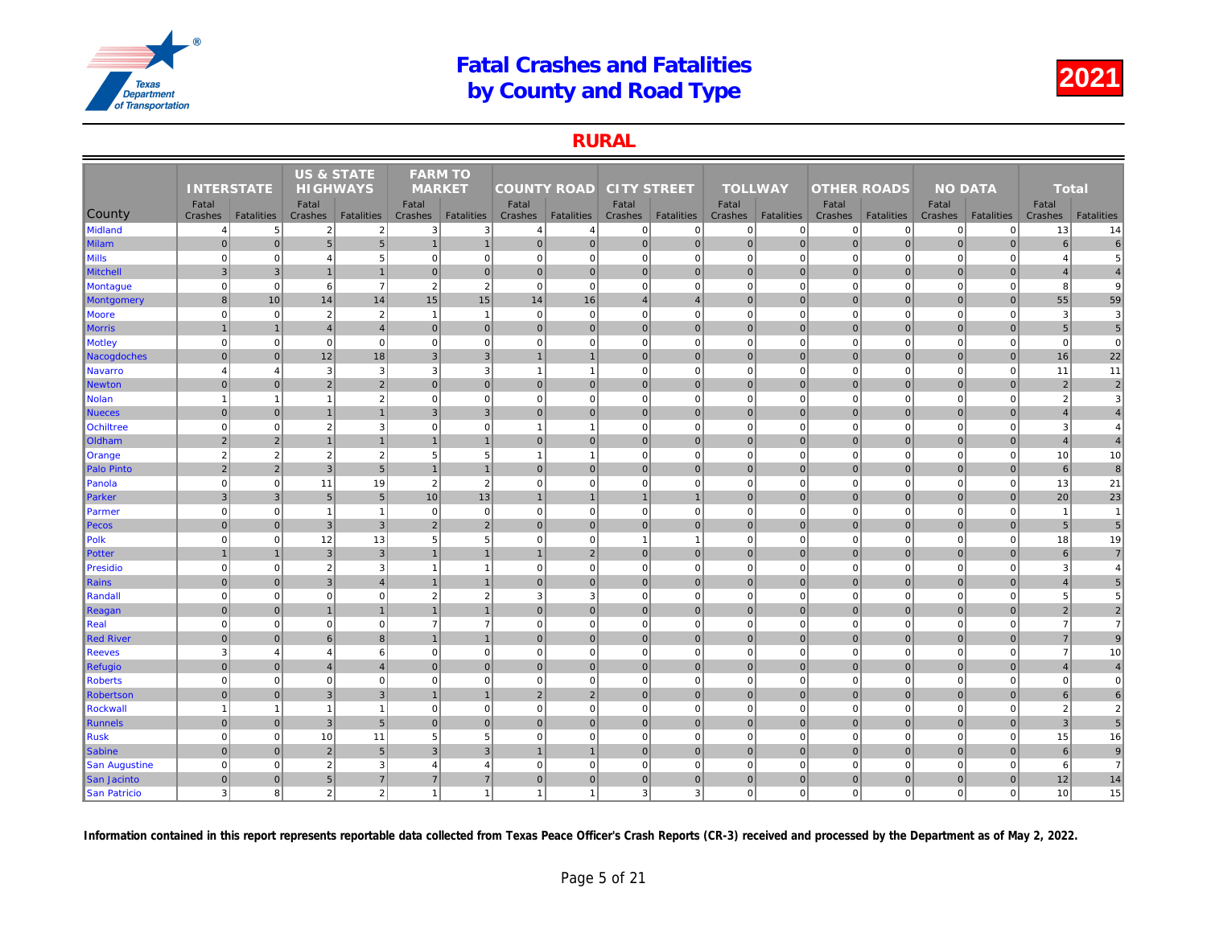### RURAL

|                   |                   |                   | US & STATE      |                   | <b>FARM TO</b> |                   |                    |                   |                    |                   |                |                   |                    |                   |     |
|-------------------|-------------------|-------------------|-----------------|-------------------|----------------|-------------------|--------------------|-------------------|--------------------|-------------------|----------------|-------------------|--------------------|-------------------|-----|
|                   | <b>INTERSTATE</b> |                   | <b>HIGHWAYS</b> |                   | <b>MARKET</b>  |                   | <b>COUNTY ROAD</b> |                   | <b>CITY STREET</b> |                   | <b>TOLLWAY</b> |                   | <b>OTHER ROADS</b> |                   |     |
|                   | Fatal             |                   | Fatal           |                   | Fatal          |                   | Fatal              |                   | Fatal              |                   | Fatal          |                   | Fatal              |                   |     |
| County            | Crashes           | <b>Fatalities</b> | Crashes         | <b>Fatalities</b> | Crashes        | <b>Fatalities</b> | Crashes            | <b>Fatalities</b> | Crashes            | <b>Fatalities</b> | Crashes        | <b>Fatalities</b> | Crashes            | <b>Fatalities</b> | Cra |
| Midland           | $\overline{4}$    | 5                 | $\overline{2}$  | $\sqrt{2}$        | 3              | 3                 | 4                  | $\overline{4}$    | $\overline{0}$     | $\overline{0}$    | $\mathbf 0$    | $\Omega$          | 0                  | $\overline{0}$    |     |
| <b>Milam</b>      | $\mathbf 0$       | $\pmb{0}$         | $5\phantom{.0}$ | $5\overline{)}$   | $\overline{1}$ | $\mathbf{1}$      | 0                  | $\mathbf 0$       | $\overline{0}$     | 0                 | $\mathbf 0$    | $\overline{0}$    | $\mathbf 0$        | $\overline{0}$    |     |
| <b>Mills</b>      | $\mathbf 0$       | $\mathbf 0$       | $\overline{4}$  | $\sqrt{5}$        | $\mathbf 0$    | $\mathbf 0$       | 0                  | $\mathbf 0$       | $\mathbf{0}$       | $\mathbf 0$       | $\mathbf 0$    | $\Omega$          | $\mathbf 0$        | $\mathbf 0$       |     |
| Mitchell          | $\overline{3}$    | $\mathbf{3}$      | $\overline{1}$  | $\overline{1}$    | $\mathbf 0$    | $\mathbf{0}$      | 0                  | $\overline{0}$    | $\overline{0}$     | $\mathbf 0$       | $\mathbf 0$    | $\mathbf{0}$      | $\mathbf 0$        | $\mathbf{0}$      |     |
| Montague          | $\mathbf 0$       | $\Omega$          | 6               | $\overline{7}$    | $\overline{2}$ | $\overline{2}$    | $\overline{0}$     | $\mathbf 0$       | $\mathbf{0}$       | $\mathbf 0$       | $\mathbf 0$    | $\Omega$          | $\mathbf 0$        | $\mathbf 0$       |     |
| <b>Montgomery</b> | $\boldsymbol{8}$  | 10                | 14              | 14                | 15             | 15                | 14                 | 16                | $\overline{4}$     | $\overline{4}$    | $\mathbf 0$    | $\Omega$          | $\mathbf 0$        | $\overline{0}$    |     |
| <b>Moore</b>      | $\mathbf 0$       | $\mathbf 0$       | $\overline{2}$  | $\sqrt{2}$        | $\overline{1}$ | $\overline{1}$    | $\circ$            | $\mathbf 0$       | $\mathbf{0}$       | $\mathbf{0}$      | $\mathbf 0$    | $\mathbf 0$       | $\mathbf 0$        | $\mathbf 0$       |     |
| <b>Morris</b>     | $\overline{1}$    | $\overline{1}$    | $\overline{4}$  | $\overline{4}$    | $\mathbf{0}$   | $\mathbf{0}$      | 0                  | $\overline{0}$    | $\overline{0}$     | $\overline{0}$    | $\mathbf{0}$   | $\mathbf{0}$      | $\mathbf 0$        | $\overline{0}$    |     |
| <b>Motley</b>     | $\mathbf 0$       | $\mathbf 0$       | $\mathbf 0$     | $\mathbf{0}$      | $\mathbf 0$    | $\mathbf 0$       | $\mathbf{0}$       | $\mathbf 0$       | $\mathbf{0}$       | $\mathbf 0$       | $\mathbf 0$    | $\mathbf 0$       | $\mathbf 0$        | $\mathbf 0$       |     |
| Nacogdoches       | $\overline{0}$    | $\mathbf{0}$      | 12              | 18                | $\overline{3}$ | $\overline{3}$    | $\mathbf{1}$       | $\overline{1}$    | 0                  | $\overline{0}$    | $\mathbf{0}$   | $\overline{0}$    | $\mathbf{0}$       | $\overline{0}$    |     |
| Navarro           | $\overline{4}$    | $\overline{4}$    | 3               | $\mathbf{3}$      | 3              | 3                 | $\mathbf{1}$       | $\overline{1}$    | $\mathbf{0}$       | $\mathbf 0$       | $\mathbf 0$    | $\mathbf 0$       | $\mathbf 0$        | $\mathbf 0$       |     |
| Newton            | $\mathbf{0}$      | $\Omega$          | $\overline{2}$  | $\overline{2}$    | $\Omega$       | $\mathbf{0}$      | $\overline{0}$     | $\overline{0}$    | $\overline{0}$     | $\overline{0}$    | $\mathbf{0}$   | $\Omega$          | $\mathbf 0$        | $\overline{0}$    |     |
| Nolan             | $\mathbf{1}$      | -1                | $\overline{1}$  | $\overline{2}$    | $\mathbf 0$    | $\mathbf 0$       | $\overline{0}$     | $\mathbf 0$       | $\mathbf{0}$       | $\mathbf{0}$      | $\mathbf 0$    | $\mathbf 0$       | $\mathbf 0$        | $\mathbf 0$       |     |
| <b>Nueces</b>     | $\mathbf{0}$      | $\Omega$          | $\overline{1}$  | $\mathbf{1}$      | $\mathbf{B}$   | $\overline{3}$    | $\overline{0}$     | $\overline{0}$    | $\overline{0}$     | $\overline{0}$    | $\mathbf{0}$   | $\Omega$          | $\mathbf{0}$       | $\Omega$          |     |
| <b>Ochiltree</b>  | $\mathbf 0$       | $\mathbf 0$       | $\overline{2}$  | 3                 | $\mathbf 0$    | $\mathbf 0$       | $\mathbf{1}$       | $\overline{1}$    | $\mathbf{0}$       | $\overline{0}$    | $\mathbf 0$    | $\mathbf 0$       | $\mathbf 0$        | $\Omega$          |     |
| <b>Oldham</b>     | $\sqrt{2}$        | $\overline{2}$    | $\overline{1}$  | $\mathbf{1}$      |                | $\mathbf{1}$      | 0                  | $\overline{0}$    | $\overline{0}$     | $\overline{0}$    | $\mathbf 0$    | $\overline{0}$    | $\mathbf 0$        | $\mathbf 0$       |     |
| Orange            | $\overline{2}$    | $\sqrt{2}$        | $\overline{2}$  | $\overline{2}$    | 5              | 5                 | $\mathbf{1}$       | $\overline{1}$    | $\mathbf{0}$       | $\mathbf{0}$      | $\mathbf 0$    | $\mathbf 0$       | $\mathbf 0$        | $\mathbf{0}$      |     |
| Palo Pinto        | $\overline{2}$    | $\overline{2}$    | $\overline{3}$  | 5 <sup>1</sup>    |                | $\overline{1}$    | $\Omega$           | $\overline{0}$    | $\overline{0}$     | $\overline{0}$    | $\mathbf 0$    | $\Omega$          | $\mathbf 0$        | $\overline{0}$    |     |
| Panola            | $\mathbf 0$       | $\mathbf 0$       | 11              | 19                | $\overline{2}$ | $\overline{2}$    | 0                  | $\mathbf 0$       | $\mathbf{0}$       | $\overline{0}$    | $\mathbf 0$    | $\mathbf 0$       | $\mathbf 0$        | $\mathbf 0$       |     |
| Parker            | $\mathbf{3}$      | 3                 | 5               | 5 <sub>5</sub>    | 10             | 13                | $\mathbf{1}$       | $\mathbf 1$       | $\overline{1}$     | $\mathbf{1}$      | $\mathbf{0}$   | $\Omega$          | $\mathbf{0}$       | $\overline{0}$    |     |
| Parmer            | $\mathbf 0$       | $\pmb{0}$         | $\overline{1}$  | $\mathbf{1}$      | $\mathbf 0$    | $\mathbf 0$       | 0                  | $\mathbf 0$       | $\mathbf{0}$       | $\overline{0}$    | $\mathbf 0$    | $\mathbf 0$       | $\mathbf 0$        | $\mathbf 0$       |     |
| Pecos             | $\mathbf{0}$      | $\overline{0}$    | 3               | 3                 | $\overline{2}$ | $\overline{2}$    | $\overline{0}$     | $\overline{0}$    | $\overline{0}$     | $\overline{0}$    | $\mathbf 0$    | $\Omega$          | $\mathbf 0$        | $\overline{0}$    |     |
| Polk              | $\mathbf 0$       | $\mathbf 0$       | 12              | 13                | 5              | $\overline{5}$    | $\mathbf{0}$       | $\mathbf 0$       | $\overline{1}$     | $\mathbf{1}$      | $\mathbf 0$    | $\mathbf 0$       | $\mathbf 0$        | $\mathbf 0$       |     |
| Potter            | $\overline{1}$    | $\overline{1}$    | $\mathbf{3}$    | $\overline{3}$    | $\overline{1}$ | $\overline{1}$    | 1                  | $\overline{2}$    | 0                  | $\overline{0}$    | $\mathbf{0}$   | $\overline{0}$    | $\mathbf 0$        | $\overline{0}$    |     |
| Presidio          | $\mathbf 0$       | $\pmb{0}$         | $\overline{2}$  | 3                 | $\overline{1}$ | $\mathbf{1}$      | 0                  | $\mathbf 0$       | $\mathbf{0}$       | $\overline{0}$    | $\mathbf 0$    | $\mathbf 0$       | $\mathbf 0$        | $\mathbf 0$       |     |
| Rains             | $\mathbf 0$       | $\Omega$          | 3               | $\overline{4}$    |                | $\overline{1}$    | 0                  | $\overline{0}$    | $\overline{0}$     | $\overline{0}$    | $\mathbf{0}$   | $\mathbf{0}$      | $\mathbf 0$        | $\overline{0}$    |     |
| Randall           | $\mathbf 0$       | $\Omega$          | $\Omega$        | $\mathbf 0$       | $\overline{2}$ | $\overline{2}$    | $\mathbf{3}$       | 3                 | $\overline{0}$     | $\mathbf{0}$      | $\mathbf 0$    | $\Omega$          | $\Omega$           | $\Omega$          |     |
| Reagan            | $\mathbf 0$       | $\Omega$          | $\overline{1}$  | $\mathbf{1}$      |                | $\overline{1}$    | $\overline{0}$     | $\mathbf 0$       | $\overline{0}$     | $\overline{0}$    | $\mathbf{0}$   | $\Omega$          | $\mathbf 0$        | $\overline{0}$    |     |
| $\ $ Real         | $\overline{0}$    | $\mathbf 0$       | $\mathbf 0$     | $\mathbf{0}$      | $\overline{7}$ | $\overline{7}$    | 0                  | $\mathbf 0$       | $\mathbf{0}$       | $\mathbf{0}$      | $\mathbf 0$    | $\mathbf 0$       | $\mathbf 0$        | $\mathbf 0$       |     |
| Red River         | $\mathbf 0$       | $\overline{0}$    | $6\phantom{1}6$ | $\bf 8$           | $\mathbf{1}$   | $\mathbf{1}$      | 0                  | $\overline{0}$    | $\overline{0}$     | $\overline{0}$    | $\mathbf 0$    | $\mathbf{0}$      | $\pmb{0}$          | $\mathbf 0$       |     |
| <b>Reeves</b>     | $\overline{3}$    | $\overline{4}$    | $\overline{4}$  | $6 \overline{6}$  | $\mathbf 0$    | $\mathbf 0$       | $\Omega$           | $\Omega$          | $\overline{0}$     | $\Omega$          | $\mathbf 0$    | $\Omega$          | $\Omega$           | $\Omega$          |     |
| Refugio           | $\mathbf 0$       | $\Omega$          | $\overline{4}$  | $\overline{4}$    | $\mathbf{0}$   | $\mathbf{0}$      | 0                  | $\overline{0}$    | $\overline{0}$     | $\overline{0}$    | $\mathbf{0}$   | $\overline{0}$    | $\mathbf 0$        | $\overline{0}$    |     |
| <b>Roberts</b>    | $\mathbf 0$       | $\mathbf 0$       | $\Omega$        | $\mathbf{0}$      | $\mathbf 0$    | $\mathbf 0$       | $\overline{0}$     | $\Omega$          | $\mathbf{0}$       | $\overline{0}$    | $\mathbf 0$    | $\mathbf 0$       | $\mathbf 0$        | $\Omega$          |     |
| Robertson         | $\mathbf 0$       | $\overline{0}$    | 3               | $\mathbf{3}$      |                | $\mathbf{1}$      | $\overline{2}$     | $\overline{2}$    | $\overline{0}$     | $\overline{0}$    | $\mathbf 0$    | $\mathbf{0}$      | $\mathbf 0$        | $\mathbf 0$       |     |
| Rockwall          | $\overline{1}$    | 1                 | $\overline{1}$  | $\mathbf{1}$      | $\mathbf 0$    | $\mathbf 0$       | $\overline{0}$     | $\mathbf 0$       | $\overline{0}$     | $\overline{0}$    | $\mathbf 0$    | $\mathbf 0$       | $\mathbf 0$        | $\overline{0}$    |     |
| <b>Runnels</b>    | $\Omega$          | $\mathbf{0}$      | $\overline{3}$  | $5\overline{)}$   | $\Omega$       | $\mathbf{0}$      | $\overline{0}$     | $\overline{0}$    | $\overline{0}$     | $\overline{0}$    | $\mathbf 0$    | $\overline{0}$    | $\mathbf 0$        | $\overline{0}$    |     |
| <b>Rusk</b>       | $\mathbf 0$       | $\mathbf 0$       | 10              | 11                | 5              | 5                 | 0                  | $\mathbf 0$       | $\mathbf{0}$       | $\overline{0}$    | $\mathbf 0$    | $\mathbf 0$       | $\mathbf 0$        | $\mathbf 0$       |     |
| Sabine            | $\pmb{0}$         | $\mathbf 0$       | $\overline{2}$  | $5\overline{)}$   | $\mathsf 3$    | $\mathbf{3}$      | $\mathbf{1}$       | $\mathbf 1$       | $\overline{0}$     | $\overline{0}$    | $\mathbf 0$    | $\overline{0}$    | $\pmb{0}$          | $\overline{0}$    |     |
| San Augustine     | $\mathbf 0$       | $\mathbf 0$       | $\overline{2}$  | 3                 | $\overline{4}$ | $\overline{4}$    | $\mathbf{0}$       | $\Omega$          | $\overline{0}$     | $\mathbf 0$       | $\mathbf 0$    | $\mathbf 0$       | $\mathbf 0$        | $\overline{0}$    |     |
| San Jacinto       | $\mathbf 0$       | $\mathbf{0}$      | 5               | $\overline{7}$    |                | $\overline{7}$    | $\overline{0}$     | $\overline{0}$    | $\overline{0}$     | $\overline{0}$    | $\mathbf 0$    | $\overline{0}$    | $\mathbf 0$        | $\mathbf{0}$      |     |
| San Patricio      | 3                 | 8                 | $\overline{2}$  | $\overline{2}$    |                | $\overline{1}$    | $\mathbf{1}$       |                   | $\mathbf{3}$       | $\mathbf{3}$      | $\mathbf 0$    | $\mathbf 0$       | $\mathbf 0$        | $\mathbf{0}$      |     |
|                   |                   |                   |                 |                   |                |                   |                    |                   |                    |                   |                |                   |                    |                   |     |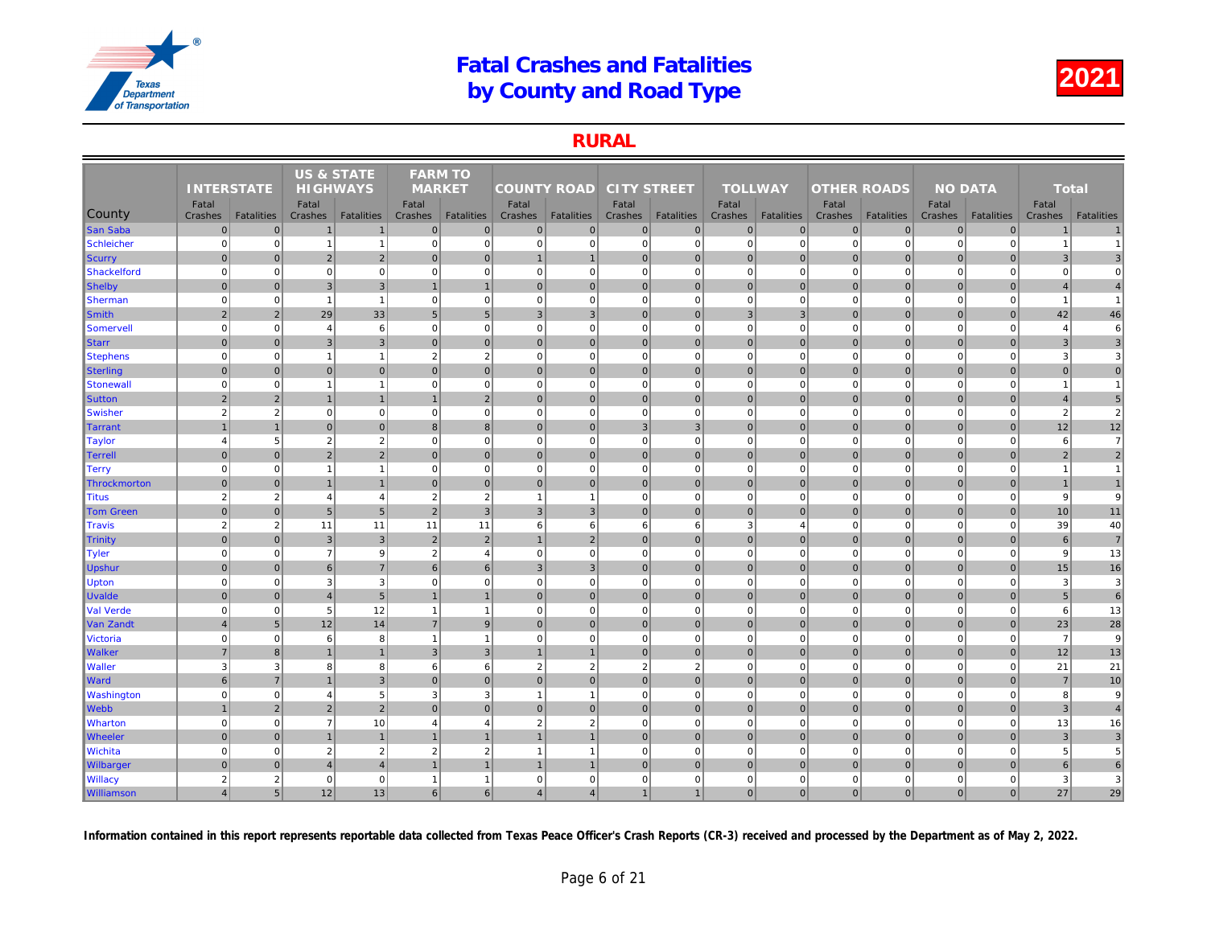### RURAL

|                   |                   |                   | <b>US &amp; STATE</b>    |                   | <b>FARM TO</b>           |                   |                    |                   |                    |                   |                  |                   |                    |                   |     |
|-------------------|-------------------|-------------------|--------------------------|-------------------|--------------------------|-------------------|--------------------|-------------------|--------------------|-------------------|------------------|-------------------|--------------------|-------------------|-----|
|                   | <b>INTERSTATE</b> |                   | <b>HIGHWAYS</b>          |                   | <b>MARKET</b>            |                   | <b>COUNTY ROAD</b> |                   | <b>CITY STREET</b> |                   | <b>TOLLWAY</b>   |                   | <b>OTHER ROADS</b> |                   |     |
| County            | Fatal<br>Crashes  | <b>Fatalities</b> | Fatal<br>Crashes         | <b>Fatalities</b> | Fatal<br>Crashes         | <b>Fatalities</b> | Fatal<br>Crashes   | <b>Fatalities</b> | Fatal<br>Crashes   | <b>Fatalities</b> | Fatal<br>Crashes | <b>Fatalities</b> | Fatal<br>Crashes   | <b>Fatalities</b> | Cra |
| <b>San Saba</b>   | $\mathbf 0$       | $\mathbf 0$       | $\mathbf{1}$             | $\mathbf{1}$      | $\mathbf{0}$             | $\pmb{0}$         | $\overline{0}$     | $\overline{0}$    | $\overline{0}$     | $\overline{0}$    | $\mathbf 0$      | $\overline{0}$    | $\mathbf 0$        | $\overline{0}$    |     |
| Schleicher        | $\mathbf 0$       | $\Omega$          | $\overline{1}$           | $\mathbf{1}$      | $\mathbf 0$              | $\mathbf 0$       | $\overline{0}$     | $\overline{0}$    | $\mathbf{0}$       | $\overline{0}$    | $\mathbf 0$      | $\mathbf 0$       | $\mathbf 0$        | $\Omega$          |     |
| Scurry            | $\mathbf{0}$      | $\Omega$          | $\overline{2}$           | $\overline{2}$    | $\mathbf{0}$             | $\mathbf{0}$      | $\mathbf{1}$       |                   | $\overline{0}$     | $\overline{0}$    | $\mathbf{0}$     | $\Omega$          | $\mathbf{0}$       | $\Omega$          |     |
| Shackelford       | $\mathbf 0$       | $\mathbf 0$       | $\mathbf 0$              | $\mathbf{0}$      | $\mathbf 0$              | $\mathbf 0$       | 0                  | $\mathbf 0$       | $\mathbf{0}$       | $\mathbf{0}$      | $\mathbf 0$      | $\mathbf 0$       | $\mathbf 0$        | $\mathbf 0$       |     |
| Shelby            | $\Omega$          | $\Omega$          | 3                        | $\mathbf{3}$      |                          | $\overline{1}$    | $\overline{0}$     | $\overline{0}$    | $\overline{0}$     | $\overline{0}$    | $\mathbf 0$      | $\Omega$          | $\mathbf 0$        | $\overline{0}$    |     |
| Sherman           | $\Omega$          | $\Omega$          | $\overline{1}$           | $\overline{1}$    | $\mathbf 0$              | $\Omega$          | $\Omega$           | $\mathbf 0$       | $\overline{0}$     | $\Omega$          | $\mathbf 0$      | $\Omega$          | $\Omega$           | $\Omega$          |     |
| Smith             | $\overline{2}$    | 2                 | 29                       | 33                | $5\phantom{.0}$          | 5 <sub>5</sub>    | 3 <sup>2</sup>     | $\mathbf{3}$      | $\overline{0}$     | $\overline{0}$    | $\mathbf{3}$     | 3                 | $\mathbf 0$        | $\overline{0}$    |     |
| Somervell         | $\mathbf 0$       | $\mathbf 0$       | $\overline{4}$           | 6                 | $\mathbf 0$              | $\mathbf 0$       | 0                  | $\mathbf 0$       | $\mathbf{0}$       | $\mathbf 0$       | $\mathbf 0$      | $\mathbf 0$       | $\mathbf 0$        | $\mathbf 0$       |     |
| <b>Starr</b>      | $\mathbf{0}$      | $\Omega$          | 3                        | $\overline{3}$    | $\mathbf{0}$             | $\mathbf{0}$      | 0                  | $\overline{0}$    | $\overline{0}$     | $\overline{0}$    | $\mathbf{0}$     | $\Omega$          | $\mathbf{0}$       | $\overline{0}$    |     |
| <b>Stephens</b>   | $\mathbf 0$       | $\mathbf 0$       | $\overline{\phantom{a}}$ | $\mathbf{1}$      | $\overline{2}$           | $\overline{2}$    | $\overline{0}$     | $\mathbf 0$       | $\mathbf{0}$       | $\mathbf{0}$      | $\mathbf 0$      | $\Omega$          | $\mathbf 0$        | $\mathbf 0$       |     |
| <b>Sterling</b>   | $\mathbf{0}$      | $\Omega$          | $\mathbf{0}$             | $\overline{0}$    | $\Omega$                 | $\mathbf{0}$      | $\overline{0}$     | $\mathbf{0}$      | $\overline{0}$     | $\overline{0}$    | $\mathbf{0}$     | $\Omega$          | $\mathbf{0}$       | $\Omega$          |     |
| Stonewall         | $\mathbf 0$       | $\mathbf 0$       | $\overline{1}$           | $\mathbf{1}$      | $\mathbf 0$              | $\mathbf 0$       | 0                  | $\overline{0}$    | $\mathbf{0}$       | $\overline{0}$    | $\mathbf 0$      | $\mathbf 0$       | $\mathbf 0$        | $\Omega$          |     |
| <b>Sutton</b>     | $\overline{2}$    | $\overline{2}$    | $\mathbf 1$              | $\mathbf{1}$      |                          | $\overline{2}$    | 0                  | $\overline{0}$    | $\overline{0}$     | $\overline{0}$    | $\mathbf 0$      | $\overline{0}$    | $\pmb{0}$          | $\mathbf 0$       |     |
| Swisher           | $\overline{2}$    | $\overline{2}$    | $\Omega$                 | $\overline{0}$    | $\mathbf 0$              | $\mathbf 0$       | 0                  | $\Omega$          | $\mathbf{0}$       | $\overline{0}$    | $\mathbf 0$      | $\mathbf 0$       | $\mathbf 0$        | $\mathbf{0}$      |     |
| Tarrant           |                   |                   | $\Omega$                 | $\overline{0}$    | $\mathbf{B}$             | 8                 | $\vert$ 0          | $\Omega$          | 3 <sup>1</sup>     | 3                 | $\mathbf{0}$     | $\Omega$          | $\mathbf{0}$       | $\overline{0}$    |     |
| <b>Taylor</b>     | $\overline{4}$    | 5                 | $\overline{2}$           | $\overline{2}$    | $\mathbf 0$              | $\mathbf 0$       | 0                  | $\mathbf 0$       | $\mathbf{0}$       | $\overline{0}$    | $\mathbf 0$      | $\mathbf 0$       | $\mathbf 0$        | $\mathbf 0$       |     |
| <b>Terrell</b>    | $\mathbf{0}$      | $\Omega$          | $\overline{2}$           | $\overline{2}$    | $\mathbf{0}$             | $\mathbf{0}$      | $\overline{0}$     | $\mathbf 0$       | $\overline{0}$     | $\overline{0}$    | $\mathbf{0}$     | $\Omega$          | $\mathbf 0$        | $\overline{0}$    |     |
| Terry             | $\mathbf 0$       | $\mathbf 0$       | $\overline{1}$           | $\mathbf{1}$      | $\mathbf 0$              | $\mathbf 0$       | 0                  | $\mathbf 0$       | $\overline{0}$     | $\Omega$          | $\mathbf 0$      | $\Omega$          | $\Omega$           | $\mathbf 0$       |     |
| Throckmorton      | $\Omega$          | $\overline{0}$    | $\overline{1}$           | $\mathbf{1}$      | $\Omega$                 | $\mathbf 0$       | 0                  | $\overline{0}$    | $\overline{0}$     | $\mathbf 0$       | $\mathbf 0$      | $\Omega$          | $\mathbf 0$        | $\overline{0}$    |     |
| <b>Titus</b>      | $\overline{2}$    | $\overline{c}$    | $\overline{4}$           | $\overline{4}$    | $\overline{2}$           | $\overline{2}$    | 1                  |                   | $\mathbf{0}$       | $\Omega$          | $\mathbf 0$      | $\Omega$          | $\Omega$           | $\Omega$          |     |
| <b>Tom Green</b>  | $\mathbf{0}$      | $\Omega$          | 5                        | 5 <sup>1</sup>    | $\overline{2}$           | $\overline{3}$    | 3 <sup>1</sup>     | $\mathbf{3}$      | $\overline{0}$     | $\overline{0}$    | $\mathbf{0}$     | $\overline{0}$    | $\mathbf{0}$       | $\overline{0}$    |     |
| <b>Travis</b>     | $\overline{2}$    | 2                 | 11                       | 11                | 11                       | 11                | 6                  | 6                 | 6                  | 6                 | $\mathbf{3}$     | $\overline{4}$    | $\mathbf 0$        | $\mathbf 0$       |     |
| Trinity           | $\mathbf{0}$      | $\Omega$          | $\mathbf{3}$             | $\mathbf{3}$      | $\overline{2}$           | $\overline{2}$    |                    | $\overline{2}$    | $\overline{0}$     | $\overline{0}$    | $\mathbf{0}$     | $\mathbf{0}$      | $\mathbf 0$        | $\overline{0}$    |     |
| <b>Tyler</b>      | $\mathbf 0$       | $\mathbf 0$       | $\overline{7}$           | 9                 | $\overline{2}$           | $\overline{4}$    | $\overline{0}$     | $\mathbf 0$       | $\overline{0}$     | $\overline{0}$    | $\mathbf 0$      | $\mathbf 0$       | $\mathbf 0$        | $\Omega$          |     |
| <b>Upshur</b>     | $\mathbf{0}$      | $\Omega$          | $6\phantom{1}6$          | $\overline{7}$    | 6                        | 6                 | 3 <sup>1</sup>     | $\overline{3}$    | $\overline{0}$     | $\overline{0}$    | $\mathbf 0$      | $\overline{0}$    | $\mathbf 0$        | $\mathbf 0$       |     |
| <b>Upton</b>      | $\mathbf 0$       | $\mathbf 0$       | 3                        | 3                 | $\mathbf 0$              | $\mathbf 0$       | 0                  | $\overline{0}$    | $\mathbf{0}$       | $\overline{0}$    | $\mathbf 0$      | $\mathbf 0$       | $\mathbf 0$        | $\Omega$          |     |
| <b>Uvalde</b>     | $\mathbf{0}$      | $\mathbf{0}$      | $\overline{4}$           | 5 <sub>5</sub>    | $\overline{1}$           | $\mathbf{1}$      | 0                  | $\mathbf 0$       | $\overline{0}$     | $\overline{0}$    | $\mathbf{0}$     | $\overline{0}$    | $\mathbf 0$        | $\overline{0}$    |     |
| Val Verde         | $\mathbf 0$       | $\mathbf 0$       | 5                        | 12                | $\overline{1}$           | $\mathbf{1}$      | 0                  | $\mathbf 0$       | $\mathbf{0}$       | $\mathbf{0}$      | $\mathbf 0$      | $\mathbf 0$       | $\mathbf 0$        | $\mathbf{0}$      |     |
| Van Zandt         | $\overline{4}$    | 5                 | 12                       | 14                | $\overline{7}$           | 9                 | $\overline{0}$     | $\overline{0}$    | $\overline{0}$     | $\overline{0}$    | $\mathbf 0$      | $\overline{0}$    | $\mathbf 0$        | $\overline{0}$    |     |
| <b>Victoria</b>   | $\mathbf 0$       | $\Omega$          | 6                        | 8                 | $\overline{\phantom{a}}$ | $\overline{1}$    | $\Omega$           | $\Omega$          | $\overline{0}$     | $\Omega$          | $\mathbf 0$      | $\Omega$          | $\overline{0}$     | $\Omega$          |     |
| <b>Walker</b>     | $\overline{7}$    | 8                 | $\overline{1}$           | $\mathbf{1}$      | 3                        | $\mathbf{3}$      | $\mathbf{1}$       | $\overline{1}$    | $\overline{0}$     | $\overline{0}$    | $\mathbf 0$      | $\Omega$          | $\mathbf 0$        | $\overline{0}$    |     |
| <b>Waller</b>     | 3                 | 3                 | 8                        | 8                 | 6                        | $6\phantom{1}$    | 2                  | $\overline{2}$    | $\overline{2}$     | $\overline{2}$    | $\mathbf 0$      | $\Omega$          | $\mathbf 0$        | $\mathbf 0$       |     |
| <b>Ward</b>       | 6                 | $\overline{7}$    |                          | $\overline{3}$    | $\Omega$                 | $\mathbf{0}$      | $\overline{0}$     | $\overline{0}$    | $\overline{0}$     | $\overline{0}$    | $\mathbf{0}$     | $\Omega$          | $\mathbf 0$        | $\overline{0}$    |     |
| <b>Washington</b> | $\mathbf 0$       | $\mathbf 0$       | $\overline{4}$           | $5\overline{5}$   | 3                        | 3                 | $\mathbf{1}$       |                   | $\mathbf{0}$       | $\mathbf{0}$      | $\mathbf 0$      | $\mathbf 0$       | $\mathbf 0$        | $\mathbf 0$       |     |
| <b>Webb</b>       | $\overline{1}$    | $\overline{2}$    | $\overline{2}$           | $\overline{2}$    | $\mathbf{0}$             | $\mathbf{0}$      | 0                  | $\Omega$          | 0                  | $\overline{0}$    | $\mathbf{0}$     | $\overline{0}$    | $\mathbf 0$        | $\overline{0}$    |     |
| <b>Wharton</b>    | $\mathbf 0$       | $\mathbf 0$       | $\overline{7}$           | 10                | $\overline{4}$           | $\overline{4}$    | $\overline{2}$     | $\overline{2}$    | $\mathbf{0}$       | $\overline{0}$    | $\mathbf 0$      | $\mathbf 0$       | $\mathbf 0$        | $\Omega$          |     |
| <b>Wheeler</b>    | $\mathbf 0$       | $\overline{0}$    |                          | $\mathbf{1}$      |                          |                   |                    |                   | $\overline{0}$     | $\overline{0}$    | $\mathbf 0$      | $\mathbf 0$       | $\mathbf{0}$       | $\overline{0}$    |     |
| <b>Wichita</b>    | $\mathbf 0$       | $\mathbf 0$       | $\overline{2}$           | $\overline{2}$    | $\overline{2}$           | $\overline{2}$    | $\mathbf{1}$       | -1                | $\overline{0}$     | $\mathbf{0}$      | $\mathbf 0$      | $\mathbf 0$       | $\mathbf 0$        | $\mathbf 0$       |     |
| <b>Wilbarger</b>  | $\Omega$          | $\Omega$          | $\overline{4}$           | $\overline{4}$    |                          |                   |                    |                   | $\overline{0}$     | $\overline{0}$    | $\mathbf 0$      | $\Omega$          | $\mathbf 0$        | $\Omega$          |     |
| <b>Willacy</b>    | $\overline{2}$    | $\overline{2}$    | $\mathbf 0$              | $\mathbf{0}$      |                          | $\overline{1}$    | $\mathbf{0}$       | $\mathbf 0$       | $\mathbf{0}$       | $\mathbf{0}$      | $\mathbf 0$      | $\mathbf 0$       | $\mathbf 0$        | $\Omega$          |     |
| <b>Williamson</b> | $\overline{4}$    | 5 <sup>5</sup>    | 12                       | 13                | 6                        | 6                 | 4                  | $\overline{4}$    | 1                  | 1                 | $\mathbf{0}$     | 0                 | 0                  | $\mathbf{0}$      |     |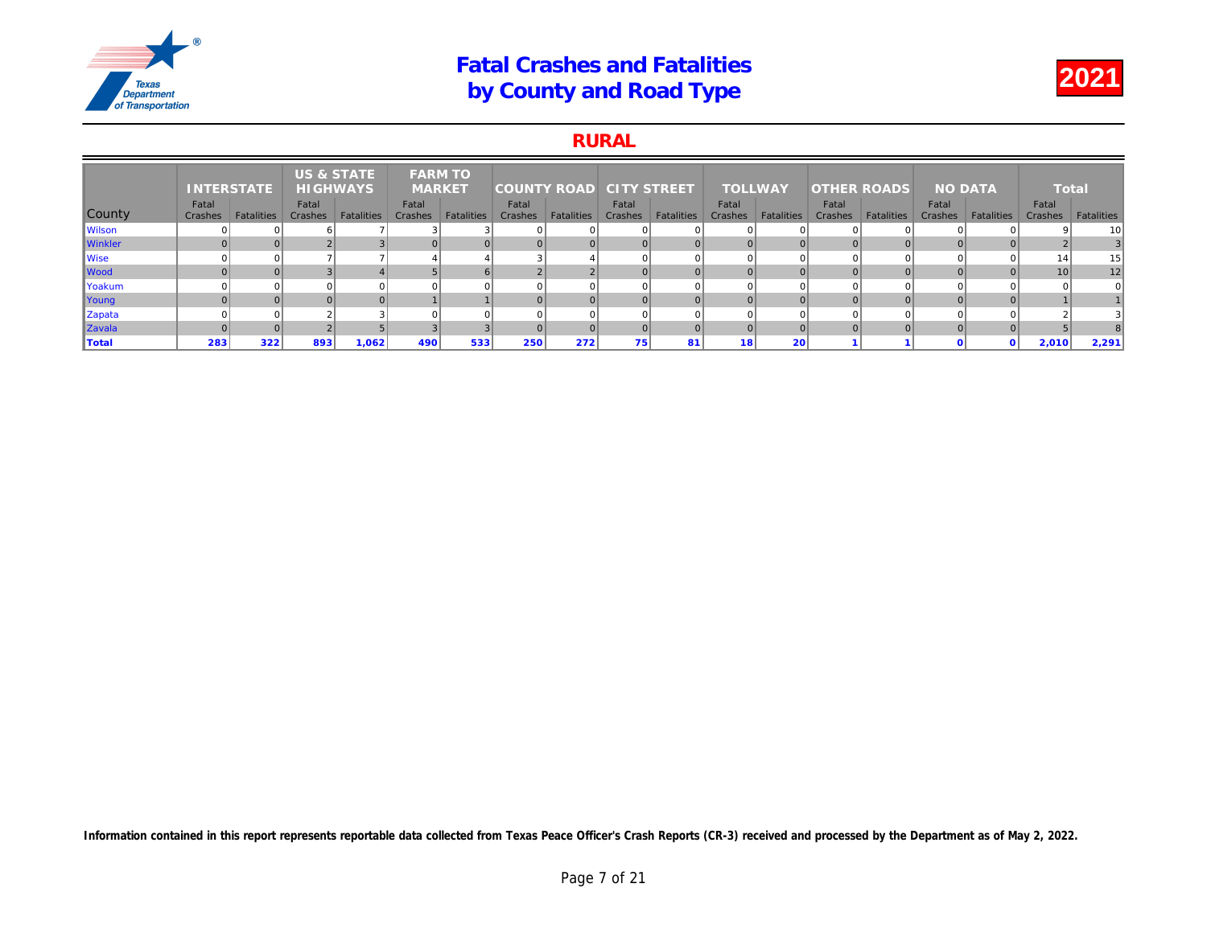### RURAL

|                | <b>INTERSTATE</b> |            | <b>US &amp; STATE</b><br><b>HIGHWAYS</b> |                   | <b>FARM TO</b><br><b>MARKET</b> |                   | <b>COUNTY ROAD</b> |                   | <b>CITY STREET</b> |                   | <b>TOLLWAY</b>   |                   | <b>OTHER ROADS</b> |                   |     |
|----------------|-------------------|------------|------------------------------------------|-------------------|---------------------------------|-------------------|--------------------|-------------------|--------------------|-------------------|------------------|-------------------|--------------------|-------------------|-----|
| County         | Fatal<br>Crashes  | Fatalities | Fatal<br>Crashes                         | <b>Fatalities</b> | Fatal<br>Crashes                | <b>Fatalities</b> | Fatal<br>Crashes   | <b>Fatalities</b> | Fatal<br>Crashes   | <b>Fatalities</b> | Fatal<br>Crashes | <b>Fatalities</b> | Fatal<br>Crashes   | <b>Fatalities</b> | Cra |
| <b>Wilson</b>  |                   |            |                                          |                   |                                 |                   |                    |                   |                    |                   |                  |                   |                    |                   |     |
| <b>Winkler</b> |                   |            |                                          |                   |                                 |                   |                    |                   |                    |                   | $\overline{0}$   |                   |                    |                   |     |
| Wise           |                   |            |                                          |                   |                                 |                   |                    |                   |                    |                   | $\Omega$         |                   |                    |                   |     |
| <b>Wood</b>    |                   |            |                                          |                   |                                 |                   |                    | $\sim$            |                    |                   | $\Omega$         |                   |                    |                   |     |
| Yoakum         |                   |            |                                          |                   |                                 |                   |                    |                   |                    |                   | $\Omega$         |                   |                    |                   |     |
| Young          |                   |            |                                          |                   |                                 |                   |                    |                   |                    |                   | $\overline{0}$   |                   |                    |                   |     |
| Zapata         |                   |            |                                          |                   |                                 |                   |                    |                   |                    |                   | $\Omega$         |                   |                    |                   |     |
| Zavala         |                   |            |                                          |                   |                                 |                   |                    |                   |                    |                   | $\Omega$         |                   |                    |                   |     |
| Total          | 283               | 322        | 893                                      | 1,062             | 490                             | 533               | 250                | 272               | 75                 | 81                | 18               | 20                |                    |                   |     |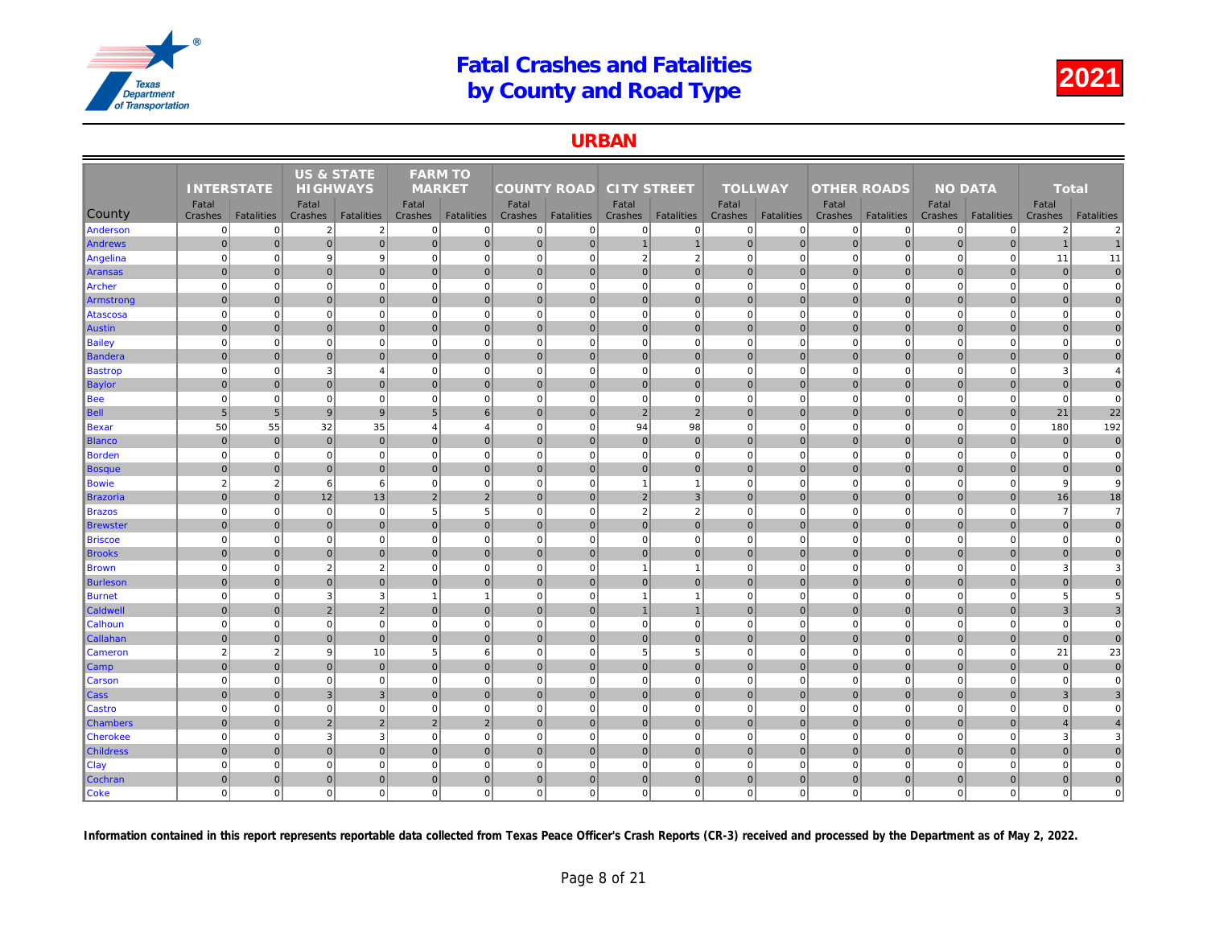### URBAN

|                  |                   |                   | <b>US &amp; STATE</b> |                   | <b>FARM TO</b>  |                   |                    |                   |                    |                   |                |                   |                    |                   |     |
|------------------|-------------------|-------------------|-----------------------|-------------------|-----------------|-------------------|--------------------|-------------------|--------------------|-------------------|----------------|-------------------|--------------------|-------------------|-----|
|                  | <b>INTERSTATE</b> |                   | <b>HIGHWAYS</b>       |                   | <b>MARKET</b>   |                   | <b>COUNTY ROAD</b> |                   | <b>CITY STREET</b> |                   | <b>TOLLWAY</b> |                   | <b>OTHER ROADS</b> |                   |     |
|                  | Fatal             |                   | Fatal                 |                   | Fatal           |                   | Fatal              |                   | Fatal              |                   | Fatal          |                   | Fatal              |                   |     |
| County           | Crashes           | <b>Fatalities</b> | Crashes               | <b>Fatalities</b> | Crashes         | <b>Fatalities</b> | Crashes            | <b>Fatalities</b> | Crashes            | <b>Fatalities</b> | Crashes        | <b>Fatalities</b> | Crashes            | <b>Fatalities</b> | Cra |
| Anderson         | $\Omega$          | $\overline{0}$    | $\overline{2}$        | $\overline{2}$    | $\Omega$        | $\mathbf 0$       | $\overline{0}$     | $\mathbf 0$       | $\mathbf 0$        | $\mathbf{0}$      | $\mathbf 0$    | $\mathbf 0$       | $\mathbf 0$        | $\Omega$          |     |
| <b>Andrews</b>   | $\overline{0}$    | $\overline{0}$    | $\mathbf 0$           | $\overline{0}$    | $\overline{0}$  | $\pmb{0}$         | $\overline{0}$     | $\overline{0}$    | $\mathbf{1}$       | $\mathbf{1}$      | $\mathbf 0$    | $\overline{0}$    | $\mathbf 0$        | $\pmb{0}$         |     |
| Angelina         | $\Omega$          | $\overline{0}$    | 9                     | 9                 | $\mathbf 0$     | $\mathbf 0$       | $\overline{0}$     | $\mathbf 0$       | $\overline{2}$     | $\overline{2}$    | $\mathbf 0$    | $\mathbf 0$       | $\mathbf 0$        | $\mathbf 0$       |     |
| Aransas          | $\overline{0}$    | $\overline{0}$    | $\mathbf 0$           | $\overline{0}$    | $\Omega$        | $\mathbf{0}$      | $\overline{0}$     | $\mathbf 0$       | 0                  | $\overline{0}$    | $\mathbf{0}$   | $\overline{0}$    | $\mathbf 0$        | $\mathbf 0$       |     |
| Archer           | $\Omega$          | $\overline{0}$    | $\mathbf 0$           | $\mathbf 0$       | $\mathbf 0$     | $\mathbf 0$       | $\overline{0}$     | $\Omega$          | $\mathbf 0$        | $\overline{0}$    | $\mathbf 0$    | $\mathbf 0$       | $\mathbf 0$        | $\Omega$          |     |
| Armstrong        | $\overline{0}$    | $\mathbf{0}$      | $\mathbf 0$           | $\overline{0}$    | $\overline{0}$  | $\mathbf 0$       | $\overline{0}$     | $\mathbf 0$       | $\pmb{0}$          | $\overline{0}$    | $\mathbf{0}$   | $\mathbf{0}$      | $\mathbf 0$        | $\overline{0}$    |     |
| Atascosa         | $\mathbf 0$       | $\overline{0}$    | $\mathbf 0$           | $\overline{0}$    | $\mathbf 0$     | $\mathbf 0$       | 0                  | $\mathbf 0$       | $\mathbf 0$        | $\mathbf{0}$      | $\mathbf 0$    | $\mathbf 0$       | $\mathbf 0$        | $\mathbf 0$       |     |
| Austin           | $\overline{0}$    | $\overline{0}$    | $\mathbf 0$           | $\overline{0}$    | $\mathbf{0}$    | $\mathbf 0$       | $\overline{0}$     | $\mathbf 0$       | 0                  | $\overline{0}$    | $\mathbf 0$    | $\overline{0}$    | $\mathbf 0$        | $\overline{0}$    |     |
| <b>Bailey</b>    | $\Omega$          | $\overline{0}$    | $\Omega$              | $\mathbf 0$       | $\Omega$        | $\mathbf 0$       | $\mathbf 0$        | $\Omega$          | $\mathbf 0$        | $\Omega$          | $\mathbf 0$    | $\Omega$          | $\mathbf 0$        | $\Omega$          |     |
| Bandera          | $\mathbf 0$       | $\overline{0}$    | 0                     | $\overline{0}$    | $\overline{0}$  | 0                 | 0                  | $\mathbf 0$       | 0                  | $\overline{0}$    | $\mathbf 0$    | $\overline{0}$    | $\mathbf 0$        | $\pmb{0}$         |     |
| <b>Bastrop</b>   | $\overline{0}$    | $\mathbf{0}$      | 3                     | $\overline{4}$    | $\mathbf 0$     | $\mathbf 0$       | $\overline{0}$     | $\Omega$          | $\mathbf 0$        | $\mathbf{0}$      | $\mathbf 0$    | $\mathbf 0$       | $\mathbf 0$        | $\mathbf 0$       |     |
| <b>Baylor</b>    | $\Omega$          | $\overline{0}$    | $\mathbf{0}$          | $\overline{0}$    | $\mathbf{0}$    | $\mathbf{0}$      | $\overline{0}$     | $\mathbf{0}$      | 0                  | $\overline{0}$    | $\mathbf{0}$   | $\Omega$          | $\mathbf 0$        | $\mathbf{0}$      |     |
| <b>Bee</b>       | $\mathbf 0$       | $\mathbf{0}$      | $\mathbf 0$           | $\mathbf 0$       | $\mathbf 0$     | $\mathbf 0$       | $\overline{0}$     | $\Omega$          | $\mathbf 0$        | $\mathbf{0}$      | $\mathbf 0$    | $\mathbf 0$       | $\mathbf 0$        | $\mathbf 0$       |     |
| <b>Bell</b>      | 5                 | 5 <sup>5</sup>    | 9                     | $\overline{9}$    | $5\overline{5}$ | 6                 | $\overline{0}$     | $\mathbf{0}$      | $\overline{2}$     | $\overline{2}$    | $\mathbf{0}$   | $\overline{0}$    | $\mathbf{0}$       | $\Omega$          |     |
| Bexar            | 50                | 55                | 32                    | 35                | $\overline{4}$  | $\overline{4}$    | $\mathbf{0}$       | $\overline{0}$    | 94                 | 98                | $\mathbf 0$    | $\mathbf 0$       | $\mathbf 0$        | $\mathbf 0$       |     |
| <b>Blanco</b>    | $\overline{0}$    | $\mathbf{0}$      | $\mathbf 0$           | $\overline{0}$    | $\mathbf{0}$    | $\mathbf{0}$      | $\overline{0}$     | $\mathbf 0$       | $\pmb{0}$          | $\overline{0}$    | $\mathbf{0}$   | $\overline{0}$    | $\mathbf 0$        | $\overline{0}$    |     |
| Borden           | $\mathbf 0$       | $\mathbf{0}$      | $\mathbf 0$           | $\overline{0}$    | $\mathbf 0$     | $\mathbf 0$       | $\overline{0}$     | 0                 | $\mathbf 0$        | $\mathbf{0}$      | $\mathbf 0$    | $\mathbf 0$       | $\mathbf 0$        | $\mathbf 0$       |     |
| <b>Bosque</b>    | $\Omega$          | $\overline{0}$    | $\mathbf{0}$          | $\overline{0}$    | $\Omega$        | $\mathbf{0}$      | 0                  | $\mathbf{0}$      | 0                  | $\overline{0}$    | $\Omega$       | $\Omega$          | $\mathbf{0}$       | $\mathbf{0}$      |     |
| <b>Bowie</b>     | $\overline{2}$    | $\overline{2}$    | 6                     | $6\phantom{.}6$   | $\mathbf 0$     | $\mathbf 0$       | $\mathbf{0}$       | $\mathbf 0$       | $\mathbf{1}$       | $\mathbf{1}$      | $\mathbf 0$    | $\mathbf 0$       | $\mathbf 0$        | $\mathbf 0$       |     |
| <b>Brazoria</b>  | $\mathbf 0$       | $\Omega$          | 12                    | 13                | $\overline{2}$  | $\overline{2}$    | $\Omega$           | $\mathbf{0}$      | 2                  | 3                 | $\mathbf{0}$   | $\Omega$          | $\mathbf 0$        | $\overline{0}$    |     |
| <b>Brazos</b>    | $\overline{0}$    | $\mathbf{0}$      | $\mathbf 0$           | $\mathbf 0$       | 5               | 5                 | 0                  | $\Omega$          | $\overline{2}$     | $\overline{2}$    | $\mathbf 0$    | $\mathbf 0$       | $\mathbf 0$        | $\mathbf 0$       |     |
| Brewster         | $\Omega$          | $\overline{0}$    | $\mathbf{0}$          | $\overline{0}$    | $\Omega$        | $\mathbf{0}$      | $\overline{0}$     | $\mathbf{0}$      | 0                  | $\overline{0}$    | $\mathbf{0}$   | $\overline{0}$    | $\mathbf 0$        | $\Omega$          |     |
| <b>Briscoe</b>   | $\mathbf 0$       | $\mathbf{0}$      | $\mathbf 0$           | $\mathbf 0$       | $\mathbf 0$     | $\mathbf 0$       | $\mathbf{0}$       | $\mathbf 0$       | $\pmb{0}$          | $\mathbf{0}$      | $\mathbf 0$    | $\mathbf 0$       | $\mathbf 0$        | $\mathbf 0$       |     |
| <b>Brooks</b>    | $\overline{0}$    | $\overline{0}$    | 0                     | $\overline{0}$    | $\overline{0}$  | $\mathbf 0$       | 0                  | $\mathbf 0$       | 0                  | $\overline{0}$    | $\mathbf{0}$   | $\overline{0}$    | $\mathbf 0$        | $\mathbf 0$       |     |
| <b>Brown</b>     | $\overline{0}$    | $\mathbf{0}$      | $\overline{2}$        | $\overline{2}$    | $\mathbf 0$     | $\mathbf 0$       | 0                  | $\Omega$          | $\mathbf{1}$       | $\mathbf{1}$      | $\mathbf 0$    | $\mathbf 0$       | $\mathbf 0$        | $\pmb{0}$         |     |
| Burleson         | $\Omega$          | $\overline{0}$    | $\mathbf{0}$          | $\overline{0}$    | $\Omega$        | $\mathbf{0}$      | $\overline{0}$     | $\mathbf 0$       | 0                  | $\overline{0}$    | $\mathbf{0}$   | $\overline{0}$    | $\mathbf 0$        | $\mathbf{0}$      |     |
| <b>Burnet</b>    | $\mathbf 0$       | $\mathbf 0$       | 3                     | $\mathbf{3}$      | $\mathbf{1}$    | $\overline{1}$    | $\overline{0}$     | $\mathbf 0$       | $\mathbf{1}$       | $\mathbf{1}$      | $\mathbf 0$    | $\mathbf 0$       | $\mathbf 0$        | $\mathbf 0$       |     |
| <b>Caldwell</b>  | $\mathbf 0$       | $\Omega$          | $\overline{2}$        | $\overline{2}$    | $\overline{0}$  | $\mathbf{0}$      | $\overline{0}$     | $\mathbf 0$       | $\mathbf{1}$       | $\mathbf{1}$      | $\mathbf{0}$   | $\overline{0}$    | $\mathbf 0$        | $\overline{0}$    |     |
| Calhoun          | $\mathbf 0$       | $\overline{0}$    | $\mathbf 0$           | $\overline{0}$    | $\mathbf 0$     | $\mathbf 0$       | $\overline{0}$     | $\Omega$          | $\mathbf 0$        | $\overline{0}$    | $\mathbf 0$    | $\mathbf 0$       | $\mathbf 0$        | $\mathbf 0$       |     |
| <b>Callahan</b>  | $\overline{0}$    | $\overline{0}$    | $\mathbf 0$           | $\overline{0}$    | $\mathbf{0}$    | $\mathbf 0$       | $\overline{0}$     | $\mathbf 0$       | 0                  | $\overline{0}$    | $\mathbf{0}$   | $\overline{0}$    | $\mathbf 0$        | $\overline{0}$    |     |
| Cameron          | $\overline{2}$    | $\overline{2}$    | 9                     | 10                | 5               | 6                 | $\overline{0}$     | $\Omega$          | 5                  | 5 <sup>1</sup>    | $\Omega$       | $\Omega$          | $\Omega$           | $\Omega$          |     |
| Camp             | $\mathbf 0$       | $\overline{0}$    | 0                     | $\overline{0}$    | $\overline{0}$  | $\mathbf{0}$      | 0                  | $\mathbf 0$       | 0                  | $\overline{0}$    | $\mathbf{0}$   | $\overline{0}$    | $\mathbf 0$        | $\pmb{0}$         |     |
| Carson           | $\overline{0}$    | $\overline{0}$    | $\mathbf 0$           | $\mathbf 0$       | $\mathbf 0$     | $\mathbf 0$       | $\overline{0}$     | $\Omega$          | $\mathbf 0$        | $\mathbf{0}$      | $\mathbf 0$    | $\mathbf 0$       | $\mathbf 0$        | $\Omega$          |     |
| <b>Cass</b>      | $\overline{0}$    | $\overline{0}$    | 3                     | $\overline{3}$    | $\mathbf{0}$    | $\mathbf 0$       | $\overline{0}$     | $\mathbf 0$       | $\pmb{0}$          | $\overline{0}$    | $\mathbf{0}$   | $\Omega$          | $\mathbf 0$        | $\overline{0}$    |     |
| Castro           | $\Omega$          | $\overline{0}$    | $\mathbf 0$           | $\mathbf 0$       | $\Omega$        | $\mathbf 0$       | $\mathbf{0}$       | $\Omega$          | $\mathbf 0$        | $\mathbf{0}$      | $\mathbf 0$    | $\mathbf 0$       | $\mathbf 0$        | $\mathbf 0$       |     |
| <b>Chambers</b>  | $\overline{0}$    | $\overline{0}$    | $\overline{2}$        | $\overline{2}$    | 2               | $\overline{2}$    | $\overline{0}$     | $\mathbf 0$       | 0                  | $\overline{0}$    | $\mathbf{0}$   | $\overline{0}$    | $\mathbf 0$        | $\overline{0}$    |     |
| <b>Cherokee</b>  | $\overline{0}$    | $\mathbf{0}$      | 3                     | $\mathbf{3}$      | $\mathbf 0$     | $\mathbf 0$       | $\mathbf{0}$       | $\Omega$          | $\mathbf 0$        | $\mathbf{0}$      | $\mathbf 0$    | $\mathbf 0$       | $\mathbf 0$        | $\Omega$          |     |
| <b>Childress</b> | $\mathbf 0$       | $\overline{0}$    | $\mathbf 0$           | $\overline{0}$    | $\mathbf 0$     | $\mathbf 0$       | $\overline{0}$     | $\mathbf 0$       | $\pmb{0}$          | $\overline{0}$    | $\mathbf 0$    | $\overline{0}$    | $\mathbf 0$        | $\mathbf{0}$      |     |
| Clay             | $\Omega$          | $\overline{0}$    | $\mathbf 0$           | $\overline{0}$    | $\mathbf 0$     | $\mathbf 0$       | $\mathbf{0}$       | $\Omega$          | $\mathbf 0$        | $\mathbf{0}$      | $\mathbf 0$    | $\mathbf 0$       | $\mathbf 0$        | $\mathbf 0$       |     |
| Cochran          | $\overline{0}$    | $\overline{0}$    | $\mathbf{0}$          | $\overline{0}$    | $\mathbf{0}$    | $\mathbf{0}$      | $\Omega$           | $\mathbf 0$       | 0                  | $\overline{0}$    | $\mathbf{0}$   | 0                 | $\mathbf 0$        | $\mathbf{0}$      |     |
| <b>Coke</b>      | $\Omega$          | $\overline{0}$    | $\mathbf 0$           | $\mathbf 0$       | $\mathbf 0$     | $\mathbf 0$       | $\overline{0}$     | $\Omega$          | $\pmb{0}$          | $\mathbf{0}$      | $\mathbf 0$    | $\mathbf 0$       | $\mathbf 0$        | $\mathbf 0$       |     |
|                  |                   |                   |                       |                   |                 |                   |                    |                   |                    |                   |                |                   |                    |                   |     |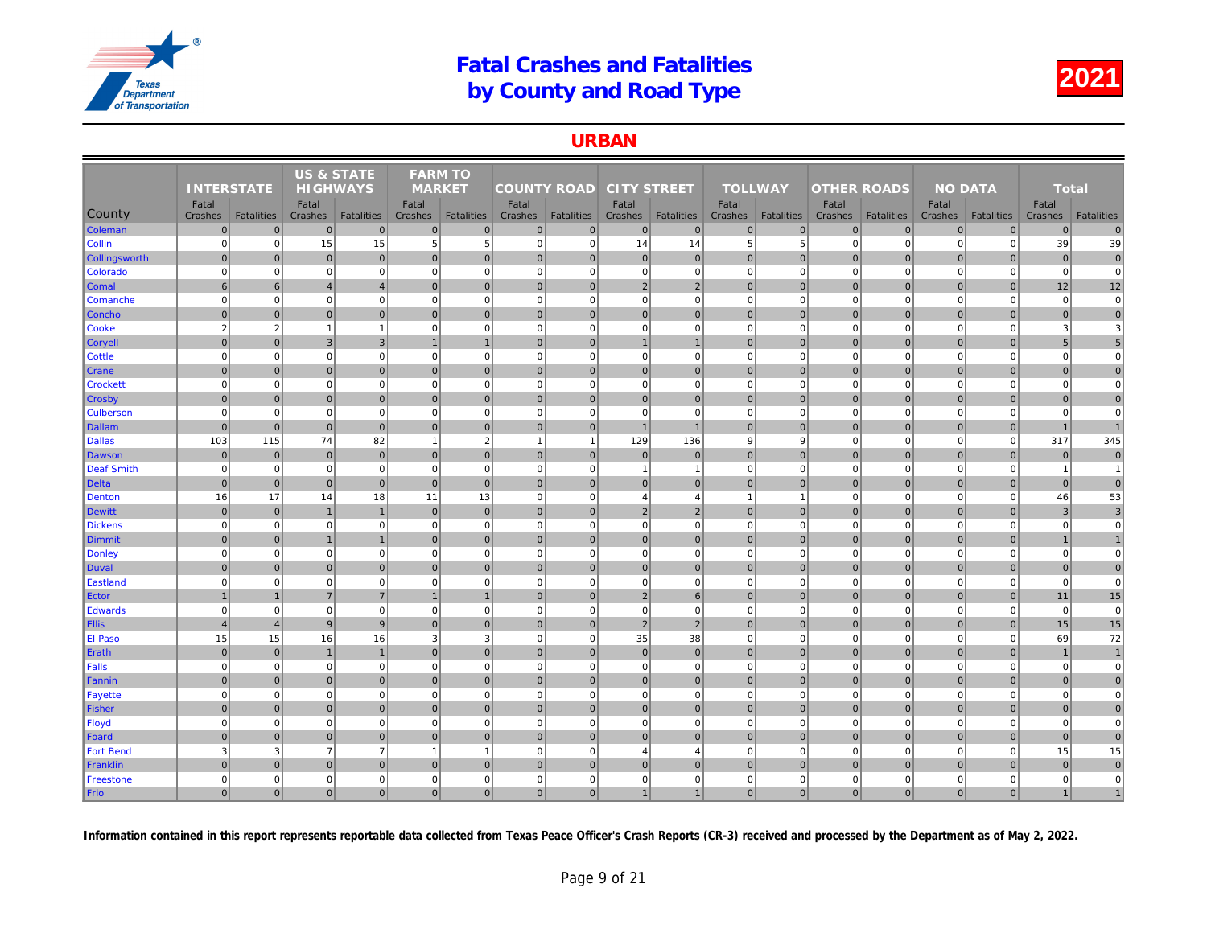### URBAN

|                  |                   |                   | <b>US &amp; STATE</b> |                   | <b>FARM TO</b> |                   |                    |                   |                    |                   |                |                   |                    |                   |     |
|------------------|-------------------|-------------------|-----------------------|-------------------|----------------|-------------------|--------------------|-------------------|--------------------|-------------------|----------------|-------------------|--------------------|-------------------|-----|
|                  | <b>INTERSTATE</b> |                   | <b>HIGHWAYS</b>       |                   | <b>MARKET</b>  |                   | <b>COUNTY ROAD</b> |                   | <b>CITY STREET</b> |                   | <b>TOLLWAY</b> |                   | <b>OTHER ROADS</b> |                   |     |
|                  | Fatal             |                   | Fatal                 |                   | Fatal          |                   | Fatal              |                   | Fatal              |                   | Fatal          |                   | Fatal              |                   |     |
| County           | Crashes           | <b>Fatalities</b> | Crashes               | <b>Fatalities</b> | Crashes        | <b>Fatalities</b> | Crashes            | <b>Fatalities</b> | Crashes            | <b>Fatalities</b> | Crashes        | <b>Fatalities</b> | Crashes            | <b>Fatalities</b> | Cra |
| Coleman          | $\overline{0}$    | $\overline{0}$    | $\overline{0}$        | $\overline{0}$    | $\overline{0}$ | $\mathbf 0$       | $\Omega$           | $\overline{0}$    | $\mathbf 0$        | $\overline{0}$    | $\mathbf 0$    | $\overline{0}$    | $\mathbf 0$        | $\mathbf 0$       |     |
| Collin           | $\mathbf 0$       | $\mathbf{0}$      | 15                    | 15                | 5              | $\sqrt{5}$        | $\overline{0}$     | 0                 | 14                 | 14                | $\,$ 5         | 5                 | $\mathbf 0$        | $\mathbf 0$       |     |
| Collingsworth    | $\Omega$          | $\overline{0}$    | $\mathbf{0}$          | $\overline{0}$    | $\mathbf{0}$   | $\mathbf{0}$      | $\overline{0}$     | $\mathbf{0}$      | 0                  | $\overline{0}$    | $\mathbf{0}$   | $\Omega$          | $\mathbf{0}$       | $\Omega$          |     |
| Colorado         | $\mathbf 0$       | $\mathbf{0}$      | $\mathbf 0$           | $\overline{0}$    | $\mathbf 0$    | $\mathbf 0$       | $\overline{0}$     | $\Omega$          | $\mathbf 0$        | $\overline{0}$    | $\mathbf 0$    | $\mathbf 0$       | $\mathbf 0$        | $\mathbf 0$       |     |
| <b>Comal</b>     | 6                 | $6 \overline{6}$  | $\overline{4}$        | $\overline{4}$    | $\mathbf{0}$   | $\mathbf 0$       | $\overline{0}$     | $\mathbf 0$       | $\overline{2}$     | $\overline{2}$    | $\mathbf{0}$   | $\overline{0}$    | $\pmb{0}$          | $\mathbf 0$       |     |
| Comanche         | $\mathbf 0$       | $\mathbf{0}$      | $\mathbf 0$           | $\mathbf 0$       | $\mathbf 0$    | $\mathbf 0$       | $\mathbf{0}$       | $\mathbf 0$       | $\pmb{0}$          | $\mathbf{0}$      | $\mathbf 0$    | $\mathbf 0$       | $\mathbf 0$        | $\pmb{0}$         |     |
| Concho           | $\Omega$          | $\overline{0}$    | 0                     | $\overline{0}$    | $\overline{0}$ | $\mathbf{0}$      | 0                  | $\mathbf{0}$      | 0                  | $\overline{0}$    | $\mathbf{0}$   | $\overline{0}$    | $\mathbf 0$        | $\mathbf{0}$      |     |
| Cooke            | $\overline{2}$    | $\overline{2}$    | $\overline{1}$        | $\overline{1}$    | $\mathbf 0$    | $\mathbf 0$       | $\mathbf{0}$       | $\mathbf 0$       | $\pmb{0}$          | $\mathbf{0}$      | $\mathbf 0$    | $\mathbf 0$       | $\mathbf 0$        | $\mathbf 0$       |     |
| <b>Coryell</b>   | $\mathbf 0$       | $\mathbf{0}$      | $\mathbf{3}$          | $\mathbf{3}$      | $\mathbf{1}$   | $\mathbf{1}$      | $\overline{0}$     | $\mathbf{0}$      | $\mathbf{1}$       | $\mathbf{1}$      | $\mathbf{0}$   | $\mathbf 0$       | $\mathbf 0$        | $\overline{0}$    |     |
| <b>Cottle</b>    | $\mathbf 0$       | $\mathbf{0}$      | $\mathbf 0$           | $\mathbf 0$       | $\mathbf{0}$   | $\mathbf 0$       | 0                  | $\mathbf 0$       | $\pmb{0}$          | $\mathbf{0}$      | $\mathbf 0$    | $\mathbf 0$       | $\mathbf 0$        | $\mathbf 0$       |     |
| <b>Crane</b>     | $\Omega$          | $\overline{0}$    | $\mathbf{0}$          | $\overline{0}$    | $\Omega$       | $\mathbf{0}$      | $\overline{0}$     | $\mathbf{0}$      | 0                  | $\overline{0}$    | $\mathbf{0}$   | $\overline{0}$    | $\mathbf 0$        | $\Omega$          |     |
| <b>Crockett</b>  | $\Omega$          | $\overline{0}$    | $\Omega$              | $\overline{0}$    | $\Omega$       | $\mathbf 0$       | $\overline{0}$     | $\Omega$          | $\mathbf 0$        | $\overline{0}$    | $\mathbf 0$    | $\mathbf 0$       | $\mathbf 0$        | $\Omega$          |     |
| <b>Crosby</b>    | $\overline{0}$    | $\overline{0}$    | 0                     | $\overline{0}$    | $\overline{0}$ | $\mathbf 0$       | 0                  | $\mathbf 0$       | 0                  | $\overline{0}$    | $\mathbf 0$    | $\overline{0}$    | $\pmb{0}$          | $\mathbf 0$       |     |
| <b>Culberson</b> | $\Omega$          | $\overline{0}$    | $\Omega$              | $\overline{0}$    | $\Omega$       | $\mathbf 0$       | 0                  | $\Omega$          | $\mathbf 0$        | $\overline{0}$    | $\mathbf 0$    | $\mathbf 0$       | $\mathbf 0$        | $\mathbf 0$       |     |
| Dallam           | $\overline{0}$    | $\overline{0}$    | $\mathbf{0}$          | $\overline{0}$    | $\Omega$       | $\mathbf{0}$      | $\overline{0}$     | $\overline{0}$    | $\overline{1}$     | $\overline{1}$    | $\mathbf{0}$   | $\overline{0}$    | $\mathbf 0$        | $\pmb{0}$         |     |
| <b>Dallas</b>    | 103               | 115               | 74                    | 82                | $\overline{1}$ | $\overline{2}$    | $\overline{1}$     | $\overline{1}$    | 129                | 136               | 9              | 9                 | $\mathbf 0$        | $\Omega$          |     |
| Dawson           | $\overline{0}$    | $\mathbf{0}$      | 0                     | $\overline{0}$    | $\overline{0}$ | $\mathbf{0}$      | $\overline{0}$     | $\mathbf 0$       | $\mathbf 0$        | $\overline{0}$    | $\mathbf{0}$   | $\overline{0}$    | $\mathbf 0$        | $\overline{0}$    |     |
| Deaf Smith       | $\overline{0}$    | $\overline{0}$    | $\Omega$              | $\overline{0}$    | $\mathbf 0$    | $\mathbf 0$       | 0                  | $\Omega$          | $\overline{1}$     | $\mathbf{1}$      | $\mathbf 0$    | $\Omega$          | $\mathbf 0$        | $\Omega$          |     |
| Delta            | $\overline{0}$    | $\overline{0}$    | $\mathbf 0$           | $\overline{0}$    | $\mathbf{0}$   | $\mathbf 0$       | $\overline{0}$     | $\mathbf 0$       | 0                  | $\overline{0}$    | $\mathbf 0$    | $\overline{0}$    | $\mathbf 0$        | $\overline{0}$    |     |
| <b>Denton</b>    | 16                | 17                | 14                    | 18                | 11             | 13                | $\overline{0}$     | $\Omega$          | $\overline{4}$     | $\overline{4}$    | $\overline{1}$ | $\overline{1}$    | $\Omega$           | $\Omega$          |     |
| Dewitt           | $\overline{0}$    | $\overline{0}$    | $\overline{1}$        | $\overline{1}$    | $\overline{0}$ | $\mathbf 0$       | 0                  | $\mathbf 0$       | 2                  | $\overline{2}$    | $\mathbf{0}$   | $\overline{0}$    | $\mathbf 0$        | $\pmb{0}$         |     |
| <b>Dickens</b>   | $\overline{0}$    | $\mathbf{0}$      | $\mathbf 0$           | $\mathbf 0$       | $\Omega$       | $\mathbf 0$       | 0                  | $\Omega$          | $\mathbf 0$        | $\mathbf{0}$      | $\mathbf 0$    | $\mathbf 0$       | $\mathbf 0$        | $\mathbf 0$       |     |
| Dimmit           | $\overline{0}$    | $\overline{0}$    | $\overline{1}$        | $\overline{1}$    | $\mathbf{0}$   | $\mathbf 0$       | $\overline{0}$     | $\mathbf 0$       | 0                  | $\overline{0}$    | $\mathbf 0$    | $\overline{0}$    | $\mathbf 0$        | $\mathbf{0}$      |     |
| Donley           | $\mathbf 0$       | $\mathbf{0}$      | $\mathbf 0$           | $\overline{0}$    | $\mathbf 0$    | $\mathbf 0$       | $\mathbf{0}$       | $\Omega$          | $\mathbf 0$        | $\mathbf{0}$      | $\mathbf 0$    | $\mathbf 0$       | $\mathbf 0$        | $\mathbf 0$       |     |
| Duval            | $\overline{0}$    | $\overline{0}$    | $\mathbf 0$           | $\overline{0}$    | $\mathbf{0}$   | $\mathbf 0$       | $\overline{0}$     | $\mathbf 0$       | 0                  | $\overline{0}$    | $\mathbf{0}$   | $\overline{0}$    | $\mathbf 0$        | $\overline{0}$    |     |
| Eastland         | $\mathbf 0$       | $\mathbf{0}$      | $\mathbf 0$           | $\mathbf 0$       | $\mathbf 0$    | $\mathbf 0$       | $\overline{0}$     | $\Omega$          | $\mathbf 0$        | $\mathbf{0}$      | $\mathbf 0$    | $\mathbf 0$       | $\mathbf 0$        | $\mathbf 0$       |     |
| Ector            |                   | $\overline{1}$    | $\overline{7}$        | $\overline{7}$    | $\mathbf{1}$   | $\overline{1}$    | $\overline{0}$     | $\mathbf 0$       | $\sqrt{2}$         | 6                 | $\mathbf{0}$   | $\overline{0}$    | $\mathbf 0$        | $\mathbf 0$       |     |
| <b>Edwards</b>   | $\Omega$          | $\mathbf{0}$      | $\mathbf 0$           | $\overline{0}$    | $\mathbf{0}$   | $\mathbf 0$       | $\overline{0}$     | $\Omega$          | $\mathbf 0$        | $\mathbf{0}$      | $\mathbf 0$    | $\mathbf 0$       | $\mathbf 0$        | $\mathbf 0$       |     |
| <b>Ellis</b>     | $\overline{4}$    | $\overline{4}$    | 9                     | $\overline{9}$    | $\overline{0}$ | $\mathbf{0}$      | 0                  | $\mathbf{0}$      | 2                  | $\overline{2}$    | $\mathbf{0}$   | 0                 | $\mathbf{0}$       | $\mathbf{0}$      |     |
| El Paso          | 15                | 15                | 16                    | 16                | 3              | 3                 | $\mathbf{0}$       | $\Omega$          | 35                 | 38                | $\mathbf 0$    | $\mathbf 0$       | $\mathbf 0$        | $\mathbf 0$       |     |
| Erath            | $\overline{0}$    | $\mathbf{0}$      | $\mathbf{1}$          | $\overline{1}$    | $\mathbf{0}$   | $\mathbf{0}$      | $\overline{0}$     | $\Omega$          | $\pmb{0}$          | $\overline{0}$    | $\mathbf{0}$   | $\Omega$          | $\mathbf 0$        | $\overline{0}$    |     |
| Falls            | $\overline{0}$    | $\mathbf{0}$      | $\mathbf 0$           | $\overline{0}$    | $\mathbf 0$    | $\mathbf 0$       | 0                  | $\Omega$          | $\mathbf 0$        | $\mathbf{0}$      | $\mathbf 0$    | $\mathbf 0$       | $\mathbf 0$        | $\mathbf 0$       |     |
| Fannin           | $\Omega$          | $\overline{0}$    | $\mathbf{0}$          | $\overline{0}$    | $\Omega$       | $\mathbf{0}$      | $\overline{0}$     | $\mathbf{0}$      | 0                  | $\overline{0}$    | $\mathbf{0}$   | $\overline{0}$    | $\mathbf 0$        | $\Omega$          |     |
| Fayette          | $\overline{0}$    | $\mathbf{0}$      | $\mathbf 0$           | $\mathbf 0$       | $\mathbf 0$    | $\mathbf 0$       | $\overline{0}$     | $\Omega$          | $\pmb{0}$          | $\overline{0}$    | $\mathbf 0$    | $\mathbf 0$       | $\mathbf 0$        | $\mathbf 0$       |     |
| Fisher           | $\mathbf 0$       | $\overline{0}$    | 0                     | $\overline{0}$    | $\overline{0}$ | 0                 | 0                  | $\mathbf 0$       | 0                  | $\overline{0}$    | $\mathbf{0}$   | $\overline{0}$    | $\mathbf 0$        | $\pmb{0}$         |     |
| Floyd            | $\Omega$          | $\mathbf{0}$      | $\mathbf 0$           | $\mathbf 0$       | $\mathbf 0$    | $\mathbf 0$       | 0                  | $\Omega$          | $\mathbf 0$        | $\mathbf{0}$      | $\mathbf 0$    | $\mathbf 0$       | $\mathbf 0$        | $\mathbf 0$       |     |
| Foard            | $\Omega$          | $\overline{0}$    | $\mathbf{0}$          | $\overline{0}$    | $\Omega$       | $\Omega$          | $\Omega$           | $\mathbf{0}$      | 0                  | $\overline{0}$    | $\Omega$       | $\Omega$          | $\mathbf{0}$       | $\Omega$          |     |
| <b>Fort Bend</b> | 3                 | 3                 | $\overline{7}$        | $\overline{7}$    | $\mathbf{1}$   | $\overline{1}$    | $\mathbf{0}$       | $\Omega$          | $\overline{4}$     | $\overline{4}$    | $\mathbf 0$    | $\mathbf 0$       | $\mathbf 0$        | $\mathbf 0$       |     |
| Franklin         | $\Omega$          | $\overline{0}$    | 0                     | $\overline{0}$    | $\mathbf{0}$   | $\mathbf{0}$      | $\Omega$           | $\mathbf{0}$      | $\pmb{0}$          | $\overline{0}$    | $\mathbf{0}$   | $\overline{0}$    | $\mathbf 0$        | $\Omega$          |     |
| Freestone        | $\mathbf 0$       | $\mathbf{0}$      | $\mathbf 0$           | $\overline{0}$    | $\mathbf 0$    | $\mathbf 0$       | $\mathbf{0}$       | $\Omega$          | $\mathbf 0$        | $\mathbf{0}$      | $\mathbf 0$    | $\mathbf 0$       | $\mathbf 0$        | $\mathbf 0$       |     |
| Frio             | $\mathbf 0$       | 0                 | $\mathbf{0}$          | $\overline{0}$    | $\overline{0}$ | $\mathbf 0$       | $\overline{0}$     | $\Omega$          | $\mathbf{1}$       | $\overline{1}$    | $\mathbf 0$    | $\overline{0}$    | $\mathbf 0$        | $\mathbf{0}$      |     |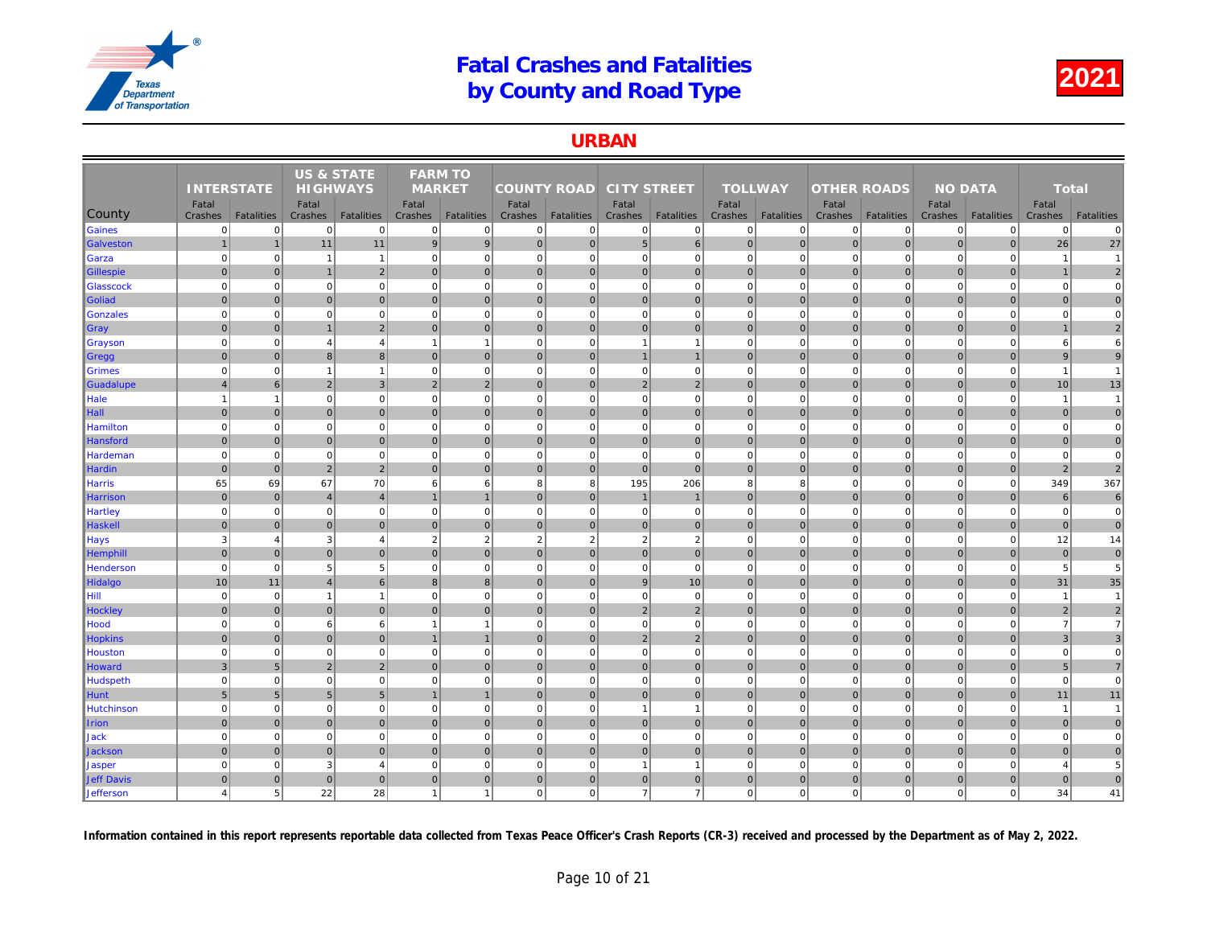#### URBAN

|                      |                       |                               | <b>US &amp; STATE</b> |                   | <b>FARM TO</b>           |                             |                    |                |                    |                   |                             |                   |                    |                   |     |
|----------------------|-----------------------|-------------------------------|-----------------------|-------------------|--------------------------|-----------------------------|--------------------|----------------|--------------------|-------------------|-----------------------------|-------------------|--------------------|-------------------|-----|
|                      | <b>INTERSTATE</b>     |                               | <b>HIGHWAYS</b>       |                   | <b>MARKET</b>            |                             | <b>COUNTY ROAD</b> |                | <b>CITY STREET</b> |                   | <b>TOLLWAY</b>              |                   | <b>OTHER ROADS</b> |                   |     |
|                      | Fatal                 |                               | Fatal                 |                   | Fatal                    |                             | Fatal              |                | Fatal              |                   | Fatal                       |                   | Fatal              |                   |     |
| County               | Crashes               | <b>Fatalities</b><br>$\Omega$ | Crashes               | <b>Fatalities</b> | Crashes                  | <b>Fatalities</b>           | Crashes            | Fatalities     | Crashes            | <b>Fatalities</b> | Crashes                     | <b>Fatalities</b> | Crashes            | <b>Fatalities</b> | Cra |
| Gaines               | $\overline{0}$        |                               | $\mathbf 0$           | $\mathbf{0}$      | $\mathbf 0$              | $\mathbf 0$                 | 0                  | $\mathbf 0$    | $\mathbf{0}$       | $\mathbf{0}$      | $\mathbf 0$                 | $\mathbf 0$       | $\mathbf 0$        | $\overline{0}$    |     |
| <b>Galveston</b>     | $\mathbf{1}$          | $\overline{1}$                | 11                    | 11                | $\boldsymbol{9}$         | 9                           | 0                  | $\mathbf 0$    | 5 <sup>5</sup>     | $6 \overline{6}$  | $\mathbf 0$                 | $\overline{0}$    | $\pmb{0}$          | $\overline{0}$    |     |
| Garza                | $\mathbf 0$           | $\Omega$                      | -1                    | $\mathbf{1}$      | $\mathbf 0$              | $\mathbf 0$<br>$\mathbf{0}$ | 0 <br> 0           | $\Omega$       | $\overline{0}$     | $\mathbf 0$       | $\mathbf 0$<br>$\mathbf{0}$ | $\mathbf 0$       | $\mathbf 0$        | $\Omega$          |     |
| Gillespie            | $\mathbf{0}$          | $\mathbf{0}$                  | $\overline{1}$        | $\overline{2}$    | $\mathbf{0}$             |                             |                    | $\overline{0}$ | $\overline{0}$     | $\overline{0}$    |                             | $\overline{0}$    | $\mathbf{0}$       | $\overline{0}$    |     |
| Glasscock            | $\mathbf 0$           | $\Omega$                      | $\Omega$              | $\mathbf 0$       | $\mathbf 0$              | $\mathbf 0$                 | $\overline{0}$     | $\Omega$       | $\mathbf{0}$       | $\mathbf 0$       | $\mathbf 0$                 | $\mathbf 0$       | $\mathbf 0$        | $\mathbf 0$       |     |
| Goliad               | $\mathbf{0}$          | $\Omega$                      | $\Omega$              | $\overline{0}$    | $\mathbf{0}$             | $\mathbf{0}$                | $\overline{0}$     | $\mathbf{0}$   | $\overline{0}$     | $\overline{0}$    | $\mathbf{0}$                | $\Omega$          | $\mathbf{0}$       | $\Omega$          |     |
| Gonzales             | $\mathbf 0$           | $\mathbf 0$                   | $\mathbf 0$           | $\overline{0}$    | $\mathbf 0$              | $\mathbf 0$                 | 0                  | $\mathbf 0$    | $\mathbf{0}$       | $\mathbf{0}$      | $\mathbf 0$                 | $\mathbf 0$       | $\mathbf 0$        | $\mathbf 0$       |     |
| $\sqrt{\frac{1}{2}}$ | $\mathbf{0}$          | $\overline{0}$                | $\overline{1}$        | $\overline{2}$    | $\mathbf{0}$             | $\mathbf{0}$                | 0                  | $\overline{0}$ | $\overline{0}$     | $\mathbf 0$       | $\mathbf{0}$                | $\mathbf{0}$      | $\mathbf 0$        | $\overline{0}$    |     |
| <b>Grayson</b>       | $\mathbf 0$           | $\Omega$                      | $\overline{4}$        | $\overline{4}$    | $\overline{\phantom{a}}$ | $\overline{1}$              | $\mathbf{0}$       | $\mathbf 0$    | $\mathbf{1}$       | $\overline{1}$    | $\mathbf 0$                 | $\mathbf 0$       | $\mathbf 0$        | $\mathbf 0$       |     |
| ∥Gregg               | $\mathbf{0}$          | $\Omega$                      | $\boldsymbol{8}$      | 8 <sup>1</sup>    | $\mathbf{0}$             | $\overline{0}$              | 0                  | $\mathbf 0$    | 1                  | 1                 | $\mathbf{0}$                | $\overline{0}$    | $\mathbf 0$        | $\overline{0}$    |     |
| Grimes               | $\mathbf 0$           | $\mathbf 0$                   | $\overline{1}$        | $\mathbf{1}$      | $\mathbf 0$              | $\mathbf 0$                 | 0                  | $\mathbf 0$    | $\mathbf 0$        | $\mathbf 0$       | $\mathbf 0$                 | $\mathbf 0$       | $\mathbf 0$        | $\mathbf 0$       |     |
| Guadalupe            | $\overline{4}$        | 6                             | $\overline{2}$        | $\mathbf{3}$      | 2                        | $\overline{2}$              | $\overline{0}$     | $\overline{0}$ | $\overline{2}$     | $\sqrt{2}$        | $\mathbf{0}$                | $\mathbf{0}$      | $\mathbf 0$        | $\overline{0}$    |     |
| Hale                 | $\mathbf{1}$          | 1                             | $\mathbf 0$           | $\mathbf{0}$      | $\mathbf 0$              | $\mathbf 0$                 | $\overline{0}$     | $\mathbf 0$    | $\mathbf{0}$       | $\mathbf{0}$      | $\mathbf 0$                 | $\mathbf 0$       | $\mathbf 0$        | $\mathbf 0$       |     |
| Hall                 | $\mathbf{0}$          | $\Omega$                      | $\mathbf 0$           | $\overline{0}$    | $\Omega$                 | $\mathbf{0}$                | $\overline{0}$     | $\overline{0}$ | $\overline{0}$     | $\overline{0}$    | $\mathbf{0}$                | $\Omega$          | $\mathbf 0$        | $\Omega$          |     |
| Hamilton             | $\overline{0}$        | $\Omega$                      | $\Omega$              | $\overline{0}$    | $\mathbf 0$              | $\mathbf 0$                 | 0                  | $\overline{0}$ | $\overline{0}$     | $\overline{0}$    | $\mathbf 0$                 | $\Omega$          | $\mathbf 0$        | $\Omega$          |     |
| Hansford             | $\mathbf 0$           | $\overline{0}$                | $\mathbf 0$           | $\overline{0}$    | $\mathbf 0$              | $\mathbf 0$                 | 0                  | $\overline{0}$ | $\overline{0}$     | $\overline{0}$    | $\mathbf 0$                 | $\mathbf{0}$      | $\mathbf 0$        | $\mathbf 0$       |     |
| Hardeman             | $\mathbf 0$           | $\mathbf 0$                   | $\Omega$              | $\overline{0}$    | $\mathbf 0$              | $\mathbf 0$                 | 0                  | $\Omega$       | $\overline{0}$     | $\Omega$          | $\mathbf 0$                 | $\mathbf 0$       | $\mathbf 0$        | $\overline{0}$    |     |
| Hardin               | $\mathbf 0$           | $\mathbf 0$                   | $\overline{2}$        | $\overline{2}$    | $\mathbf{0}$             | $\mathbf{0}$                | 0                  | $\overline{0}$ | $\overline{0}$     | $\overline{0}$    | $\mathbf 0$                 | $\overline{0}$    | $\mathbf 0$        | $\overline{0}$    |     |
| <b>Harris</b>        | 65                    | 69                            | 67                    | 70                | 6                        | 6                           | 8                  | 8              | 195                | 206               | 8                           | 8                 | $\mathbf 0$        | $\Omega$          |     |
| Harrison             | $\mathbf 0$           | $\overline{0}$                | $\overline{4}$        | $\overline{4}$    |                          | $\mathbf{1}$                | $\overline{0}$     | $\overline{0}$ | $\overline{1}$     | $\mathbf{1}$      | $\mathbf 0$                 | $\mathbf{0}$      | $\mathbf 0$        | $\overline{0}$    |     |
| Hartley              | $\mathbf 0$           | $\mathbf 0$                   | $\mathbf 0$           | $\overline{0}$    | $\mathbf 0$              | $\mathbf 0$                 | 0                  | $\mathbf 0$    | $\mathbf{0}$       | $\overline{0}$    | $\mathbf 0$                 | $\mathbf 0$       | $\mathbf 0$        | $\mathbf 0$       |     |
| Haskell              | $\mathbf 0$           | $\overline{0}$                | $\overline{0}$        | $\overline{0}$    | $\mathbf{0}$             | $\mathbf{0}$                | $\overline{0}$     | $\mathbf 0$    | $\overline{0}$     | $\overline{0}$    | $\mathbf 0$                 | $\Omega$          | $\mathbf 0$        | $\overline{0}$    |     |
| <b>Hays</b>          | 3                     | $\overline{4}$                | 3                     | $\overline{4}$    | $\overline{2}$           | $\overline{2}$              | $\overline{2}$     | $\overline{2}$ | $\overline{2}$     | 2                 | $\mathbf 0$                 | $\mathbf 0$       | $\mathbf 0$        | $\Omega$          |     |
| Hemphill             | $\mathbf{0}$          | $\mathbf{0}$                  | $\overline{0}$        | $\overline{0}$    | $\mathbf{0}$             | $\mathbf{0}$                | 0                  | $\mathbf 0$    | $\overline{0}$     | $\overline{0}$    | $\mathbf{0}$                | $\overline{0}$    | $\mathbf{0}$       | $\overline{0}$    |     |
| Henderson            | $\mathbf 0$           | $\mathbf 0$                   | 5                     | 5                 | $\mathbf 0$              | $\mathbf 0$                 | 0                  | $\Omega$       | $\overline{0}$     | $\mathbf 0$       | $\mathbf 0$                 | $\mathbf 0$       | $\mathbf 0$        | $\overline{0}$    |     |
| Hidalgo              | 10                    | 11                            | $\overline{4}$        | $6 \overline{6}$  | $\overline{8}$           | 8                           | 0                  | $\Omega$       | 9                  | 10                | $\mathbf{0}$                | $\mathbf{0}$      | $\mathbf{0}$       | $\Omega$          |     |
| Hill                 | $\mathbf 0$           | $\mathbf 0$                   | -1                    | $\mathbf{1}$      | $\mathbf 0$              | $\mathbf 0$                 | $\mathbf{0}$       | $\mathbf 0$    | $\mathbf{0}$       | $\mathbf 0$       | $\mathbf 0$                 | $\mathbf 0$       | $\mathbf 0$        | $\mathbf 0$       |     |
| <b>Hockley</b>       | $\mathbf{0}$          | $\Omega$                      | $\Omega$              | $\overline{0}$    | $\mathbf{0}$             | $\mathbf{0}$                | $\overline{0}$     | $\mathbf{0}$   | 2                  | $\overline{2}$    | $\mathbf{0}$                | $\Omega$          | $\mathbf{0}$       | $\Omega$          |     |
| Hood                 | $\mathbf 0$           | $\mathbf 0$                   | 6                     | 6                 | $\overline{\phantom{a}}$ | $\mathbf{1}$                | 0                  | $\mathbf 0$    | $\mathbf{0}$       | $\mathbf 0$       | $\mathbf 0$                 | $\mathbf 0$       | $\mathbf 0$        | $\mathbf 0$       |     |
| <b>Hopkins</b>       | $\Omega$              | $\overline{0}$                | $\mathbf{0}$          | $\overline{0}$    |                          | $\overline{1}$              | 0                  | $\overline{0}$ | $\overline{2}$     | $\overline{2}$    | $\mathbf{0}$                | $\Omega$          | $\mathbf 0$        | $\overline{0}$    |     |
| Houston              | $\mathbf 0$           | $\mathbf 0$                   | $\Omega$              | $\mathbf{0}$      | $\mathbf 0$              | $\mathbf 0$                 | 0                  | $\mathbf 0$    | $\mathbf{0}$       | $\mathbf{0}$      | $\mathbf 0$                 | $\mathbf 0$       | $\mathbf 0$        | $\mathbf 0$       |     |
| Howard               | $\mathbf{3}$          | 5                             | $\overline{2}$        | $\overline{2}$    | $\mathbf{0}$             | $\mathbf{0}$                | 0                  | $\mathbf 0$    | $\overline{0}$     | $\overline{0}$    | $\mathbf{0}$                | $\overline{0}$    | $\mathbf{0}$       | $\overline{0}$    |     |
| Hudspeth             | $\mathbf 0$           | $\mathbf 0$                   | $\mathbf 0$           | $\overline{0}$    | $\mathbf 0$              | $\mathbf 0$                 | 0                  | $\mathbf 0$    | $\mathbf{0}$       | $\overline{0}$    | $\mathbf 0$                 | $\mathbf 0$       | $\mathbf 0$        | $\mathbf 0$       |     |
| Hunt                 | $\,$ 5 $\,$           | 5                             | 5                     | $5\overline{)}$   |                          | $\overline{1}$              | $\overline{0}$     | $\mathbf 0$    | $\overline{0}$     | $\overline{0}$    | $\mathbf 0$                 | $\Omega$          | $\mathbf 0$        | $\mathbf 0$       |     |
| Hutchinson           | $\mathbf 0$           | $\mathbf 0$                   | $\Omega$              | $\overline{0}$    | $\mathbf 0$              | $\mathbf 0$                 | 0                  | $\mathbf 0$    | $\mathbf{1}$       | $\mathbf{1}$      | $\mathbf 0$                 | $\mathbf 0$       | $\mathbf 0$        | $\Omega$          |     |
| Irion                | $\mathbf{0}$          | $\mathbf 0$                   | $\overline{0}$        | $\overline{0}$    | $\Omega$                 | $\mathbf{0}$                | $\overline{0}$     | $\overline{0}$ | $\overline{0}$     | $\overline{0}$    | $\mathbf 0$                 | $\overline{0}$    | $\mathbf 0$        | $\mathbf 0$       |     |
| Jack                 | $\mathbf 0$           | $\Omega$                      | $\Omega$              | $\overline{0}$    | $\mathbf 0$              | $\mathbf 0$                 | 0                  | $\mathbf 0$    | $\mathbf{0}$       | $\overline{0}$    | $\mathbf 0$                 | $\mathbf 0$       | $\mathbf 0$        | $\mathbf 0$       |     |
| <b>Jackson</b>       | $\pmb{0}$             | $\mathbf 0$                   | $\overline{0}$        | $\overline{0}$    | $\mathbf 0$              | $\mathbf 0$                 | $\overline{0}$     | $\overline{0}$ | $\overline{0}$     | $\overline{0}$    | $\mathbf 0$                 | $\overline{0}$    | $\bf{0}$           | $\mathbf 0$       |     |
| <b>Jasper</b>        | $\mathbf 0$           | $\mathbf 0$                   | 3                     | $\overline{4}$    | $\mathbf 0$              | $\mathbf 0$                 | 0                  | $\Omega$       | $\mathbf{1}$       | $\mathbf{1}$      | $\mathbf 0$                 | $\mathbf 0$       | $\mathbf 0$        | $\Omega$          |     |
| Jeff Davis           | $\mathbf 0$           | $\mathbf{0}$                  | $\Omega$              | $\overline{0}$    | $\mathbf{0}$             | $\mathbf{0}$                | $\overline{0}$     | $\overline{0}$ | 0                  | $\overline{0}$    | $\mathbf 0$                 | $\overline{0}$    | $\mathbf 0$        | $\overline{0}$    |     |
| Jefferson            | $\boldsymbol{\Delta}$ | 5 <sup>2</sup>                | 22                    | 28                |                          | $\overline{1}$              | 0                  | $\Omega$       | $\overline{7}$     | $\overline{7}$    | $\mathbf 0$                 | $\mathbf 0$       | $\mathbf 0$        | $\mathbf{0}$      |     |
|                      |                       |                               |                       |                   |                          |                             |                    |                |                    |                   |                             |                   |                    |                   |     |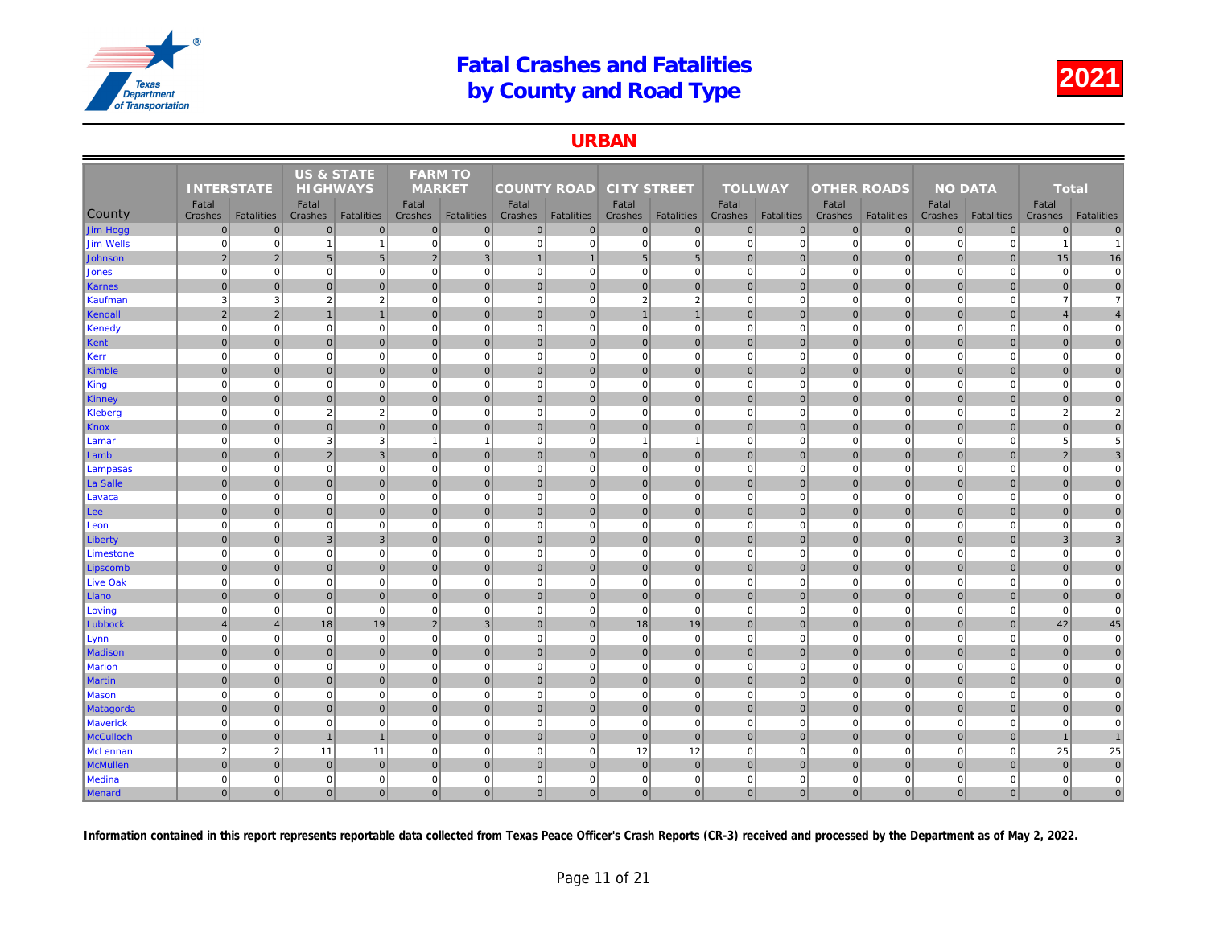#### URBAN

|                  |                   |                   | <b>US &amp; STATE</b> |                   | <b>FARM TO</b> |                   |                    |                   |                    |                   |                |                   |                    |                   |     |
|------------------|-------------------|-------------------|-----------------------|-------------------|----------------|-------------------|--------------------|-------------------|--------------------|-------------------|----------------|-------------------|--------------------|-------------------|-----|
|                  | <b>INTERSTATE</b> |                   | <b>HIGHWAYS</b>       |                   | <b>MARKET</b>  |                   | <b>COUNTY ROAD</b> |                   | <b>CITY STREET</b> |                   | <b>TOLLWAY</b> |                   | <b>OTHER ROADS</b> |                   |     |
|                  | Fatal             |                   | Fatal                 |                   | Fatal          |                   | Fatal              |                   | Fatal              |                   | Fatal          |                   | Fatal              |                   |     |
| County           | Crashes           | <b>Fatalities</b> | Crashes               | <b>Fatalities</b> | Crashes        | <b>Fatalities</b> | Crashes            | <b>Fatalities</b> | Crashes            | <b>Fatalities</b> | Crashes        | <b>Fatalities</b> | Crashes            | <b>Fatalities</b> | Cra |
| Jim Hogg         | $\overline{0}$    | $\overline{0}$    | $\mathbf{0}$          | $\overline{0}$    | $\Omega$       | $\mathbf 0$       | $\Omega$           | $\overline{0}$    | $\mathbf 0$        | $\overline{0}$    | $\mathbf 0$    | $\overline{0}$    | $\mathbf 0$        | $\mathbf 0$       |     |
| <b>Jim Wells</b> | $\mathbf 0$       | $\mathbf 0$       | -1                    | $\overline{1}$    | $\mathbf 0$    | $\mathbf 0$       | $\mathbf 0$        | $\Omega$          | $\pmb{0}$          | $\overline{0}$    | $\mathbf 0$    | $\mathbf 0$       | $\mathbf 0$        | $\Omega$          |     |
| Johnson          | $\overline{2}$    | 2                 | 5                     | $5\overline{)}$   | $\overline{2}$ | $\mathbf{3}$      | $\mathbf 1$        |                   | 5 <sup>5</sup>     | 5 <sub>5</sub>    | $\mathbf{0}$   | $\Omega$          | $\mathbf{0}$       | $\Omega$          |     |
| Jones            | $\overline{0}$    | $\mathbf{0}$      | $\mathbf 0$           | $\mathbf 0$       | $\mathbf 0$    | $\mathbf 0$       | 0                  | $\Omega$          | $\pmb{0}$          | $\mathbf{0}$      | $\mathbf 0$    | $\mathbf 0$       | $\mathbf 0$        | $\Omega$          |     |
| <b>Karnes</b>    | $\Omega$          | $\overline{0}$    | $\mathbf 0$           | $\overline{0}$    | $\mathbf{0}$   | $\mathbf{0}$      | $\overline{0}$     | $\mathbf 0$       | 0                  | $\overline{0}$    | $\mathbf{0}$   | $\overline{0}$    | $\mathbf 0$        | $\overline{0}$    |     |
| Kaufman          | 3                 | 3                 | $\overline{2}$        | $\overline{2}$    | $\mathbf 0$    | $\mathbf 0$       | $\mathbf{0}$       | $\Omega$          | $\sqrt{2}$         | $\overline{2}$    | $\mathbf 0$    | $\Omega$          | $\mathbf 0$        | $\mathbf 0$       |     |
| Kendall          | $\overline{2}$    | $\overline{2}$    | $\overline{1}$        | $\mathbf{1}$      | $\overline{0}$ | 0                 | 0                  | $\mathbf{0}$      | $\mathbf{1}$       | 1                 | $\mathbf{0}$   | 0                 | $\mathbf 0$        | $\pmb{0}$         |     |
| Kenedy           | $\mathbf 0$       | $\mathbf{0}$      | $\mathbf 0$           | $\mathbf 0$       | $\mathbf 0$    | $\mathbf 0$       | $\mathbf{0}$       | $\mathbf 0$       | $\pmb{0}$          | $\overline{0}$    | $\mathbf 0$    | $\mathbf 0$       | $\mathbf 0$        | $\mathbf 0$       |     |
| Kent             | $\overline{0}$    | $\overline{0}$    | $\mathbf{0}$          | $\overline{0}$    | $\mathbf{0}$   | $\mathbf{0}$      | $\overline{0}$     | $\mathbf 0$       | 0                  | $\overline{0}$    | $\mathbf{0}$   | $\Omega$          | $\mathbf 0$        | $\overline{0}$    |     |
| Kerr             | $\mathbf 0$       | $\mathbf{0}$      | $\mathbf 0$           | $\mathbf 0$       | $\mathbf 0$    | $\mathbf 0$       | $\mathbf{0}$       | $\mathbf 0$       | $\pmb{0}$          | $\mathbf{0}$      | $\mathbf 0$    | $\mathbf 0$       | $\mathbf 0$        | $\mathbf 0$       |     |
| Kimble           | $\Omega$          | $\overline{0}$    | $\mathbf{0}$          | $\overline{0}$    | $\Omega$       | $\mathbf{0}$      | $\Omega$           | $\mathbf{0}$      | 0                  | $\overline{0}$    | $\mathbf{0}$   | $\overline{0}$    | $\mathbf 0$        | $\Omega$          |     |
| King             | $\overline{0}$    | $\overline{0}$    | $\mathbf 0$           | $\mathbf 0$       | $\mathbf 0$    | $\mathbf 0$       | $\overline{0}$     | $\mathbf 0$       | $\pmb{0}$          | $\overline{0}$    | $\mathbf 0$    | $\mathbf 0$       | $\mathbf 0$        | $\mathbf 0$       |     |
| Kinney           | $\overline{0}$    | $\overline{0}$    | $\mathbf 0$           | $\overline{0}$    | $\mathbf{0}$   | $\mathbf 0$       | $\overline{0}$     | $\mathbf{0}$      | 0                  | $\overline{0}$    | $\mathbf{0}$   | $\overline{0}$    | $\mathbf 0$        | $\mathbf 0$       |     |
| <b>Kleberg</b>   | $\mathbf 0$       | $\overline{0}$    | 2                     | $\overline{2}$    | $\mathbf 0$    | $\mathbf 0$       | $\overline{0}$     | $\mathbf 0$       | $\mathbf 0$        | $\overline{0}$    | $\mathbf 0$    | $\mathbf 0$       | $\mathbf 0$        | $\mathbf 0$       |     |
| <b>Knox</b>      | $\overline{0}$    | $\overline{0}$    | $\mathbf{0}$          | $\overline{0}$    | $\Omega$       | $\mathbf{0}$      | 0                  | $\mathbf 0$       | 0                  | $\overline{0}$    | $\mathbf{0}$   | $\overline{0}$    | $\mathbf 0$        | $\pmb{0}$         |     |
| Lamar            | $\overline{0}$    | $\overline{0}$    | 3                     | $\mathbf{3}$      | $\overline{1}$ | $\overline{1}$    | $\overline{0}$     | $\Omega$          | $\mathbf{1}$       | $\mathbf{1}$      | $\mathbf 0$    | $\mathbf 0$       | $\mathbf 0$        | $\Omega$          |     |
| Lamb             | $\mathbf 0$       | $\overline{0}$    | $\overline{2}$        | $\mathbf{3}$      | $\overline{0}$ | $\mathbf 0$       | $\overline{0}$     | $\mathbf{0}$      | 0                  | $\overline{0}$    | $\mathbf{0}$   | $\overline{0}$    | $\mathbf 0$        | $\overline{0}$    |     |
| Lampasas         | $\mathbf 0$       | $\overline{0}$    | $\mathbf 0$           | $\overline{0}$    | $\mathbf 0$    | $\mathbf 0$       | 0                  | $\mathbf 0$       | $\overline{0}$     | $\overline{0}$    | $\mathbf 0$    | $\mathbf 0$       | $\mathbf 0$        | $\mathbf 0$       |     |
| La Salle         | $\Omega$          | $\overline{0}$    | $\mathbf 0$           | $\overline{0}$    | $\Omega$       | $\mathbf{0}$      | 0                  | $\mathbf 0$       | 0                  | $\overline{0}$    | $\mathbf{0}$   | $\overline{0}$    | $\mathbf 0$        | $\Omega$          |     |
| Lavaca           | $\Omega$          | $\overline{0}$    | $\Omega$              | $\overline{0}$    | $\Omega$       | $\mathbf 0$       | $\overline{0}$     | $\Omega$          | $\mathbf 0$        | $\overline{0}$    | $\mathbf 0$    | $\Omega$          | $\mathbf 0$        | $\Omega$          |     |
| Lee              | $\mathbf 0$       | $\overline{0}$    | 0                     | $\overline{0}$    | $\overline{0}$ | $\mathbf 0$       | 0                  | $\mathbf 0$       | 0                  | $\overline{0}$    | $\mathbf{0}$   | $\overline{0}$    | $\mathbf 0$        | $\pmb{0}$         |     |
| Leon             | $\Omega$          | $\overline{0}$    | $\mathbf 0$           | $\mathbf 0$       | $\mathbf 0$    | $\mathbf 0$       | 0                  | $\Omega$          | $\mathbf 0$        | $\overline{0}$    | $\mathbf 0$    | $\mathbf 0$       | $\mathbf 0$        | $\mathbf 0$       |     |
| Liberty          | $\overline{0}$    | $\overline{0}$    | 3                     | $\overline{3}$    | $\Omega$       | $\mathbf{0}$      | $\overline{0}$     | $\mathbf 0$       | 0                  | $\overline{0}$    | $\mathbf{0}$   | $\overline{0}$    | $\mathbf 0$        | $\mathbf 0$       |     |
| Limestone        | $\Omega$          | $\overline{0}$    | $\mathbf 0$           | $\mathbf 0$       | $\mathbf 0$    | $\mathbf 0$       | $\overline{0}$     | $\Omega$          | $\pmb{0}$          | $\overline{0}$    | $\mathbf 0$    | $\mathbf 0$       | $\mathbf 0$        | $\mathbf 0$       |     |
| Lipscomb         | $\overline{0}$    | $\mathbf{0}$      | $\mathbf{0}$          | $\overline{0}$    | $\mathbf{0}$   | $\mathbf 0$       | $\overline{0}$     | $\mathbf 0$       | $\mathbf 0$        | $\overline{0}$    | $\mathbf{0}$   | $\overline{0}$    | $\mathbf 0$        | $\overline{0}$    |     |
| <b>Live Oak</b>  | $\overline{0}$    | $\mathbf{0}$      | $\mathbf 0$           | $\mathbf 0$       | $\mathbf 0$    | $\mathbf 0$       | 0                  | $\Omega$          | $\mathbf 0$        | $\mathbf{0}$      | $\mathbf 0$    | $\Omega$          | $\mathbf 0$        | $\Omega$          |     |
| Llano            | $\overline{0}$    | $\overline{0}$    | $\mathbf 0$           | $\overline{0}$    | $\mathbf 0$    | $\mathbf 0$       | $\overline{0}$     | $\mathbf 0$       | 0                  | $\overline{0}$    | $\mathbf 0$    | $\overline{0}$    | $\mathbf 0$        | $\mathbf 0$       |     |
| Loving           | $\Omega$          | $\overline{0}$    | $\Omega$              | $\mathbf 0$       | $\mathbf 0$    | $\mathbf 0$       | $\overline{0}$     | $\Omega$          | $\mathbf 0$        | $\overline{0}$    | $\mathbf 0$    | $\Omega$          | $\mathbf 0$        | $\mathbf 0$       |     |
| Lubbock          | $\overline{4}$    | $\overline{4}$    | 18                    | 19                | $\overline{2}$ | $\mathbf{3}$      | 0                  | $\mathbf 0$       | 18                 | 19                | $\mathbf{0}$   | $\overline{0}$    | $\mathbf 0$        | $\pmb{0}$         |     |
| Lynn             | $\mathbf 0$       | $\mathbf{0}$      | $\mathbf 0$           | $\overline{0}$    | $\mathbf 0$    | $\mathbf 0$       | 0                  | $\mathbf 0$       | $\mathbf 0$        | $\overline{0}$    | $\mathbf 0$    | $\mathbf 0$       | $\mathbf 0$        | $\mathbf 0$       |     |
| <b>Madison</b>   | $\overline{0}$    | $\overline{0}$    | $\mathbf{0}$          | $\overline{0}$    | $\mathbf{0}$   | $\mathbf{0}$      | $\overline{0}$     | $\mathbf 0$       | $\pmb{0}$          | $\overline{0}$    | $\mathbf{0}$   | $\mathbf{0}$      | $\mathbf{0}$       | $\overline{0}$    |     |
| <b>Marion</b>    | $\mathbf 0$       | $\mathbf{0}$      | $\mathbf 0$           | $\mathbf 0$       | $\mathbf 0$    | $\mathbf 0$       | $\mathbf{0}$       | 0                 | $\mathbf 0$        | $\mathbf{0}$      | $\mathbf 0$    | $\mathbf 0$       | $\mathbf 0$        | $\mathbf 0$       |     |
| <b>Martin</b>    | $\Omega$          | $\overline{0}$    | $\mathbf{0}$          | $\overline{0}$    | $\Omega$       | $\mathbf{0}$      | $\overline{0}$     | $\mathbf{0}$      | 0                  | $\overline{0}$    | $\mathbf{0}$   | $\Omega$          | $\mathbf 0$        | $\Omega$          |     |
| Mason            | $\overline{0}$    | $\mathbf{0}$      | $\mathbf 0$           | $\mathbf 0$       | $\mathbf 0$    | $\mathbf 0$       | $\mathbf{0}$       | $\mathbf 0$       | $\mathbf 0$        | $\mathbf{0}$      | $\mathbf 0$    | $\mathbf 0$       | $\mathbf 0$        | $\mathbf 0$       |     |
| Matagorda        | $\overline{0}$    | $\overline{0}$    | $\mathbf 0$           | $\overline{0}$    | $\mathbf{0}$   | $\mathbf{0}$      | $\overline{0}$     | $\mathbf 0$       | 0                  | $\overline{0}$    | $\mathbf{0}$   | $\overline{0}$    | $\mathbf 0$        | $\mathbf 0$       |     |
| <b>Maverick</b>  | $\Omega$          | $\mathbf{0}$      | $\mathbf 0$           | $\mathbf 0$       | $\mathbf 0$    | $\mathbf 0$       | $\overline{0}$     | $\Omega$          | $\pmb{0}$          | $\mathbf{0}$      | $\mathbf 0$    | $\mathbf 0$       | $\mathbf 0$        | $\mathbf 0$       |     |
| <b>McCulloch</b> | $\Omega$          | $\overline{0}$    | $\overline{1}$        | $\overline{1}$    | $\Omega$       | $\mathbf{0}$      | $\Omega$           | $\mathbf{0}$      | 0                  | $\Omega$          | $\Omega$       | $\Omega$          | $\mathbf{0}$       | $\mathbf{0}$      |     |
| <b>McLennan</b>  | $\overline{2}$    | $\overline{2}$    | 11                    | 11                | $\mathbf 0$    | $\mathbf 0$       | $\mathbf{0}$       | $\mathbf 0$       | 12                 | 12                | $\mathbf 0$    | $\mathbf 0$       | $\mathbf 0$        | $\mathbf 0$       |     |
| <b>McMullen</b>  | $\overline{0}$    | $\mathbf{0}$      | $\mathbf 0$           | $\overline{0}$    | $\mathbf{0}$   | $\mathbf{0}$      | $\Omega$           | $\mathbf 0$       | $\pmb{0}$          | $\overline{0}$    | $\mathbf{0}$   | $\overline{0}$    | $\mathbf 0$        | $\overline{0}$    |     |
| <b>Medina</b>    | $\mathbf 0$       | $\mathbf{0}$      | 0                     | $\overline{0}$    | $\mathbf 0$    | $\mathbf 0$       | $\mathbf{0}$       | 0                 | $\mathbf 0$        | $\mathbf{0}$      | $\mathbf 0$    | $\mathbf 0$       | $\mathbf 0$        | 0                 |     |
| Menard           | $\overline{0}$    | 0                 | $\mathbf{0}$          | $\overline{0}$    | $\Omega$       | $\mathbf{0}$      | $\overline{0}$     | $\Omega$          | 0                  | $\overline{0}$    | $\mathbf{0}$   | 0                 | $\Omega$           | $\mathbf{0}$      |     |
|                  |                   |                   |                       |                   |                |                   |                    |                   |                    |                   |                |                   |                    |                   |     |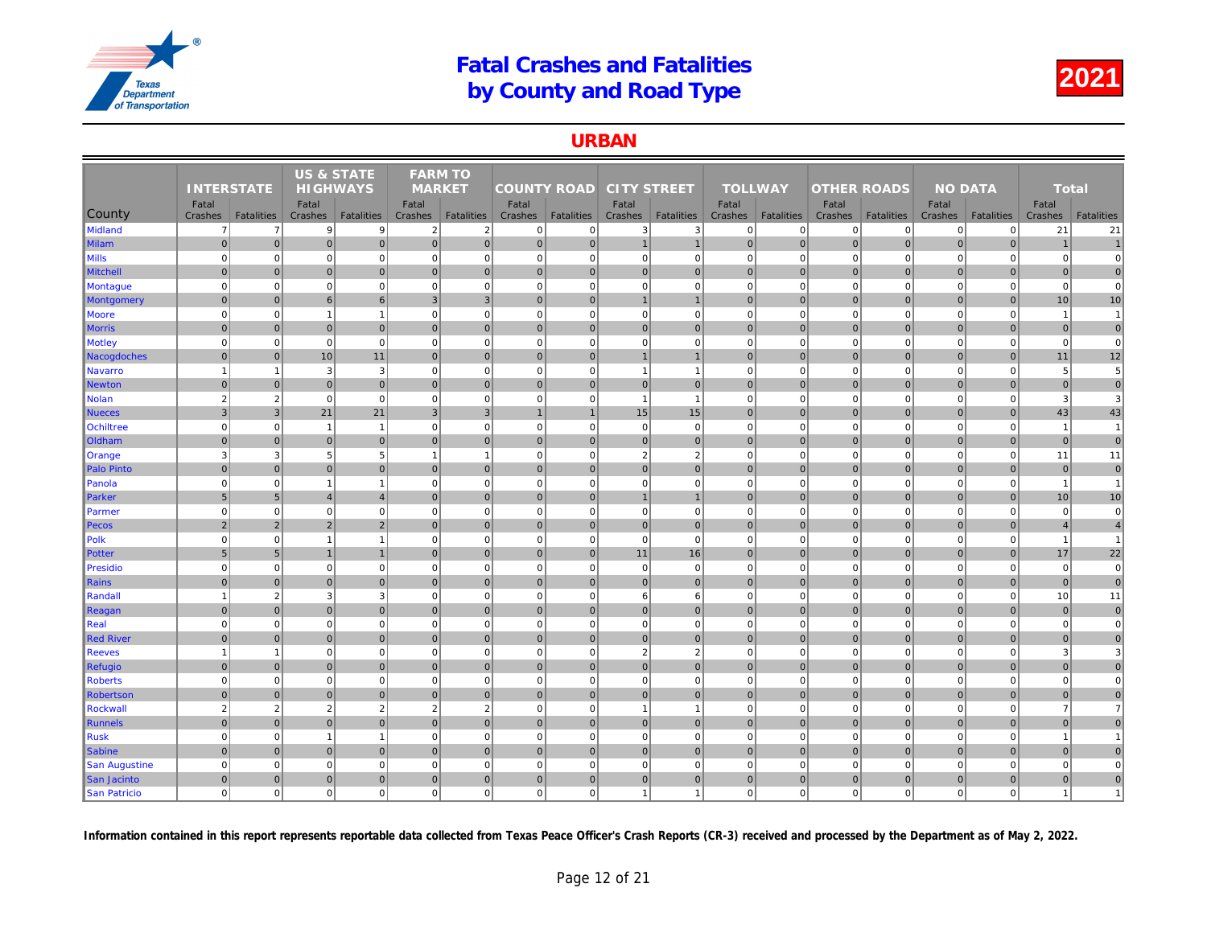#### URBAN

|                      |                   |                   | <b>US &amp; STATE</b> |                   | <b>FARM TO</b>   |                   |                    |                   |                    |                   |                  |                   |                    |                   |     |
|----------------------|-------------------|-------------------|-----------------------|-------------------|------------------|-------------------|--------------------|-------------------|--------------------|-------------------|------------------|-------------------|--------------------|-------------------|-----|
|                      | <b>INTERSTATE</b> |                   | <b>HIGHWAYS</b>       |                   | <b>MARKET</b>    |                   | <b>COUNTY ROAD</b> |                   | <b>CITY STREET</b> |                   | <b>TOLLWAY</b>   |                   | <b>OTHER ROADS</b> |                   |     |
| County               | Fatal<br>Crashes  | <b>Fatalities</b> | Fatal<br>Crashes      | <b>Fatalities</b> | Fatal<br>Crashes | <b>Fatalities</b> | Fatal<br>Crashes   | <b>Fatalities</b> | Fatal<br>Crashes   | <b>Fatalities</b> | Fatal<br>Crashes | <b>Fatalities</b> | Fatal<br>Crashes   | <b>Fatalities</b> | Cra |
| <b>Midland</b>       | $\overline{7}$    | $\overline{7}$    | 9 <sup>1</sup>        | 9                 | $\overline{2}$   | $\overline{2}$    | $\overline{0}$     | $\mathbf 0$       | 3                  | 3                 | $\mathbf 0$      | $\overline{0}$    | $\mathbf 0$        | $\mathbf 0$       |     |
| <b>Milam</b>         | $\mathbf 0$       | $\overline{0}$    | $\mathbf 0$           | $\overline{0}$    | $\overline{0}$   | $\mathbf 0$       | $\overline{0}$     | $\mathbf 0$       | $\mathbf{1}$       | $\mathbf{1}$      | $\mathbf 0$      | $\overline{0}$    | $\mathbf 0$        | $\pmb{0}$         |     |
| Vills                | $\Omega$          | $\overline{0}$    | $\mathbf 0$           | $\mathbf 0$       | $\mathbf 0$      | $\mathbf 0$       | $\overline{0}$     | $\mathbf 0$       | $\mathbf 0$        | $\overline{0}$    | $\mathbf 0$      | $\mathbf 0$       | $\mathbf 0$        | $\mathbf 0$       |     |
| <b>Mitchell</b>      | $\overline{0}$    | $\overline{0}$    | $\mathbf{0}$          | $\overline{0}$    | $\Omega$         | $\mathbf{0}$      | 0                  | $\mathbf{0}$      | 0                  | $\overline{0}$    | $\mathbf{0}$     | $\overline{0}$    | $\mathbf{0}$       | $\mathbf{0}$      |     |
| <b>Montague</b>      | $\Omega$          | $\overline{0}$    | $\mathbf 0$           | $\mathbf 0$       | $\mathbf 0$      | $\mathbf 0$       | $\mathbf{0}$       | $\Omega$          | $\pmb{0}$          | $\overline{0}$    | $\mathbf 0$      | $\mathbf 0$       | $\mathbf 0$        | $\mathbf 0$       |     |
| <b>Montgomery</b>    | $\Omega$          | $\overline{0}$    | 6                     | 6                 | 3                | $\overline{3}$    | $\Omega$           | $\Omega$          | $\mathbf{1}$       | $\mathbf{1}$      | $\mathbf{0}$     | $\overline{0}$    | $\mathbf{0}$       | $\Omega$          |     |
| Moore                | $\overline{0}$    | $\mathbf{0}$      | $\mathbf{1}$          | $\overline{1}$    | $\mathbf 0$      | $\mathbf 0$       | 0                  | $\mathbf 0$       | 0                  | $\mathbf{0}$      | $\mathbf 0$      | $\mathbf 0$       | $\mathbf 0$        | $\mathbf 0$       |     |
| <b>Morris</b>        | $\Omega$          | $\overline{0}$    | $\mathbf{0}$          | $\overline{0}$    | $\mathbf{0}$     | $\mathbf{0}$      | $\overline{0}$     | $\mathbf 0$       | 0                  | $\overline{0}$    | $\mathbf{0}$     | $\overline{0}$    | $\mathbf 0$        | $\overline{0}$    |     |
| <b>Motley</b>        | $\Omega$          | $\overline{0}$    | $\mathbf 0$           | $\mathbf 0$       | $\Omega$         | $\mathbf 0$       | $\mathbf 0$        | $\Omega$          | $\mathbf 0$        | $\mathbf 0$       | $\mathbf 0$      | $\Omega$          | $\mathbf 0$        | 0                 |     |
| Nacogdoches          | $\mathbf 0$       | $\overline{0}$    | 10                    | 11                | $\overline{0}$   | $\mathbf{0}$      | 0                  | $\mathbf 0$       | 1                  | $\vert$ 1         | $\mathbf{0}$     | 0                 | $\mathbf 0$        | $\pmb{0}$         |     |
| <b>Navarro</b>       | $\overline{1}$    | $\mathbf{1}$      | 3                     | $\mathbf{3}$      | $\mathbf 0$      | $\mathbf 0$       | $\mathbf{0}$       | $\mathbf 0$       | $\mathbf{1}$       | $\mathbf{1}$      | $\mathbf 0$      | $\mathbf 0$       | $\mathbf 0$        | $\mathbf 0$       |     |
| <b>Newton</b>        | $\overline{0}$    | $\overline{0}$    | $\mathbf{0}$          | $\overline{0}$    | $\mathbf{0}$     | $\mathbf{0}$      | $\overline{0}$     | $\mathbf 0$       | 0                  | $\overline{0}$    | $\mathbf{0}$     | $\overline{0}$    | $\mathbf 0$        | $\overline{0}$    |     |
| <b>Nolan</b>         | $\overline{2}$    | $\overline{2}$    | $\mathbf 0$           | $\mathbf 0$       | $\mathbf 0$      | $\mathbf 0$       | $\mathbf{0}$       | $\mathbf 0$       | $\overline{1}$     | $\mathbf{1}$      | $\mathbf 0$      | $\mathbf 0$       | $\mathbf 0$        | $\mathbf 0$       |     |
| <b>Nueces</b>        | 3                 | 3 <sup>1</sup>    | 21                    | 21                | 3                | $\mathbf{3}$      | $\mathbf 1$        | $\overline{1}$    | 15                 | 15                | $\mathbf{0}$     | $\overline{0}$    | $\mathbf 0$        | $\mathbf{0}$      |     |
| <b>Ochiltree</b>     | $\overline{0}$    | $\overline{0}$    | $\overline{1}$        | $\overline{1}$    | $\mathbf 0$      | $\mathbf 0$       | 0                  | $\overline{0}$    | $\mathbf 0$        | $\overline{0}$    | $\mathbf 0$      | $\mathbf 0$       | $\mathbf 0$        | $\Omega$          |     |
| Oldham               | $\mathbf 0$       | $\overline{0}$    | $\mathbf 0$           | $\overline{0}$    | $\mathbf{0}$     | $\mathbf 0$       | $\overline{0}$     | $\mathbf{0}$      | $\pmb{0}$          | $\overline{0}$    | $\mathbf 0$      | $\overline{0}$    | $\mathbf 0$        | $\mathbf 0$       |     |
| Orange               | 3                 | 3                 | 5                     | 5                 | $\overline{1}$   | $\mathbf{1}$      | 0                  | $\Omega$          | $\overline{2}$     | $\overline{2}$    | $\mathbf 0$      | $\mathbf 0$       | $\mathbf 0$        | $\mathbf 0$       |     |
| <b>Palo Pinto</b>    | $\overline{0}$    | $\overline{0}$    | $\mathbf{0}$          | $\overline{0}$    | $\Omega$         | $\mathbf{0}$      | 0                  | $\mathbf{0}$      | 0                  | $\overline{0}$    | $\mathbf{0}$     | 0                 | $\mathbf 0$        | $\mathbf 0$       |     |
| Panola               | $\Omega$          | $\overline{0}$    | $\overline{1}$        | $\overline{1}$    | $\Omega$         | $\mathbf 0$       | $\overline{0}$     | $\Omega$          | $\pmb{0}$          | $\overline{0}$    | $\mathbf 0$      | $\mathbf 0$       | $\mathbf 0$        | $\Omega$          |     |
| Parker               | 5                 | 5 <sub>5</sub>    | $\overline{4}$        | $\overline{4}$    | $\mathbf{0}$     | $\mathbf 0$       | $\overline{0}$     | $\mathbf 0$       | $\mathbf{1}$       | $\mathbf{1}$      | $\mathbf{0}$     | $\mathbf{0}$      | $\mathbf 0$        | $\overline{0}$    |     |
| Parmer               | $\mathbf 0$       | $\overline{0}$    | $\mathbf 0$           | $\overline{0}$    | $\mathbf 0$      | $\mathbf 0$       | 0                  | $\Omega$          | 0                  | $\overline{0}$    | $\mathbf 0$      | $\mathbf 0$       | $\mathbf 0$        | $\Omega$          |     |
| Pecos                | $\overline{2}$    | 2                 | $\overline{2}$        | $\overline{2}$    | $\mathbf{0}$     | $\mathbf 0$       | $\overline{0}$     | $\mathbf 0$       | 0                  | $\overline{0}$    | $\mathbf 0$      | $\overline{0}$    | $\mathbf 0$        | $\overline{0}$    |     |
| Polk                 | $\Omega$          | $\overline{0}$    | $\overline{1}$        | $\overline{1}$    | $\mathbf 0$      | $\mathbf 0$       | $\overline{0}$     | $\Omega$          | $\mathbf 0$        | $\overline{0}$    | $\mathbf 0$      | $\mathbf 0$       | $\mathbf 0$        | $\Omega$          |     |
| Potter               | $5\phantom{1}$    | 5 <sup>5</sup>    | $\overline{1}$        | $\overline{1}$    | $\overline{0}$   | 0                 | 0                  | $\mathbf{0}$      | 11                 | 16                | $\mathbf{0}$     | $\overline{0}$    | $\mathbf{0}$       | $\pmb{0}$         |     |
| Presidio             | $\Omega$          | $\overline{0}$    | $\mathbf 0$           | $\overline{0}$    | $\mathbf 0$      | $\mathbf 0$       | 0                  | $\Omega$          | $\mathbf 0$        | $\mathbf{0}$      | $\mathbf 0$      | $\mathbf 0$       | $\mathbf 0$        | $\mathbf 0$       |     |
| <b>Rains</b>         | $\Omega$          | $\overline{0}$    | $\mathbf{0}$          | $\overline{0}$    | $\Omega$         | $\mathbf{0}$      | $\overline{0}$     | $\mathbf{0}$      | 0                  | $\overline{0}$    | $\mathbf{0}$     | $\overline{0}$    | $\mathbf{0}$       | $\mathbf{0}$      |     |
| Randall              |                   | $\overline{2}$    | 3                     | $\mathbf{3}$      | $\mathbf 0$      | $\mathbf 0$       | $\overline{0}$     | $\Omega$          | 6                  | 6                 | $\mathbf 0$      | $\mathbf 0$       | $\mathbf 0$        | $\mathbf 0$       |     |
| Reagan               | $\Omega$          | $\Omega$          | $\mathbf{0}$          | $\overline{0}$    | $\Omega$         | $\mathbf{0}$      | $\Omega$           | $\Omega$          | 0                  | $\overline{0}$    | $\mathbf{0}$     | $\overline{0}$    | $\mathbf{0}$       | $\Omega$          |     |
| Real                 | $\mathbf 0$       | $\mathbf{0}$      | $\mathbf 0$           | $\overline{0}$    | $\mathbf 0$      | $\mathbf 0$       | $\overline{0}$     | $\Omega$          | $\mathbf 0$        | $\overline{0}$    | $\mathbf 0$      | $\mathbf 0$       | $\mathbf 0$        | $\mathbf 0$       |     |
| <b>Red River</b>     | $\overline{0}$    | $\overline{0}$    | $\mathbf 0$           | $\overline{0}$    | $\mathbf{0}$     | $\mathbf{0}$      | $\overline{0}$     | $\mathbf 0$       | 0                  | $\overline{0}$    | $\mathbf{0}$     | $\overline{0}$    | $\mathbf 0$        | $\overline{0}$    |     |
| <b>Reeves</b>        |                   | $\overline{1}$    | $\mathbf 0$           | $\mathbf 0$       | $\mathbf 0$      | $\mathbf 0$       | $\mathbf{0}$       | $\Omega$          | $\sqrt{2}$         | $\overline{2}$    | $\mathbf 0$      | $\mathbf 0$       | $\mathbf 0$        | $\mathbf 0$       |     |
| <b>Refugio</b>       | $\mathbf{0}$      | $\overline{0}$    | 0                     | $\overline{0}$    | $\overline{0}$   | $\mathbf{0}$      | 0                  | $\mathbf{0}$      | 0                  | $\overline{0}$    | $\mathbf{0}$     | $\overline{0}$    | $\mathbf 0$        | $\pmb{0}$         |     |
| <b>Roberts</b>       | $\overline{0}$    | $\overline{0}$    | $\mathbf 0$           | $\mathbf 0$       | $\mathbf 0$      | $\mathbf 0$       | $\overline{0}$     | $\mathbf 0$       | $\pmb{0}$          | $\overline{0}$    | $\mathbf 0$      | $\mathbf 0$       | $\mathbf 0$        | $\mathbf 0$       |     |
| <b>Robertson</b>     | $\mathbf 0$       | $\overline{0}$    | $\mathbf 0$           | $\overline{0}$    | $\mathbf{0}$     | $\mathbf 0$       | $\overline{0}$     | $\mathbf{0}$      | $\pmb{0}$          | $\overline{0}$    | $\mathbf{0}$     | $\mathbf{0}$      | $\mathbf 0$        | $\mathbf 0$       |     |
| <b>Rockwall</b>      | $\overline{2}$    | $\overline{2}$    | 2                     | $\overline{2}$    | 2                | $\overline{2}$    | $\overline{0}$     | $\Omega$          | $\mathbf{1}$       | $\mathbf{1}$      | $\mathbf 0$      | $\mathbf 0$       | $\mathbf 0$        | $\Omega$          |     |
| <b>Runnels</b>       | $\Omega$          | $\overline{0}$    | $\mathbf{0}$          | $\overline{0}$    | $\Omega$         | $\mathbf{0}$      | $\overline{0}$     | $\mathbf 0$       | 0                  | $\overline{0}$    | $\mathbf{0}$     | $\overline{0}$    | $\mathbf 0$        | $\mathbf 0$       |     |
| <b>Rusk</b>          | $\overline{0}$    | $\overline{0}$    | $\overline{1}$        | $\overline{1}$    | $\Omega$         | $\mathbf 0$       | $\overline{0}$     | $\Omega$          | $\pmb{0}$          | $\overline{0}$    | $\mathbf 0$      | $\mathbf 0$       | $\mathbf 0$        | $\Omega$          |     |
| Sabine               | $\overline{0}$    | $\overline{0}$    | $\mathbf 0$           | $\overline{0}$    | $\mathbf 0$      | $\mathbf 0$       | $\overline{0}$     | $\mathbf 0$       | 0                  | $\overline{0}$    | $\mathbf 0$      | $\overline{0}$    | $\pmb{0}$          | $\pmb{0}$         |     |
| <b>San Augustine</b> | $\Omega$          | $\overline{0}$    | $\mathbf 0$           | $\overline{0}$    | $\Omega$         | $\mathbf 0$       | $\mathbf{0}$       | $\Omega$          | $\mathbf 0$        | $\mathbf{0}$      | $\mathbf 0$      | $\mathbf 0$       | $\mathbf 0$        | $\mathbf 0$       |     |
| San Jacinto          | $\overline{0}$    | $\overline{0}$    | $\mathbf{0}$          | $\overline{0}$    | $\Omega$         | $\mathbf{0}$      | $\Omega$           | $\Omega$          | 0                  | $\overline{0}$    | $\mathbf{0}$     | 0                 | $\mathbf 0$        | $\mathbf{0}$      |     |
| <b>San Patricio</b>  | $\Omega$          | $\overline{0}$    | $\Omega$              | $\mathbf 0$       | $\mathbf 0$      | $\mathbf 0$       | $\overline{0}$     | $\Omega$          | $\mathbf{1}$       | $\overline{1}$    | $\mathbf 0$      | $\mathbf 0$       | $\mathbf 0$        | $\mathbf 0$       |     |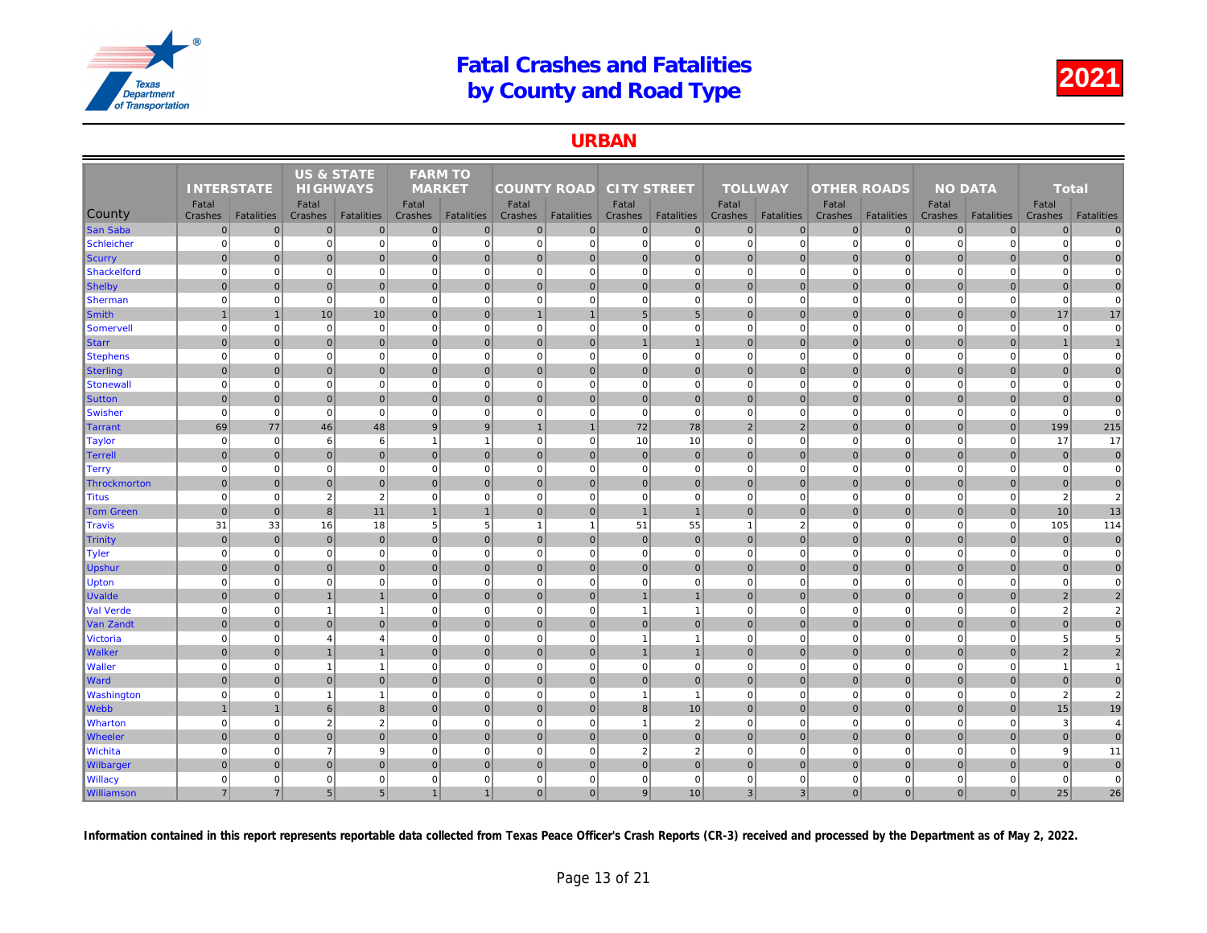### URBAN

|                   |                   |                   | <b>US &amp; STATE</b> |                   | <b>FARM TO</b> |                   |                    |                   |                    |                   |                |                   |                    |                   |     |
|-------------------|-------------------|-------------------|-----------------------|-------------------|----------------|-------------------|--------------------|-------------------|--------------------|-------------------|----------------|-------------------|--------------------|-------------------|-----|
|                   | <b>INTERSTATE</b> |                   | <b>HIGHWAYS</b>       |                   | <b>MARKET</b>  |                   | <b>COUNTY ROAD</b> |                   | <b>CITY STREET</b> |                   | <b>TOLLWAY</b> |                   | <b>OTHER ROADS</b> |                   |     |
|                   | Fatal             |                   | Fatal                 |                   | Fatal          |                   | Fatal              |                   | Fatal              |                   | Fatal          |                   | Fatal              |                   |     |
| County            | Crashes           | <b>Fatalities</b> | Crashes               | <b>Fatalities</b> | Crashes        | <b>Fatalities</b> | Crashes            | <b>Fatalities</b> | Crashes            | <b>Fatalities</b> | Crashes        | <b>Fatalities</b> | Crashes            | <b>Fatalities</b> | Cra |
| <b>San Saba</b>   | $\mathbf 0$       | $\Omega$          | $\mathbf 0$           | $\overline{0}$    | $\mathbf{0}$   | $\mathbf 0$       | $\overline{0}$     | $\overline{0}$    | $\overline{0}$     | 0                 | $\mathbf{0}$   | $\mathbf{0}$      | $\mathbf 0$        | $\overline{0}$    |     |
| Schleicher        | $\mathbf 0$       | $\Omega$          | $\Omega$              | $\mathbf{0}$      | $\mathbf 0$    | $\mathbf 0$       | $\overline{0}$     | $\overline{0}$    | $\mathbf{0}$       | $\overline{0}$    | $\mathbf 0$    | $\Omega$          | $\mathbf 0$        | $\Omega$          |     |
| Scurry            | $\mathbf 0$       | $\Omega$          | $\mathbf 0$           | $\mathbf 0$       | $\mathbf 0$    | $\mathbf 0$       | $\overline{0}$     | $\overline{0}$    | $\overline{0}$     | $\overline{0}$    | $\mathbf 0$    | $\Omega$          | $\mathbf 0$        | $\mathbf 0$       |     |
| Shackelford       | $\mathbf 0$       | $\mathbf 0$       | $\Omega$              | $\overline{0}$    | $\mathbf 0$    | $\mathbf 0$       | $\overline{0}$     | $\mathbf 0$       | $\overline{0}$     | $\overline{0}$    | $\mathbf 0$    | $\mathbf 0$       | $\mathbf 0$        | $\mathbf 0$       |     |
| Shelby            | $\Omega$          | $\overline{0}$    | $\overline{0}$        | $\overline{0}$    | $\Omega$       | $\mathbf{0}$      | $\overline{0}$     | $\overline{0}$    | $\overline{0}$     | $\overline{0}$    | $\mathbf{0}$   | $\Omega$          | $\mathbf{0}$       | $\overline{0}$    |     |
| <b>Sherman</b>    | $\mathbf 0$       | $\Omega$          | $\mathbf 0$           | $\mathbf{0}$      | $\mathbf 0$    | $\mathbf 0$       | $\overline{0}$     | $\overline{0}$    | $\overline{0}$     | $\mathbf 0$       | $\mathbf 0$    | $\mathbf 0$       | $\mathbf 0$        | $\Omega$          |     |
| Smith             | $\mathbf{1}$      | $\mathbf{1}$      | 10                    | 10                | $\mathbf{0}$   | $\overline{0}$    | $\mathbf{1}$       | $\overline{1}$    | 5 <sup>5</sup>     | 5 <sub>5</sub>    | $\mathbf{0}$   | $\overline{0}$    | $\mathbf 0$        | $\overline{0}$    |     |
| Somervell         | $\mathbf 0$       | $\mathbf 0$       | $\mathbf 0$           | $\mathbf{0}$      | $\mathbf 0$    | $\mathbf 0$       | 0                  | $\Omega$          | $\mathbf{0}$       | $\mathbf 0$       | $\mathbf 0$    | $\mathbf 0$       | $\mathbf 0$        | $\mathbf 0$       |     |
| <b>Starr</b>      | $\mathbf 0$       | $\Omega$          | $\mathbf 0$           | $\overline{0}$    | $\mathbf{0}$   | $\mathbf{0}$      | 0                  | $\overline{0}$    | $\overline{1}$     | $\mathbf{1}$      | $\mathbf{0}$   | $\mathbf{0}$      | $\mathbf 0$        | $\overline{0}$    |     |
| <b>Stephens</b>   | $\mathbf 0$       | $\Omega$          | $\Omega$              | $\mathbf{0}$      | $\mathbf 0$    | $\mathbf 0$       | 0                  | $\Omega$          | $\mathbf{0}$       | $\Omega$          | $\mathbf 0$    | $\Omega$          | $\Omega$           | $\mathbf 0$       |     |
| Sterling          | $\mathbf{0}$      | $\Omega$          | $\mathbf{0}$          | $\overline{0}$    | $\mathbf{0}$   | $\mathbf{0}$      | $\overline{0}$     | $\mathbf 0$       | $\overline{0}$     | $\overline{0}$    | $\mathbf{0}$   | $\Omega$          | $\mathbf 0$        | $\overline{0}$    |     |
| Stonewall         | $\mathbf 0$       | $\mathbf 0$       | $\mathbf 0$           | $\mathbf{0}$      | $\mathbf 0$    | $\mathbf 0$       | 0                  | $\mathbf 0$       | $\mathbf{0}$       | $\mathbf{0}$      | $\mathbf 0$    | $\mathbf 0$       | $\mathbf 0$        | $\mathbf 0$       |     |
| <b>Sutton</b>     | $\mathbf{0}$      | $\pmb{0}$         | $\mathbf 0$           | $\overline{0}$    | $\mathbf 0$    | $\mathbf 0$       | 0                  | $\mathbf 0$       | $\overline{0}$     | $\overline{0}$    | $\mathbf 0$    | $\mathbf 0$       | $\mathbf 0$        | $\mathbf 0$       |     |
| <b>Swisher</b>    | $\mathbf 0$       | $\mathbf 0$       | $\mathbf 0$           | $\mathbf{0}$      | $\mathbf 0$    | $\mathbf 0$       | $\mathbf{0}$       | $\mathbf 0$       | $\mathbf{0}$       | $\mathbf 0$       | $\mathbf 0$    | $\mathbf 0$       | $\mathbf 0$        | $\mathbf 0$       |     |
| Tarrant           | 69                | 77                | 46                    | 48                | 9              | 9                 | $\overline{1}$     | $\overline{1}$    | 72                 | 78                | $\overline{2}$ | $\overline{2}$    | $\mathbf{0}$       | $\overline{0}$    |     |
| <b>Taylor</b>     | $\mathbf 0$       | $\mathbf 0$       | 6                     | $\,6$             | $\overline{1}$ | $\overline{1}$    | $\overline{0}$     | $\mathbf 0$       | 10                 | 10                | $\mathbf 0$    | $\mathbf 0$       | $\mathbf 0$        | $\mathbf 0$       |     |
| <b>Terrell</b>    | $\mathbf 0$       | $\overline{0}$    | $\mathbf{0}$          | $\overline{0}$    | $\mathbf{0}$   | $\mathbf{0}$      | $\overline{0}$     | $\overline{0}$    | $\overline{0}$     | $\mathbf 0$       | $\mathbf{0}$   | $\Omega$          | $\mathbf 0$        | $\overline{0}$    |     |
| Terry             | $\mathbf 0$       | $\mathbf 0$       | $\mathbf 0$           | $\mathbf{0}$      | $\mathbf 0$    | $\mathbf 0$       | 0                  | $\overline{0}$    | $\overline{0}$     | $\overline{0}$    | $\mathbf 0$    | $\Omega$          | $\overline{0}$     | $\overline{0}$    |     |
| Throckmorton      | $\Omega$          | $\Omega$          | $\mathbf 0$           | $\overline{0}$    | $\Omega$       | $\mathbf{0}$      | $\overline{0}$     | $\overline{0}$    | $\overline{0}$     | $\mathbf 0$       | $\mathbf 0$    | $\Omega$          | $\mathbf 0$        | $\overline{0}$    |     |
| Titus             | $\overline{0}$    | $\Omega$          | $\overline{2}$        | $\overline{2}$    | $\mathbf 0$    | $\mathbf 0$       | $\overline{0}$     | $\mathbf 0$       | $\overline{0}$     | $\mathbf 0$       | $\mathbf 0$    | $\Omega$          | $\overline{0}$     | $\Omega$          |     |
| <b>Tom Green</b>  | $\mathbf{0}$      | $\overline{0}$    | 8                     | 11                | $\overline{1}$ | $\overline{1}$    | 0                  | $\mathbf 0$       | $\overline{1}$     | $\mathbf{1}$      | $\mathbf{0}$   | $\overline{0}$    | $\mathbf{0}$       | $\overline{0}$    |     |
| Travis            | 31                | 33                | 16                    | 18                | 5              | 5                 | $\mathbf{1}$       | $\overline{1}$    | 51                 | 55                | $\mathbf{1}$   | $\overline{2}$    | $\mathbf 0$        | $\mathbf 0$       |     |
| <b>Trinity</b>    | $\mathbf 0$       | $\Omega$          | $\mathbf 0$           | $\overline{0}$    | $\mathbf{0}$   | $\mathbf{0}$      | 0                  | $\overline{0}$    | $\overline{0}$     | $\overline{0}$    | $\mathbf{0}$   | $\overline{0}$    | $\mathbf{0}$       | $\Omega$          |     |
| Tyler             | $\mathbf 0$       | $\mathbf 0$       | $\mathbf 0$           | $\mathbf 0$       | $\mathbf 0$    | $\mathbf 0$       | 0                  | $\mathbf 0$       | $\mathbf{0}$       | $\mathbf{0}$      | $\mathbf 0$    | $\mathbf 0$       | $\mathbf 0$        | $\mathbf 0$       |     |
| Upshur            | $\mathbf{0}$      | $\Omega$          | $\Omega$              | $\overline{0}$    | $\mathbf{0}$   | $\mathbf{0}$      | $\overline{0}$     | $\mathbf{0}$      | $\overline{0}$     | $\overline{0}$    | $\mathbf{0}$   | $\Omega$          | $\mathbf{0}$       | $\Omega$          |     |
| <b>Upton</b>      | $\mathbf 0$       | $\Omega$          | $\mathbf 0$           | $\overline{0}$    | $\mathbf 0$    | $\mathbf 0$       | 0                  | $\mathbf 0$       | $\mathbf{0}$       | $\mathbf 0$       | $\mathbf 0$    | $\Omega$          | $\Omega$           | $\Omega$          |     |
| <b>Uvalde</b>     | $\mathbf{0}$      | $\overline{0}$    |                       | $\mathbf{1}$      | $\Omega$       | $\mathbf{0}$      | 0                  | $\overline{0}$    | $\mathbf{1}$       | $\mathbf{1}$      | $\mathbf 0$    | $\mathbf{0}$      | $\mathbf 0$        | $\mathbf 0$       |     |
| Val Verde         | $\Omega$          | $\Omega$          | $\overline{1}$        | $\mathbf{1}$      | $\mathbf 0$    | $\mathbf 0$       | $\Omega$           | $\Omega$          | $\overline{1}$     | $\mathbf{1}$      | $\mathbf 0$    | $\mathbf 0$       | $\mathbf 0$        | $\Omega$          |     |
| Van Zandt         | $\mathbf 0$       | $\Omega$          | $\mathbf 0$           | $\overline{0}$    | $\mathbf{0}$   | $\mathbf{0}$      | 0                  | $\overline{0}$    | 0                  | $\overline{0}$    | $\mathbf{0}$   | $\overline{0}$    | $\mathbf 0$        | $\overline{0}$    |     |
| <b>Victoria</b>   | $\mathbf 0$       | $\Omega$          | $\overline{4}$        | $\overline{4}$    | $\mathbf 0$    | $\mathbf 0$       | 0                  | $\Omega$          | $\mathbf{1}$       | $\mathbf{1}$      | $\mathbf 0$    | $\mathbf 0$       | $\mathbf 0$        | $\mathbf 0$       |     |
| <b>Walker</b>     | $\mathbf{0}$      | $\Omega$          |                       | $\overline{1}$    | $\Omega$       | $\mathbf{0}$      | $\overline{0}$     | $\overline{0}$    | $\overline{1}$     | $\mathbf{1}$      | $\Omega$       | $\Omega$          | $\mathbf{0}$       | $\overline{0}$    |     |
| <b>Waller</b>     | $\mathbf 0$       | $\mathbf 0$       | $\overline{1}$        | $\mathbf{1}$      | $\mathbf 0$    | $\mathbf 0$       | 0                  | $\mathbf 0$       | $\mathbf{0}$       | $\mathbf{0}$      | $\mathbf 0$    | $\mathbf 0$       | $\mathbf 0$        | $\mathbf 0$       |     |
| <b>Ward</b>       | $\Omega$          | $\overline{0}$    | $\overline{0}$        | $\overline{0}$    | $\Omega$       | $\mathbf{0}$      | $\overline{0}$     | $\overline{0}$    | $\overline{0}$     | $\mathbf 0$       | $\mathbf 0$    | $\overline{0}$    | $\mathbf 0$        | $\overline{0}$    |     |
| <b>Washington</b> | $\mathbf 0$       | $\mathbf 0$       | $\overline{1}$        | $\overline{1}$    | $\mathbf 0$    | $\mathbf 0$       | $0\frac{1}{2}$     | $\mathbf 0$       | $\overline{1}$     | $\overline{1}$    | $\mathbf 0$    | $\mathbf 0$       | $\mathbf 0$        | $\mathbf 0$       |     |
| Webb              | $\mathbf{1}$      | $\mathbf{1}$      | 6                     | 8 <sup>1</sup>    | $\mathbf 0$    | $\overline{0}$    | 0                  | $\mathbf 0$       | 8 <sup>1</sup>     | 10 <sup>1</sup>   | $\mathbf 0$    | $\overline{0}$    | $\mathbf 0$        | $\overline{0}$    |     |
| <b>Wharton</b>    | $\mathbf 0$       | $\mathbf 0$       | $\overline{2}$        | $\sqrt{2}$        | $\mathbf 0$    | $\mathbf 0$       | 0                  | $\Omega$          | $\overline{1}$     | $\overline{2}$    | $\mathbf 0$    | $\Omega$          | $\mathbf 0$        | $\mathbf 0$       |     |
| <b>Wheeler</b>    | $\mathbf{0}$      | $\overline{0}$    | $\overline{0}$        | $\overline{0}$    | $\mathbf{0}$   | $\mathbf{0}$      | 0                  | $\overline{0}$    | $\overline{0}$     | $\mathbf 0$       | $\mathbf 0$    | $\mathbf{0}$      | $\mathbf 0$        | $\overline{0}$    |     |
| Wichita           | $\mathbf 0$       | $\Omega$          | $\overline{7}$        | 9                 | $\mathbf 0$    | $\mathbf 0$       | $\overline{0}$     | $\Omega$          | $\overline{2}$     | $\overline{2}$    | $\mathbf 0$    | $\Omega$          | $\mathbf 0$        | $\mathbf 0$       |     |
| <b>Wilbarger</b>  | $\mathbf{0}$      | $\Omega$          | $\overline{0}$        | $\overline{0}$    | $\Omega$       | $\Omega$          | $\overline{0}$     | $\Omega$          | $\overline{0}$     | $\overline{0}$    | $\mathbf{0}$   | $\overline{0}$    | $\mathbf{0}$       | $\Omega$          |     |
| <b>Willacy</b>    | $\mathbf 0$       | 0                 | $\Omega$              | $\mathbf 0$       | $\mathbf 0$    | $\mathbf 0$       | 0                  | $\mathbf 0$       | $\mathbf{0}$       | $\mathbf 0$       | $\mathbf 0$    | $\mathbf 0$       | $\mathbf 0$        | $\mathbf 0$       |     |
| <b>Williamson</b> | $\overline{7}$    | $\overline{7}$    | 5 <sub>5</sub>        | 5 <sub>5</sub>    |                | $\mathbf{1}$      | $\overline{0}$     | $\Omega$          | 9                  | 10 <sup>1</sup>   | $\overline{3}$ | $\overline{3}$    | $\mathbf{0}$       | $\overline{0}$    |     |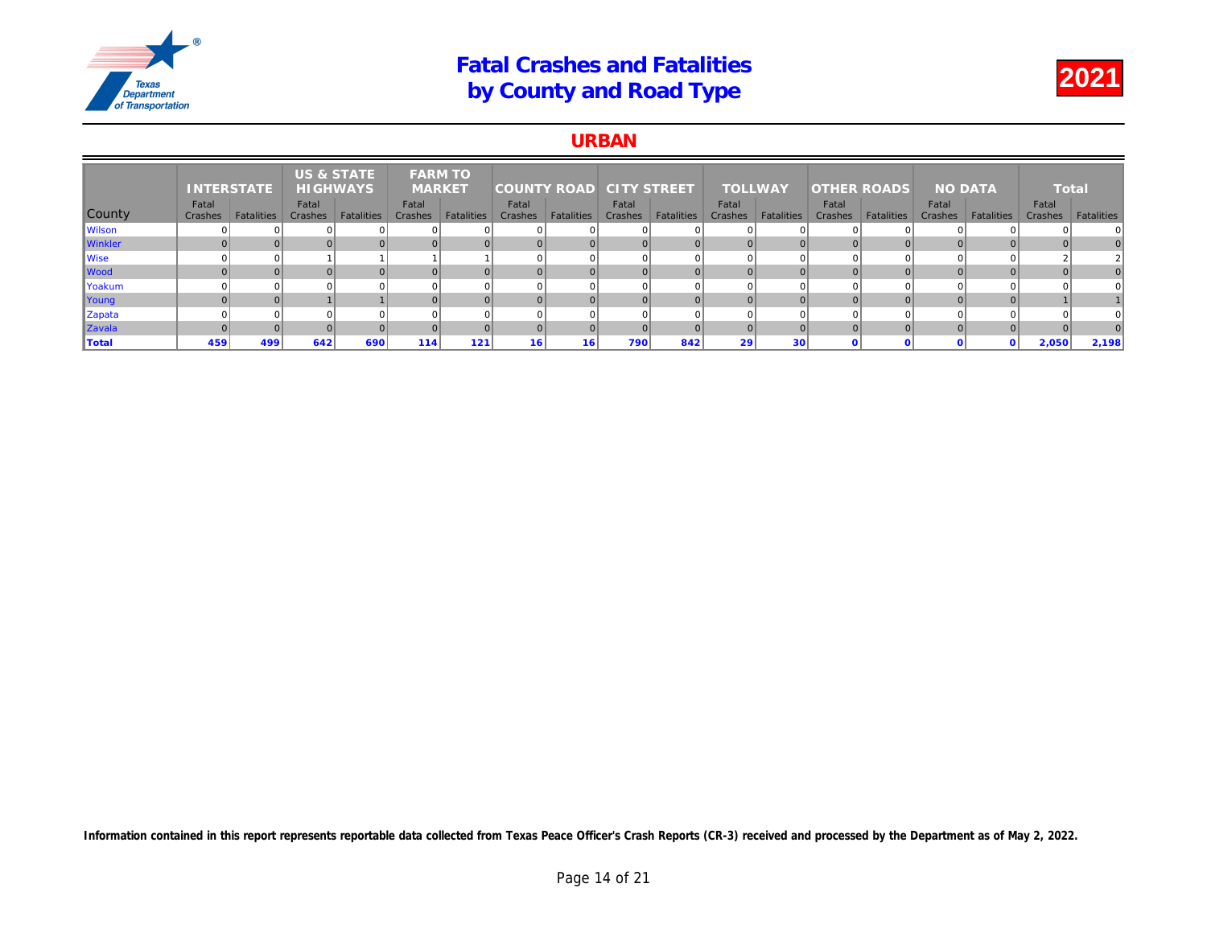### URBAN

|                | <b>INTERSTATE</b> |            | <b>US &amp; STATE</b><br><b>HIGHWAYS</b> |            | <b>FARM TO</b><br><b>MARKET</b> |            | <b>COUNTY ROAD</b> |                   | <b>CITY STREET</b> |                   | <b>TOLLWAY</b>   |                   | <b>OTHER ROADS</b> |            |     |
|----------------|-------------------|------------|------------------------------------------|------------|---------------------------------|------------|--------------------|-------------------|--------------------|-------------------|------------------|-------------------|--------------------|------------|-----|
| County         | Fatal<br>Crashes  | Fatalities | Fatal<br>Crashes                         | Fatalities | Fatal<br>Crashes                | Fatalities | Fatal<br>Crashes   | <b>Fatalities</b> | Fatal<br>Crashes   | <b>Fatalities</b> | Fatal<br>Crashes | <b>Fatalities</b> | Fatal<br>Crashes   | Fatalities | Cra |
| Wilson         |                   |            |                                          |            |                                 |            |                    |                   |                    |                   | $\Omega$         |                   |                    |            |     |
| <b>Winkler</b> |                   |            |                                          |            |                                 |            |                    |                   |                    |                   |                  |                   |                    |            |     |
| <b>Wise</b>    |                   |            |                                          |            |                                 |            |                    |                   |                    |                   | $\Omega$         |                   |                    |            |     |
| Wood           |                   |            |                                          |            |                                 |            |                    |                   |                    |                   | $\Omega$         |                   |                    |            |     |
| Yoakum         |                   |            |                                          |            |                                 |            |                    |                   |                    |                   | <sup>0</sup>     |                   |                    |            |     |
| Young          |                   |            |                                          |            |                                 |            |                    |                   |                    |                   |                  |                   |                    |            |     |
| Zapata         |                   |            |                                          |            |                                 |            |                    |                   |                    |                   | $\Omega$         |                   |                    |            |     |
| Zavala         |                   |            |                                          |            |                                 | $\Omega$   |                    |                   |                    |                   | $\Omega$         |                   |                    |            |     |
| <b>Total</b>   | 459               | 499        | 642                                      | 690        | 114                             | 121        | 16                 | 16                | 790                | 842               | 29               | 30                |                    |            |     |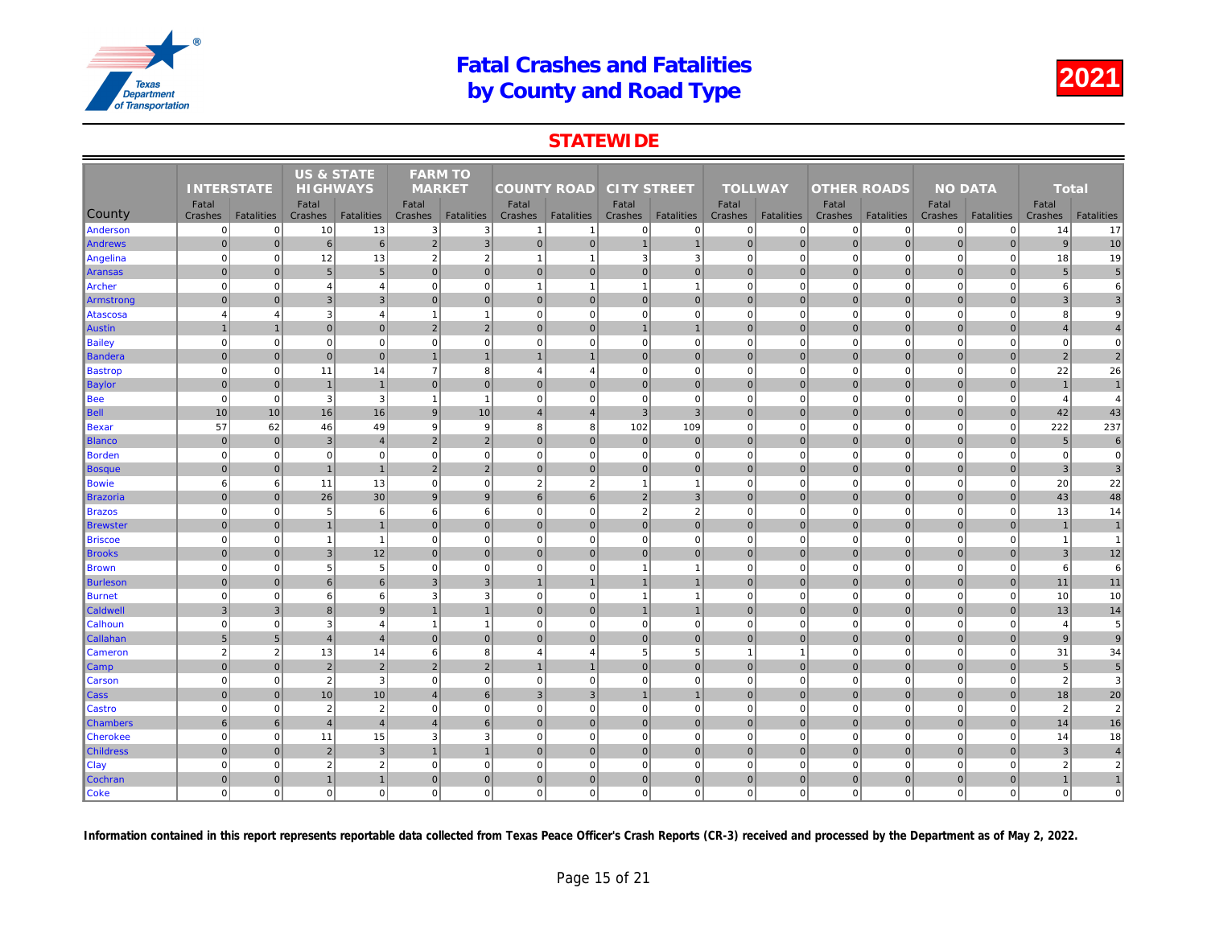## **STATEWIDE**

|                  |                   |                   | US & STATE      |                   | <b>FARM TO</b>          |                   |                    |                   |                    |                   |                |                   |                    |                   |     |
|------------------|-------------------|-------------------|-----------------|-------------------|-------------------------|-------------------|--------------------|-------------------|--------------------|-------------------|----------------|-------------------|--------------------|-------------------|-----|
|                  | <b>INTERSTATE</b> |                   | <b>HIGHWAYS</b> |                   | <b>MARKET</b>           |                   | <b>COUNTY ROAD</b> |                   | <b>CITY STREET</b> |                   | <b>TOLLWAY</b> |                   | <b>OTHER ROADS</b> |                   |     |
|                  | Fatal             |                   | Fatal           |                   | Fatal                   |                   | Fatal              |                   | Fatal              |                   | Fatal          |                   | Fatal              |                   |     |
| County           | Crashes           | <b>Fatalities</b> | Crashes         | <b>Fatalities</b> | Crashes                 | <b>Fatalities</b> | Crashes            | <b>Fatalities</b> | Crashes            | <b>Fatalities</b> | Crashes        | <b>Fatalities</b> | Crashes            | <b>Fatalities</b> | Cra |
| Anderson         | $\mathbf 0$       | $\mathbf{0}$      | 10              | 13                | 3                       | 3                 | $\mathbf{1}$       | $\overline{1}$    | $\mathbf 0$        | 0                 | $\mathbf 0$    | $\mathbf 0$       | $\mathbf 0$        | $\mathbf 0$       |     |
| Andrews          | $\overline{0}$    | $\overline{0}$    | $\,6\,$         | $6 \overline{6}$  | $\overline{2}$          | $\mathsf 3$       | $\overline{0}$     | $\overline{0}$    | $\mathbf{1}$       | $\mathbf{1}$      | $\mathbf 0$    | $\overline{0}$    | $\mathbf 0$        | $\mathbf 0$       |     |
| Angelina         | $\Omega$          | $\overline{0}$    | 12              | 13                | $\overline{2}$          | $\overline{2}$    | $\overline{1}$     | -1                | 3                  | $\mathbf{3}$      | $\mathbf 0$    | $\mathbf 0$       | $\mathbf 0$        | $\Omega$          |     |
| Aransas          | $\Omega$          | $\overline{0}$    | $5\phantom{.0}$ | $5\overline{)}$   | $\mathbf{0}$            | $\mathbf{0}$      | 0                  | $\mathbf 0$       | 0                  | $\overline{0}$    | $\mathbf{0}$   | $\overline{0}$    | $\mathbf 0$        | $\mathbf 0$       |     |
| Archer           | $\Omega$          | $\overline{0}$    | $\overline{4}$  | $\overline{4}$    | $\mathbf 0$             | $\mathbf 0$       | $\overline{1}$     | $\overline{1}$    | $\mathbf{1}$       | $\mathbf{1}$      | $\mathbf 0$    | $\mathbf 0$       | $\mathbf 0$        | $\Omega$          |     |
| Armstrong        | $\overline{0}$    | $\mathbf{0}$      | $\mathbf{3}$    | $\mathbf{3}$      | $\mathbf{0}$            | $\mathbf 0$       | $\overline{0}$     | $\mathbf 0$       | $\pmb{0}$          | $\overline{0}$    | $\mathbf{0}$   | $\mathbf{0}$      | $\mathbf 0$        | $\overline{0}$    |     |
| Atascosa         | $\overline{4}$    | $\overline{4}$    | 3               | $\overline{4}$    | $\mathbf{1}$            | $\mathbf{1}$      | $\overline{0}$     | $\mathbf 0$       | $\mathbf 0$        | $\mathbf{0}$      | $\mathbf 0$    | $\mathbf 0$       | $\mathbf 0$        | $\Omega$          |     |
| <b>Austin</b>    |                   | $\overline{1}$    | $\mathbf 0$     | $\overline{0}$    | 2                       | $\overline{2}$    | $\overline{0}$     | $\overline{0}$    | $\mathbf{1}$       | $\overline{1}$    | $\mathbf 0$    | $\overline{0}$    | $\mathbf 0$        | $\overline{0}$    |     |
| <b>Bailey</b>    | $\Omega$          | $\overline{0}$    | $\mathbf 0$     | $\overline{0}$    | $\mathbf 0$             | $\mathbf 0$       | $\overline{0}$     | $\Omega$          | $\mathbf 0$        | $\overline{0}$    | $\mathbf 0$    | $\mathbf 0$       | $\mathbf 0$        | $\Omega$          |     |
| Bandera          | $\overline{0}$    | $\overline{0}$    | 0               | $\overline{0}$    | $\mathbf{1}$            | $\overline{1}$    | $\mathbf{1}$       | $\overline{1}$    | 0                  | $\overline{0}$    | $\mathbf 0$    | $\overline{0}$    | $\mathbf 0$        | $\pmb{0}$         |     |
| <b>Bastrop</b>   | $\Omega$          | $\overline{0}$    | 11              | 14                | $\overline{7}$          | 8                 | $\overline{4}$     | $\overline{4}$    | $\mathbf 0$        | $\overline{0}$    | $\mathbf 0$    | $\mathbf 0$       | $\mathbf 0$        | $\mathbf 0$       |     |
| <b>Baylor</b>    | $\overline{0}$    | $\overline{0}$    | $\overline{1}$  | $\overline{1}$    | $\overline{0}$          | $\mathbf{0}$      | $\overline{0}$     | $\mathbf{0}$      | 0                  | $\overline{0}$    | $\mathbf{0}$   | $\overline{0}$    | $\mathbf{0}$       | $\mathbf{0}$      |     |
| <b>Bee</b>       | $\overline{0}$    | $\overline{0}$    | 3               | $\mathbf{3}$      | $\overline{1}$          | $\mathbf{1}$      | $\overline{0}$     | $\Omega$          | $\mathbf 0$        | $\overline{0}$    | $\mathbf 0$    | $\mathbf 0$       | $\mathbf 0$        | $\Omega$          |     |
| Bell             | 10                | 10                | 16              | 16                | 9                       | 10                | $\overline{4}$     | $\overline{4}$    | 3                  | $\overline{3}$    | $\mathbf{0}$   | $\overline{0}$    | $\mathbf{0}$       | $\overline{0}$    |     |
| Bexar            | 57                | 62                | 46              | 49                | 9                       | $\boldsymbol{9}$  | 8                  | 8                 | 102                | 109               | $\mathbf 0$    | $\mathbf 0$       | $\mathbf 0$        | $\Omega$          |     |
| <b>Blanco</b>    | $\overline{0}$    | $\overline{0}$    | $\mathbf{3}$    | $\overline{4}$    | 2                       | $\overline{2}$    | $\overline{0}$     | $\mathbf 0$       | $\pmb{0}$          | $\mathbf{0}$      | $\mathbf{0}$   | $\overline{0}$    | $\mathbf 0$        | $\overline{0}$    |     |
| <b>Borden</b>    | $\Omega$          | $\overline{0}$    | $\mathbf 0$     | $\overline{0}$    | $\mathbf 0$             | $\mathbf 0$       | $\Omega$           | $\Omega$          | $\mathbf 0$        | $\mathbf 0$       | $\mathbf 0$    | $\mathbf 0$       | $\mathbf 0$        | $\Omega$          |     |
| Bosque           | $\Omega$          | $\overline{0}$    | $\overline{1}$  | $\overline{1}$    | $\overline{2}$          | $\overline{2}$    | 0                  | $\mathbf{0}$      | 0                  | $\overline{0}$    | $\mathbf{0}$   | $\overline{0}$    | $\mathbf{0}$       | $\mathbf{0}$      |     |
| <b>Bowie</b>     | 6                 | 6                 | 11              | 13                | $\mathbf 0$             | $\mathbf 0$       | $\overline{2}$     | $\overline{2}$    | $\mathbf{1}$       | $\mathbf{1}$      | $\mathbf 0$    | $\mathbf 0$       | $\mathbf 0$        | $\mathbf 0$       |     |
| <b>Brazoria</b>  | $\Omega$          | $\overline{0}$    | 26              | 30                | 9                       | $\overline{9}$    | 6                  | 6                 | 2                  | 3                 | $\mathbf{0}$   | $\Omega$          | $\mathbf 0$        | $\overline{0}$    |     |
| <b>Brazos</b>    | $\mathbf 0$       | $\mathbf{0}$      | 5               | $6\phantom{.}6$   | 6                       | 6                 | $\mathbf{0}$       | 0                 | $\overline{c}$     | $\overline{2}$    | $\mathbf 0$    | $\mathbf 0$       | $\mathbf 0$        | $\mathbf 0$       |     |
| Brewster         | $\Omega$          | $\overline{0}$    | $\mathbf{1}$    | $\overline{1}$    | $\Omega$                | $\mathbf{0}$      | $\overline{0}$     | $\mathbf{0}$      | 0                  | $\overline{0}$    | $\mathbf{0}$   | $\overline{0}$    | $\mathbf{0}$       | $\Omega$          |     |
| <b>Briscoe</b>   | $\mathbf 0$       | $\mathbf{0}$      | $\overline{1}$  | $\overline{1}$    | $\mathbf 0$             | $\mathbf 0$       | $\mathbf{0}$       | $\mathbf 0$       | $\mathbf 0$        | $\mathbf{0}$      | $\mathbf 0$    | $\mathbf 0$       | $\mathbf 0$        | $\mathbf 0$       |     |
| <b>Brooks</b>    | $\overline{0}$    | $\overline{0}$    | 3 <sup>2</sup>  | 12                | $\mathbf{0}$            | $\mathbf{0}$      | $\overline{0}$     | $\mathbf{0}$      | $\pmb{0}$          | $\overline{0}$    | $\mathbf{0}$   | $\overline{0}$    | $\mathbf 0$        | $\overline{0}$    |     |
| <b>Brown</b>     | $\mathbf 0$       | $\mathbf{0}$      | 5               | $\sqrt{5}$        | $\mathbf 0$             | $\mathbf 0$       | 0                  | $\mathbf 0$       | $\mathbf{1}$       | $\overline{1}$    | $\mathbf 0$    | $\mathbf 0$       | $\mathbf 0$        | $\mathbf 0$       |     |
| Burleson         | $\Omega$          | $\overline{0}$    | 6               | 6                 | 3                       | $\overline{3}$    |                    | $\overline{1}$    | $\overline{1}$     | $\mathbf{1}$      | $\mathbf{0}$   | $\Omega$          | $\mathbf{0}$       | $\mathbf{0}$      |     |
| <b>Burnet</b>    | $\mathbf 0$       | $\mathbf{0}$      | 6               | 6                 | 3                       | 3                 | $\mathbf{0}$       | $\mathbf 0$       | $\mathbf{1}$       | $\mathbf{1}$      | $\mathbf 0$    | $\mathbf 0$       | $\mathbf 0$        | $\mathbf 0$       |     |
| <b>Caldwell</b>  | 3                 | 3                 | 8               | 9                 |                         | $\mathbf{1}$      | $\overline{0}$     | $\mathbf{0}$      | $\mathbf{1}$       | $\mathbf{1}$      | $\mathbf{0}$   | $\mathbf 0$       | $\mathbf 0$        | $\overline{0}$    |     |
| Calhoun          | $\mathbf 0$       | $\mathbf{0}$      | 3               | $\overline{4}$    | $\mathbf{1}$            | $\mathbf{1}$      | 0                  | $\Omega$          | $\pmb{0}$          | $\mathbf{0}$      | $\mathbf 0$    | $\mathbf 0$       | $\mathbf 0$        | $\pmb{0}$         |     |
| <b>Callahan</b>  | 5                 | 5 <sub>5</sub>    | $\overline{4}$  | $\overline{4}$    | $\Omega$                | $\mathbf{0}$      | $\overline{0}$     | $\mathbf 0$       | 0                  | $\overline{0}$    | $\mathbf{0}$   | $\overline{0}$    | $\mathbf 0$        | $\overline{0}$    |     |
| <b>Cameron</b>   | $\overline{2}$    | $\overline{2}$    | 13              | 14                | 6                       | 8                 | $\overline{4}$     | $\overline{4}$    | 5                  | 5 <sup>5</sup>    | $\mathbf{1}$   | $\overline{1}$    | $\mathbf 0$        | $\mathbf 0$       |     |
| <b>Camp</b>      | $\overline{0}$    | $\overline{0}$    | $\overline{2}$  | $\overline{2}$    | $\overline{2}$          | $\overline{2}$    | $\mathbf{1}$       | $\overline{1}$    | 0                  | $\overline{0}$    | $\mathbf{0}$   | $\overline{0}$    | $\mathbf 0$        | $\pmb{0}$         |     |
| Carson           | $\mathbf 0$       | $\overline{0}$    | $\overline{2}$  | $\mathbf{3}$      | $\Omega$                | $\mathbf 0$       | 0                  | $\Omega$          | $\mathbf 0$        | $\mathbf{0}$      | $\mathbf 0$    | $\Omega$          | $\mathbf 0$        | $\Omega$          |     |
| Cass             | $\Omega$          | $\overline{0}$    | 10              | 10                | $\overline{\mathbf{A}}$ | 6                 | 3 <sup>1</sup>     | 3                 | $\mathbf{1}$       | $\mathbf{1}$      | $\mathbf{0}$   | $\overline{0}$    | $\mathbf 0$        | $\pmb{0}$         |     |
| Castro           | $\Omega$          | $\overline{0}$    | $\overline{2}$  | $\overline{2}$    | $\mathbf 0$             | $\mathbf 0$       | $\mathbf 0$        | $\Omega$          | $\mathbf 0$        | $\overline{0}$    | $\mathbf 0$    | $\Omega$          | $\mathbf 0$        | $\Omega$          |     |
| ∥Chambers        | 6                 | 6                 | $\overline{4}$  | $\overline{4}$    | $\overline{4}$          | 6                 | $\overline{0}$     | $\mathbf 0$       | 0                  | $\overline{0}$    | $\mathbf{0}$   | $\overline{0}$    | $\mathbf 0$        | $\overline{0}$    |     |
| <b>Cherokee</b>  | $\mathbf 0$       | $\overline{0}$    | 11              | 15                | 3                       | 3                 | 0                  | $\Omega$          | $\mathbf 0$        | $\overline{0}$    | $\mathbf 0$    | $\Omega$          | $\Omega$           | $\Omega$          |     |
| <b>Childress</b> | $\overline{0}$    | $\overline{0}$    | $\overline{2}$  | $\mathbf{3}$      |                         | $\overline{1}$    | $\overline{0}$     | $\mathbf 0$       | 0                  | $\overline{0}$    | $\mathbf 0$    | $\overline{0}$    | $\pmb{0}$          | $\mathbf 0$       |     |
| Clay             | $\Omega$          | $\overline{0}$    | $\overline{2}$  | $\overline{2}$    | $\Omega$                | $\mathbf 0$       | $\Omega$           | $\Omega$          | $\mathbf 0$        | $\mathbf{0}$      | $\mathbf 0$    | $\mathbf 0$       | $\mathbf 0$        | $\Omega$          |     |
| Cochran          | $\mathbf 0$       | 0                 | $\mathbf{1}$    | $\overline{1}$    | $\mathbf{0}$            | $\mathbf 0$       | 0                  | $\mathbf 0$       | 0                  | $\overline{0}$    | $\mathbf 0$    | 0                 | $\mathbf 0$        | $\mathbf{0}$      |     |
| <b>Coke</b>      | $\mathbf 0$       | $\overline{0}$    | $\mathbf 0$     | $\overline{0}$    | $\Omega$                | $\mathbf 0$       | 0                  | $\Omega$          | $\mathbf 0$        | $\mathbf{0}$      | $\mathbf 0$    | $\mathbf 0$       | $\Omega$           | $\mathbf 0$       |     |
|                  |                   |                   |                 |                   |                         |                   |                    |                   |                    |                   |                |                   |                    |                   |     |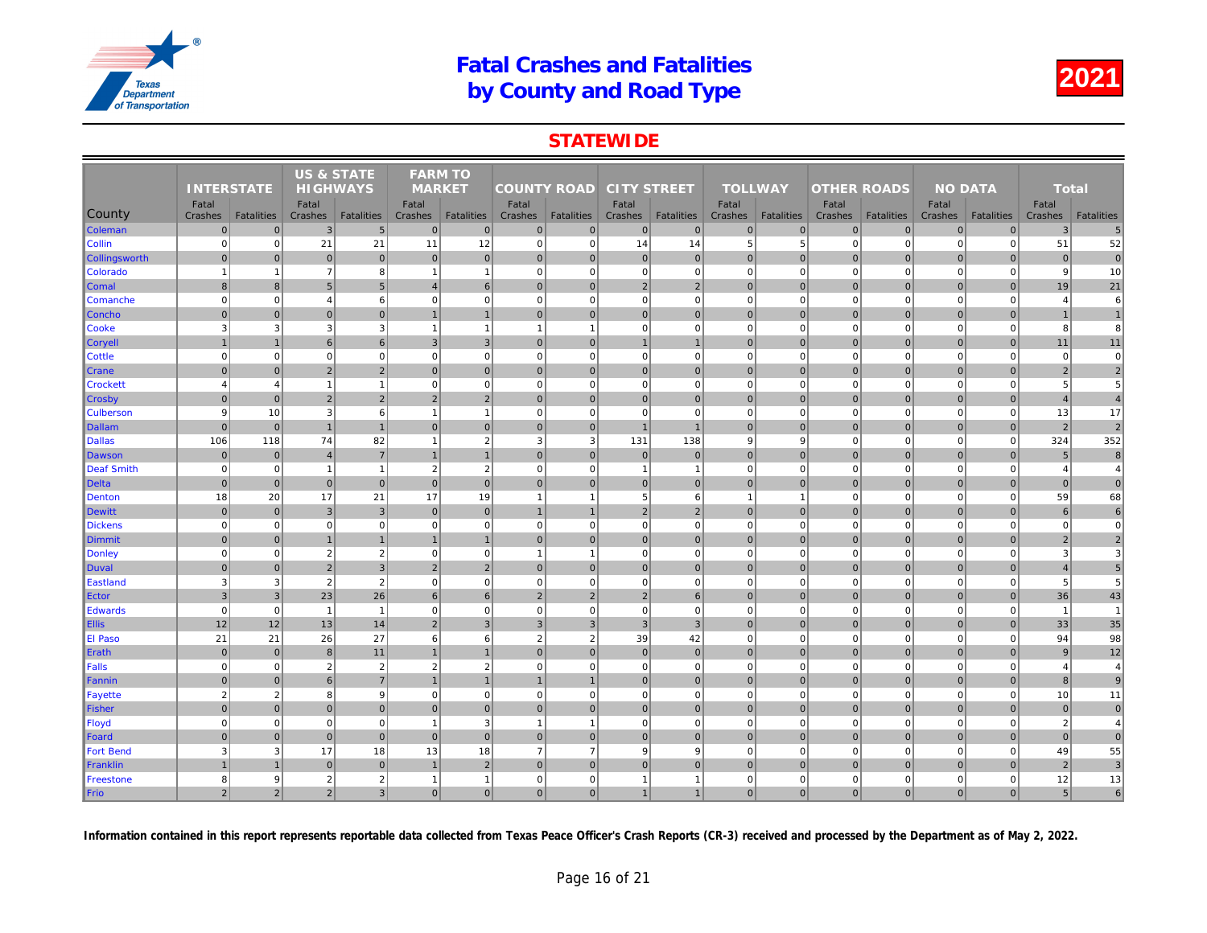### **STATEWIDE**

|                  |                   |                   | <b>US &amp; STATE</b> |                   | <b>FARM TO</b>   |                   |                    |                   |                    |                   |                  |                   |                    |                   |     |
|------------------|-------------------|-------------------|-----------------------|-------------------|------------------|-------------------|--------------------|-------------------|--------------------|-------------------|------------------|-------------------|--------------------|-------------------|-----|
|                  | <b>INTERSTATE</b> |                   | <b>HIGHWAYS</b>       |                   | <b>MARKET</b>    |                   | <b>COUNTY ROAD</b> |                   | <b>CITY STREET</b> |                   | <b>TOLLWAY</b>   |                   | <b>OTHER ROADS</b> |                   |     |
| County           | Fatal<br>Crashes  | <b>Fatalities</b> | Fatal<br>Crashes      | <b>Fatalities</b> | Fatal<br>Crashes | <b>Fatalities</b> | Fatal<br>Crashes   | <b>Fatalities</b> | Fatal<br>Crashes   | <b>Fatalities</b> | Fatal<br>Crashes | <b>Fatalities</b> | Fatal<br>Crashes   | <b>Fatalities</b> | Cra |
| <b>Coleman</b>   | $\overline{0}$    | $\mathbf{0}$      | 3                     | $5\overline{)}$   | $\overline{0}$   | $\mathbf 0$       | $\overline{0}$     | $\overline{0}$    | $\mathbf 0$        | $\overline{0}$    | $\mathbf 0$      | $\overline{0}$    | $\mathbf 0$        | $\mathbf 0$       |     |
| Collin           | $\mathbf 0$       | $\mathbf{0}$      | 21                    | 21                | 11               | 12                | $\overline{0}$     | $\Omega$          | 14                 | 14                | 5                | 5                 | $\mathbf 0$        | $\mathbf 0$       |     |
| Collingsworth    | $\overline{0}$    | $\overline{0}$    | $\mathbf{0}$          | $\overline{0}$    | $\mathbf{0}$     | $\mathbf 0$       | $\overline{0}$     | $\mathbf{0}$      | $\pmb{0}$          | $\mathbf{0}$      | $\mathbf{0}$     | $\mathbf{0}$      | $\mathbf{0}$       | $\overline{0}$    |     |
| <b>Colorado</b>  |                   | $\mathbf{1}$      | $\overline{7}$        | 8                 | $\mathbf{1}$     | $\mathbf{1}$      | $\overline{0}$     | 0                 | $\mathbf 0$        | $\overline{0}$    | $\mathbf 0$      | $\Omega$          | $\mathbf 0$        | $\mathbf 0$       |     |
| <b>Comal</b>     | $\overline{8}$    | $\mathbf{8}$      | $5\overline{5}$       | 5                 | $\overline{4}$   | 6                 | $\Omega$           | $\mathbf{0}$      | $\overline{2}$     | $\overline{2}$    | $\mathbf{0}$     | $\Omega$          | $\mathbf{0}$       | $\Omega$          |     |
| Comanche         | $\overline{0}$    | $\overline{0}$    | $\overline{4}$        | 6                 | $\mathbf 0$      | $\mathbf 0$       | $\overline{0}$     | $\mathbf 0$       | $\pmb{0}$          | $\overline{0}$    | $\mathbf 0$      | $\mathbf 0$       | $\mathbf 0$        | $\mathbf 0$       |     |
| Concho           | $\mathbf 0$       | $\overline{0}$    | $\mathbf 0$           | $\overline{0}$    | $\mathbf{1}$     | $\mathbf{1}$      | $\overline{0}$     | $\mathbf 0$       | $\pmb{0}$          | $\overline{0}$    | $\mathbf 0$      | $\overline{0}$    | $\mathbf 0$        | $\mathbf 0$       |     |
| Cooke            | 3                 | 3                 | 3                     | $\mathbf{3}$      | $\mathbf{1}$     | $\mathbf{1}$      | $\mathbf{1}$       | $\overline{1}$    | $\mathbf 0$        | $\mathbf{0}$      | $\mathbf 0$      | $\mathbf 0$       | $\mathbf 0$        | $\Omega$          |     |
| <b>Coryell</b>   |                   | $\overline{1}$    | 6                     | 6                 | 3                | $\overline{3}$    | $\overline{0}$     | $\overline{0}$    | $\overline{1}$     | $\overline{1}$    | $\mathbf{0}$     | $\overline{0}$    | $\mathbf{0}$       | $\mathbf{0}$      |     |
| <b>Cottle</b>    | $\Omega$          | $\mathbf{0}$      | $\mathbf 0$           | $\mathbf 0$       | $\mathbf 0$      | $\mathbf 0$       | $\overline{0}$     | $\Omega$          | $\pmb{0}$          | $\overline{0}$    | $\mathbf 0$      | $\mathbf 0$       | $\mathbf 0$        | $\mathbf 0$       |     |
| Crane            | $\overline{0}$    | $\Omega$          | $\overline{2}$        | $\overline{2}$    | $\mathbf{0}$     | $\mathbf{0}$      | $\overline{0}$     | $\Omega$          | $\pmb{0}$          | $\overline{0}$    | $\mathbf{0}$     | $\Omega$          | $\mathbf 0$        | $\overline{0}$    |     |
| <b>Crockett</b>  | $\overline{4}$    | $\overline{4}$    | $\overline{1}$        | $\overline{1}$    | $\mathbf 0$      | $\mathbf 0$       | 0                  | $\Omega$          | $\mathbf 0$        | $\overline{0}$    | $\mathbf 0$      | $\mathbf 0$       | $\mathbf 0$        | $\Omega$          |     |
| <b>Crosby</b>    | $\Omega$          | $\overline{0}$    | $\overline{2}$        | $\overline{2}$    | $\overline{2}$   | $\overline{2}$    | $\overline{0}$     | $\mathbf 0$       | $\pmb{0}$          | $\overline{0}$    | $\mathbf 0$      | $\overline{0}$    | $\mathbf 0$        | $\overline{0}$    |     |
| <b>Culberson</b> | 9                 | 10                | 3                     | 6                 | $\overline{1}$   | $\overline{1}$    | $\overline{0}$     | $\Omega$          | $\mathbf 0$        | $\Omega$          | $\Omega$         | $\Omega$          | $\mathbf 0$        | $\Omega$          |     |
| Dallam           | $\overline{0}$    | $\overline{0}$    | $\overline{1}$        | $\overline{1}$    | $\overline{0}$   | $\mathbf{0}$      | 0                  | $\mathbf{0}$      | $\overline{1}$     | $\overline{1}$    | $\mathbf{0}$     | $\overline{0}$    | $\mathbf{0}$       | $\mathbf{0}$      |     |
| <b>Dallas</b>    | 106               | 118               | 74                    | 82                | $\mathbf{1}$     | $\overline{2}$    | 3                  | 3                 | 131                | 138               | 9                | 9                 | $\mathbf 0$        | $\mathbf 0$       |     |
| Dawson           | $\overline{0}$    | $\mathbf{0}$      | $\overline{4}$        | $\overline{7}$    | $\mathbf{1}$     | $\overline{1}$    | $\overline{0}$     | $\mathbf 0$       | $\pmb{0}$          | $\overline{0}$    | $\mathbf{0}$     | $\Omega$          | $\mathbf 0$        | $\overline{0}$    |     |
| Deaf Smith       | $\mathbf 0$       | $\overline{0}$    | $\mathbf{1}$          | $\overline{1}$    | $\overline{2}$   | $\overline{2}$    | $\overline{0}$     | $\mathbf 0$       | $\mathbf{1}$       | $\mathbf{1}$      | $\mathbf 0$      | $\mathbf 0$       | $\mathbf 0$        | $\mathbf 0$       |     |
| Delta            | $\overline{0}$    | $\overline{0}$    | $\mathbf{0}$          | $\overline{0}$    | $\Omega$         | $\mathbf{0}$      | $\overline{0}$     | $\mathbf{0}$      | 0                  | $\overline{0}$    | $\mathbf{0}$     | $\overline{0}$    | $\mathbf 0$        | $\overline{0}$    |     |
| Denton           | 18                | 20                | 17                    | 21                | 17               | 19                | $\overline{1}$     | $\overline{1}$    | 5                  | 6                 | $\mathbf{1}$     | $\overline{1}$    | $\mathbf 0$        | $\Omega$          |     |
| Dewitt           | $\overline{0}$    | $\overline{0}$    | $\mathbf{3}$          | $\overline{3}$    | $\mathbf{0}$     | $\mathbf{0}$      | $\overline{1}$     | $\overline{1}$    | 2                  | $\overline{2}$    | $\mathbf{0}$     | $\overline{0}$    | $\mathbf 0$        | $\overline{0}$    |     |
| <b>Dickens</b>   | $\overline{0}$    | $\mathbf{0}$      | $\mathbf 0$           | $\mathbf 0$       | $\mathbf{0}$     | $\mathbf 0$       | 0                  | $\Omega$          | $\mathbf 0$        | $\mathbf{0}$      | $\mathbf 0$      | $\mathbf 0$       | $\mathbf 0$        | $\mathbf 0$       |     |
| Dimmit           | $\Omega$          | $\overline{0}$    |                       | $\overline{1}$    |                  | $\overline{1}$    | $\overline{0}$     | $\mathbf{0}$      | 0                  | $\overline{0}$    | $\mathbf{0}$     | $\overline{0}$    | $\mathbf 0$        | $\Omega$          |     |
| Donley           | $\mathbf 0$       | $\overline{0}$    | $\overline{2}$        | $\overline{2}$    | $\mathbf 0$      | $\mathbf 0$       | $\mathbf{1}$       | $\mathbf 1$       | $\mathbf 0$        | $\overline{0}$    | $\mathbf 0$      | $\Omega$          | $\overline{0}$     | $\mathbf 0$       |     |
| Duval            | $\overline{0}$    | $\mathbf{0}$      | $\overline{2}$        | $\mathbf{3}$      | $\overline{2}$   | $\overline{2}$    | $\overline{0}$     | $\mathbf 0$       | $\mathbf 0$        | $\overline{0}$    | $\mathbf{0}$     | $\mathbf{0}$      | $\mathbf 0$        | $\overline{0}$    |     |
| Eastland         | 3                 | 3                 | $\overline{2}$        | $\overline{2}$    | $\mathbf 0$      | $\mathbf 0$       | 0                  | $\Omega$          | $\mathbf 0$        | $\mathbf{0}$      | $\mathbf 0$      | $\Omega$          | $\mathbf 0$        | $\Omega$          |     |
| Ector            | 3                 | 3 <sup>1</sup>    | 23                    | 26                | 6                | 6                 | $\overline{2}$     | $\overline{2}$    | $\overline{2}$     | $6 \overline{6}$  | $\mathbf{0}$     | $\overline{0}$    | $\mathbf 0$        | $\overline{0}$    |     |
| <b>Edwards</b>   | $\Omega$          | $\mathbf{0}$      | $\overline{1}$        | $\overline{1}$    | $\mathbf 0$      | $\mathbf 0$       | $\overline{0}$     | $\Omega$          | $\mathbf 0$        | $\mathbf{0}$      | $\mathbf 0$      | $\Omega$          | $\mathbf 0$        | $\mathbf 0$       |     |
| <b>Ellis</b>     | 12                | 12                | 13                    | 14                | $\overline{2}$   | $\overline{3}$    | $\overline{3}$     | $\overline{3}$    | 3 <sup>1</sup>     | 3                 | $\mathbf{0}$     | $\overline{0}$    | $\mathbf 0$        | $\mathbf{0}$      |     |
| El Paso          | 21                | 21                | 26                    | 27                | 6                | 6                 | $\overline{2}$     | $\overline{2}$    | 39                 | 42                | $\mathbf 0$      | $\mathbf 0$       | $\mathbf 0$        | $\mathbf 0$       |     |
| Erath            | $\mathbf 0$       | $\mathbf 0$       | 8                     | 11                |                  | $\mathbf{1}$      | $\Omega$           | $\mathbf{0}$      | $\pmb{0}$          | $\mathbf 0$       | $\Omega$         | $\mathbf 0$       | $\mathbf 0$        | $\overline{0}$    |     |
| Falls            | $\Omega$          | $\overline{0}$    | $\overline{2}$        | $\overline{2}$    | $\overline{2}$   | $\overline{2}$    | $\overline{0}$     | $\Omega$          | $\pmb{0}$          | $\mathbf{0}$      | $\mathbf 0$      | $\mathbf 0$       | $\mathbf 0$        | $\Omega$          |     |
| Fannin           | $\Omega$          | $\overline{0}$    | 6                     | $\overline{7}$    |                  | $\overline{1}$    |                    | $\overline{1}$    | $\pmb{0}$          | $\overline{0}$    | $\mathbf{0}$     | $\Omega$          | $\mathbf 0$        | $\Omega$          |     |
| Fayette          | $\overline{2}$    | $\overline{2}$    | 8                     | 9                 | $\mathbf 0$      | $\mathbf 0$       | $\mathbf{0}$       | $\Omega$          | $\pmb{0}$          | $\overline{0}$    | $\mathbf 0$      | $\mathbf 0$       | $\mathbf 0$        | $\mathbf 0$       |     |
| Fisher           | $\overline{0}$    | $\overline{0}$    | 0                     | $\overline{0}$    | $\overline{0}$   | 0                 | 0                  | $\mathbf 0$       | 0                  | $\overline{0}$    | $\mathbf{0}$     | $\overline{0}$    | $\mathbf 0$        | $\pmb{0}$         |     |
| Floyd            | $\Omega$          | $\overline{0}$    | $\Omega$              | $\mathbf 0$       | $\overline{1}$   | 3                 | $\mathbf{1}$       | $\overline{1}$    | $\mathbf 0$        | $\Omega$          | $\Omega$         | $\Omega$          | $\mathbf 0$        | $\Omega$          |     |
| Foard            | $\Omega$          | $\overline{0}$    | $\mathbf{0}$          | $\overline{0}$    | $\Omega$         | $\mathbf{0}$      | $\overline{0}$     | $\mathbf 0$       | $\pmb{0}$          | $\overline{0}$    | $\mathbf{0}$     | $\overline{0}$    | $\mathbf 0$        | $\mathbf{0}$      |     |
| <b>Fort Bend</b> | 3                 | 3                 | 17                    | 18                | 13               | 18                | $\overline{7}$     | $\overline{7}$    | 9                  | 9                 | $\mathbf 0$      | $\Omega$          | $\mathbf 0$        | $\mathbf 0$       |     |
| Franklin         |                   | $\mathbf{1}$      | $\mathbf{0}$          | $\overline{0}$    |                  | $\overline{2}$    | $\overline{0}$     | $\mathbf{0}$      | $\mathbf{0}$       | $\overline{0}$    | $\mathbf{0}$     | $\overline{0}$    | $\mathbf 0$        | $\Omega$          |     |
| Freestone        | 8                 | $\overline{9}$    | $\overline{2}$        | $\overline{2}$    | $\mathbf{1}$     | $\overline{1}$    | $\overline{0}$     | $\Omega$          | $\mathbf{1}$       | $\mathbf{1}$      | $\mathbf 0$      | $\mathbf 0$       | $\mathbf 0$        | $\mathbf 0$       |     |
| Frio             | $\overline{2}$    | $\overline{2}$    | $\overline{2}$        | $\overline{3}$    | $\overline{0}$   | 0                 | 0                  | $\Omega$          | 1                  | $\mathbf{1}$      | $\mathbf{0}$     | $\overline{0}$    | $\mathbf{0}$       | $\Omega$          |     |
|                  |                   |                   |                       |                   |                  |                   |                    |                   |                    |                   |                  |                   |                    |                   |     |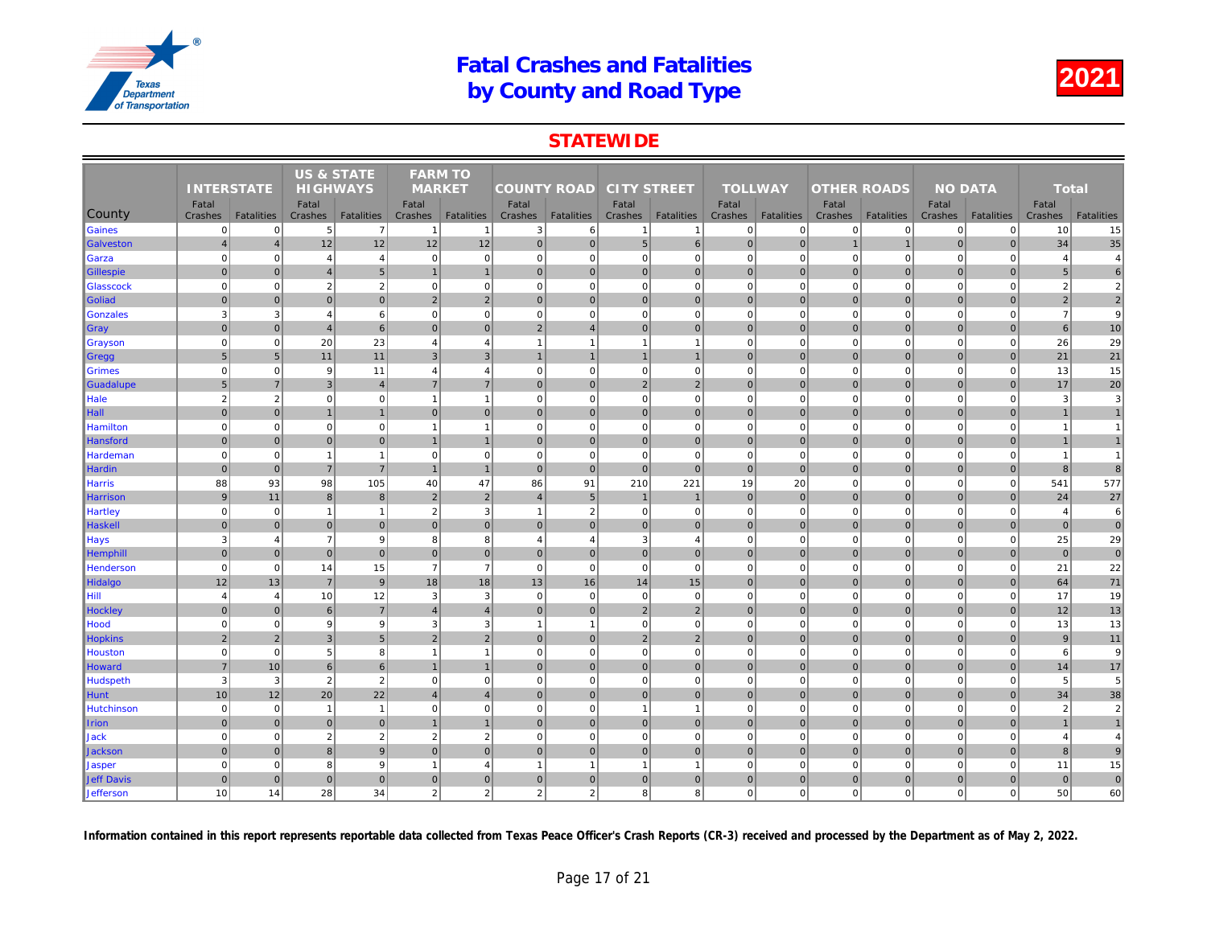### **STATEWIDE**

|                    | <b>INTERSTATE</b>         |                                  | <b>US &amp; STATE</b> |                                   | <b>FARM TO</b>           |                                   |                         |                         |                         |                                     |                  |                                   |                        |                         |     |
|--------------------|---------------------------|----------------------------------|-----------------------|-----------------------------------|--------------------------|-----------------------------------|-------------------------|-------------------------|-------------------------|-------------------------------------|------------------|-----------------------------------|------------------------|-------------------------|-----|
|                    |                           |                                  | <b>HIGHWAYS</b>       |                                   | <b>MARKET</b>            |                                   | <b>COUNTY ROAD</b>      |                         | <b>CITY STREET</b>      |                                     | <b>TOLLWAY</b>   |                                   | <b>OTHER ROADS</b>     |                         |     |
|                    | Fatal                     |                                  | Fatal                 |                                   | Fatal                    |                                   | Fatal                   |                         | Fatal                   |                                     | Fatal            |                                   | Fatal                  |                         |     |
| County<br>Gaines   | Crashes<br>$\overline{0}$ | <b>Fatalities</b><br>$\mathbf 0$ | Crashes<br>5          | Fatalities<br>$\overline{7}$      | Crashes<br>-1            | <b>Fatalities</b><br>$\mathbf{1}$ | Crashes<br>3            | Fatalities<br>6         | Crashes<br>$\mathbf{1}$ | <b>Fatalities</b><br>$\overline{1}$ | Crashes          | <b>Fatalities</b><br>$\mathbf{0}$ | Crashes<br>$\mathbf 0$ | <b>Fatalities</b><br> 0 | Cra |
| Galveston          | $\overline{4}$            | $\overline{4}$                   | 12                    | 12                                | 12                       | 12                                | 0                       | $\overline{0}$          | 5 <sup>5</sup>          | $6 \overline{6}$                    | 0<br>$\mathbf 0$ | $\overline{0}$                    |                        |                         |     |
|                    | $\mathbf 0$               | $\Omega$                         | $\overline{4}$        |                                   | $\mathbf 0$              | $\mathbf 0$                       | 0                       | $\overline{0}$          | $\overline{0}$          | $\overline{0}$                      | $\mathbf 0$      | $\Omega$                          | $\mathbf 0$            | $\Omega$                |     |
| Garza              | $\mathbf{0}$              | $\mathbf{0}$                     | $\overline{4}$        | $\overline{4}$<br>$5\overline{)}$ | $\mathbf{1}$             | $\mathbf{1}$                      | 0                       | $\mathbf 0$             | $\overline{0}$          | $\overline{0}$                      | $\mathbf{0}$     | $\overline{0}$                    | $\mathbf 0$            | $\mathbf 0$             |     |
| <b>Gillespie</b>   | $\mathbf 0$               | $\mathbf 0$                      | $\overline{2}$        | $\sqrt{2}$                        | $\mathbf 0$              | $\mathbf 0$                       | 0                       | $\Omega$                | $\mathbf{0}$            | $\overline{0}$                      | $\mathbf 0$      | $\mathbf 0$                       | $\mathbf 0$            | $\mathbf 0$             |     |
| Glasscock          | $\mathbf{0}$              | $\Omega$                         | $\mathbf{0}$          | $\overline{0}$                    | 2                        | $\overline{2}$                    | 0                       | $\overline{0}$          | $\overline{0}$          | $\overline{0}$                      | $\mathbf{0}$     | $\mathbf{0}$                      | $\mathbf 0$            | $\overline{0}$          |     |
| Goliad<br>Gonzales | 3                         | 3                                | $\overline{4}$        | 6                                 | $\mathbf 0$              | $\mathbf 0$                       | $\overline{0}$          | $\Omega$                | $\mathbf{0}$            | $\mathbf 0$                         | $\mathbf 0$      | $\Omega$                          | $\mathbf 0$            | $\mathbf 0$             |     |
|                    | $\mathbf{0}$              | $\Omega$                         | $\overline{4}$        | $6 \overline{6}$                  | $\mathbf{0}$             | $\mathbf{0}$                      | 2 <sup>1</sup>          | $\overline{4}$          | $\overline{0}$          | $\overline{0}$                      | $\mathbf{0}$     | $\Omega$                          | $\mathbf{0}$           | $\Omega$                |     |
| $\sqrt{G}$ ray     | $\overline{0}$            | $\mathbf 0$                      | 20                    | 23                                | $\overline{4}$           | $\overline{4}$                    | $\overline{1}$          | $\overline{\mathbf{1}}$ | $\overline{1}$          | $\mathbf{1}$                        | $\mathbf 0$      | $\Omega$                          | $\mathbf 0$            | $\mathbf 0$             |     |
| Grayson            | 5                         | 5                                | 11                    | 11                                | 3                        | $\mathbf{3}$                      | $\mathbf{1}$            | $\overline{1}$          | $\mathbf{1}$            | $\mathbf{1}$                        | $\mathbf 0$      | $\mathbf 0$                       | $\mathbf 0$            | $\overline{0}$          |     |
| Gregg<br>Grimes    | $\Omega$                  | $\mathbf 0$                      | 9                     | 11                                | $\overline{4}$           | $\overline{4}$                    | $\overline{0}$          | $\Omega$                | $\mathbf{0}$            | $\mathbf{0}$                        | $\mathbf 0$      | $\mathbf 0$                       | $\mathbf 0$            | $\mathbf 0$             |     |
| Guadalupe          | $5\phantom{1}$            | $\overline{7}$                   | 3                     | $\overline{4}$                    | $\overline{7}$           | $\overline{7}$                    | 0                       | $\overline{0}$          | $\overline{2}$          | $\overline{2}$                      | $\mathbf{0}$     | $\overline{0}$                    | $\mathbf 0$            | $\overline{0}$          |     |
| Hale               | $\overline{2}$            | 2                                | $\mathbf 0$           | $\mathbf{0}$                      | -1                       | $\overline{1}$                    | 0                       | $\mathbf 0$             | $\mathbf{0}$            | $\mathbf{0}$                        | $\mathbf 0$      | $\mathbf 0$                       | $\mathbf 0$            | $\mathbf 0$             |     |
| Hall               | $\Omega$                  | $\Omega$                         |                       | $\mathbf{1}$                      | $\Omega$                 | $\mathbf{0}$                      | $\overline{0}$          | $\overline{0}$          | $\overline{0}$          | $\mathbf{0}$                        | $\Omega$         | $\Omega$                          | $\mathbf{0}$           | $\overline{0}$          |     |
| <b>Hamilton</b>    | $\mathbf 0$               | $\mathbf 0$                      | $\Omega$              | $\mathbf{0}$                      | -1                       | $\overline{1}$                    | 0                       | $\mathbf 0$             | $\mathbf{0}$            | $\mathbf{0}$                        | $\mathbf 0$      | $\mathbf 0$                       | $\mathbf 0$            | $\mathbf 0$             |     |
| Hansford           | $\mathbf{0}$              | $\Omega$                         | $\Omega$              | $\overline{0}$                    |                          | $\overline{1}$                    | $\Omega$                | $\overline{0}$          | $\overline{0}$          | $\mathbf{0}$                        | $\mathbf{0}$     | $\Omega$                          | $\mathbf{0}$           | $\Omega$                |     |
| Hardeman           | $\mathbf 0$               | $\pmb{0}$                        | $\overline{1}$        | $\mathbf{1}$                      | $\mathbf 0$              | $\mathbf 0$                       | $\mathbf 0$             | $\overline{0}$          | $\mathbf{0}$            | $\mathbf 0$                         | $\mathbf 0$      | $\mathbf 0$                       | $\mathbf 0$            | $\mathbf 0$             |     |
| Hardin             | $\mathbf 0$               | $\overline{0}$                   | $\overline{7}$        | $\overline{7}$                    | $\mathbf{1}$             | $\mathbf{1}$                      | 0                       | $\mathbf 0$             | $\overline{0}$          | $\mathbf{0}$                        | $\mathbf 0$      | $\overline{0}$                    | $\mathbf 0$            | $\overline{0}$          |     |
| <b>Harris</b>      | 88                        | 93                               | 98                    | 105                               | 40                       | 47                                | 86                      | 91                      | 210                     | 221                                 | 19               | 20                                | $\mathbf 0$            | $\overline{0}$          |     |
| Harrison           | 9                         | 11                               | 8                     | 8 <sup>1</sup>                    | $\overline{2}$           | $\overline{2}$                    | $\overline{\mathbf{A}}$ | 5                       | $\overline{1}$          | $\mathbf 1$                         | $\mathbf 0$      | $\mathbf{0}$                      | $\mathbf 0$            | $\overline{0}$          |     |
| <b>Hartley</b>     | $\mathbf 0$               | $\Omega$                         | $\overline{1}$        | $\mathbf{1}$                      | $\overline{2}$           | 3                                 | $\mathbf{1}$            | $\overline{2}$          | $\mathbf{0}$            | $\Omega$                            | $\mathbf 0$      | $\Omega$                          | $\mathbf 0$            | $\mathbf 0$             |     |
| Haskell            | $\mathbf 0$               | $\overline{0}$                   | $\mathbf 0$           | $\overline{0}$                    | $\Omega$                 | $\mathbf{0}$                      | $\overline{0}$          | $\overline{0}$          | $\overline{0}$          | $\overline{0}$                      | $\mathbf 0$      | $\Omega$                          | $\mathbf 0$            | $\overline{0}$          |     |
| <b>Hays</b>        | $\mathbf{3}$              | $\overline{4}$                   | $\overline{7}$        | 9                                 | 8                        | 8                                 | $\overline{4}$          | $\overline{4}$          | 3                       | $\overline{4}$                      | $\mathbf 0$      | $\Omega$                          | $\mathbf 0$            | $\mathbf 0$             |     |
| Hemphill           | $\Omega$                  | $\mathbf{0}$                     | $\mathbf 0$           | $\overline{0}$                    | $\mathbf{0}$             | $\mathbf{0}$                      | 0                       | $\overline{0}$          | $\overline{0}$          | $\overline{0}$                      | $\mathbf{0}$     | $\Omega$                          | $\mathbf 0$            | $\overline{0}$          |     |
| Henderson          | $\mathbf 0$               | $\Omega$                         | 14                    | 15                                | $\overline{7}$           | $\overline{7}$                    | 0                       | $\mathbf 0$             | $\overline{0}$          | $\mathbf{0}$                        | $\mathbf 0$      | $\Omega$                          | $\mathbf 0$            | $\mathbf 0$             |     |
| Hidalgo            | 12                        | 13                               | $\overline{7}$        | $\overline{9}$                    | 18                       | 18                                | 13                      | 16                      | 14                      | 15                                  | $\mathbf{0}$     | $\overline{0}$                    | $\mathbf{0}$           | $\overline{0}$          |     |
| Hill               | $\overline{4}$            | $\overline{4}$                   | 10                    | 12                                | 3                        | 3                                 | $\mathbf 0$             | $\overline{0}$          | $\mathbf{0}$            | $\mathbf{0}$                        | $\mathbf 0$      | $\mathbf 0$                       | $\mathbf 0$            | $\mathbf 0$             |     |
| Hockley            | $\mathbf 0$               | $\overline{0}$                   | 6                     | $\sqrt{7}$                        | $\overline{4}$           | $\overline{4}$                    | $\overline{0}$          | $\overline{0}$          | $\overline{2}$          | $\sqrt{2}$                          | $\mathbf{0}$     | $\Omega$                          | $\mathbf 0$            | $\overline{0}$          |     |
| Hood               | $\mathbf 0$               | $\mathbf 0$                      | 9                     | 9                                 | 3                        | 3                                 | $\mathbf{1}$            | -1                      | $\overline{0}$          | $\overline{0}$                      | $\mathbf 0$      | $\mathbf 0$                       | $\mathbf 0$            | $\Omega$                |     |
| <b>Hopkins</b>     | $\overline{2}$            | $\overline{2}$                   | $\mathbf{3}$          | $5\overline{)}$                   | $\overline{2}$           | $\overline{2}$                    | $\overline{0}$          | $\overline{0}$          | $\overline{2}$          | $\overline{2}$                      | $\mathbf 0$      | $\Omega$                          | $\mathbf 0$            | $\mathbf 0$             |     |
| Houston            | $\mathbf 0$               | $\mathbf 0$                      | 5                     | 8                                 | $\overline{\phantom{a}}$ | $\overline{1}$                    | 0                       | $\mathbf 0$             | $\mathbf{0}$            | $\overline{0}$                      | $\mathbf 0$      | $\mathbf 0$                       | $\mathbf 0$            | $\Omega$                |     |
| Howard             | $\overline{7}$            | 10                               | $\,6\,$               | $6 \overline{6}$                  | $\overline{1}$           | $\mathbf{1}$                      | 0                       | $\pmb{0}$               | $\overline{0}$          | $\overline{0}$                      | $\mathbf 0$      | $\overline{0}$                    | $\mathbf 0$            | $\mathbf 0$             |     |
| Hudspeth           | 3                         | 3                                | $\overline{2}$        | $\overline{2}$                    | $\mathbf 0$              | $\mathbf 0$                       | 0                       | $\Omega$                | $\overline{0}$          | $\overline{0}$                      | $\mathbf 0$      | $\mathbf 0$                       | $\mathbf 0$            | $\overline{0}$          |     |
| Hunt               | 10                        | 12                               | 20                    | 22                                | $\overline{A}$           | $\overline{4}$                    | $\Omega$                | $\Omega$                | $\overline{0}$          | $\overline{0}$                      | $\mathbf{0}$     | $\Omega$                          | $\mathbf{0}$           | $\Omega$                |     |
| <b>Hutchinson</b>  | $\mathbf 0$               | $\mathbf 0$                      | $\overline{1}$        | $\mathbf{1}$                      | $\mathbf 0$              | $\mathbf 0$                       | $\overline{0}$          | $\Omega$                | $\overline{1}$          | $\mathbf{1}$                        | $\mathbf 0$      | $\mathbf 0$                       | $\mathbf 0$            | $\mathbf 0$             |     |
| <b>I</b> rion      | $\mathbf{0}$              | $\Omega$                         | $\mathbf{0}$          | $\overline{0}$                    | $\mathbf{1}$             | $\mathbf{1}$                      | $\overline{0}$          | $\mathbf{0}$            | $\overline{0}$          | $\overline{0}$                      | $\mathbf{0}$     | $\Omega$                          | $\mathbf{0}$           | $\Omega$                |     |
| <b>Jack</b>        | $\mathbf 0$               | $\mathbf 0$                      | $\overline{2}$        | $\overline{2}$                    | $\overline{2}$           | $\overline{2}$                    | 0                       | $\mathbf 0$             | $\mathbf{0}$            | $\mathbf{0}$                        | $\mathbf 0$      | $\mathbf 0$                       | $\mathbf 0$            | $\mathbf 0$             |     |
| Jackson            | $\mathbf{0}$              | $\overline{0}$                   | 8                     | $\overline{9}$                    | $\mathbf{0}$             | $\mathbf{0}$                      | $\overline{0}$          | $\overline{0}$          | $\overline{0}$          | $\overline{0}$                      | $\mathbf 0$      | $\mathbf{0}$                      | $\mathbf 0$            | $\overline{0}$          |     |
| <b>Jasper</b>      | $\Omega$                  | $\Omega$                         | 8                     | 9                                 | $\overline{\phantom{a}}$ | $\overline{4}$                    | $\mathbf{1}$            |                         | $\overline{1}$          | $\mathbf{1}$                        | $\mathbf 0$      | $\mathbf 0$                       | $\Omega$               | $\Omega$                |     |
| <b>Jeff Davis</b>  | $\mathbf 0$               | $\mathbf{0}$                     | $\overline{0}$        | $\overline{0}$                    | $\mathbf{0}$             | $\mathbf{0}$                      | 0                       | $\mathbf 0$             | 0                       | $\overline{0}$                      | $\mathbf 0$      | 0                                 | $\mathbf 0$            | $\mathbf{0}$            |     |
| Jefferson          | 10                        | 14                               | 28                    | 34                                | $\overline{2}$           | $\overline{2}$                    | $\overline{2}$          | $\overline{2}$          | 8                       | 8                                   | $\mathbf 0$      | $\mathbf 0$                       | $\mathbf 0$            | $\mathbf{0}$            |     |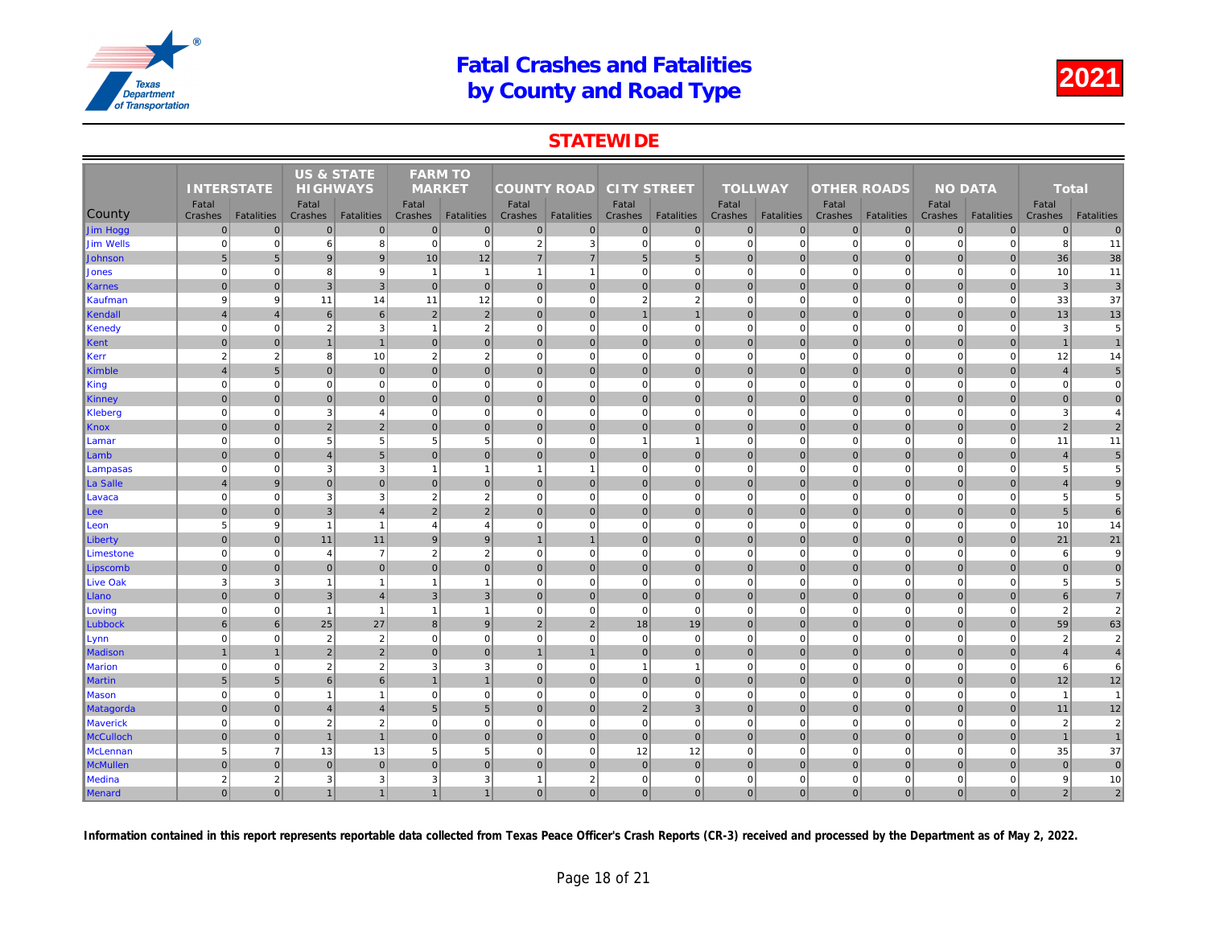### **STATEWIDE**

|                  | <b>INTERSTATE</b><br>Fatal |                   |                  | <b>US &amp; STATE</b><br><b>HIGHWAYS</b> |                  | <b>FARM TO</b><br><b>MARKET</b> |                    |                |                    |                   | <b>TOLLWAY</b>   |                   |                    |                   |     |
|------------------|----------------------------|-------------------|------------------|------------------------------------------|------------------|---------------------------------|--------------------|----------------|--------------------|-------------------|------------------|-------------------|--------------------|-------------------|-----|
|                  |                            |                   |                  |                                          |                  |                                 | <b>COUNTY ROAD</b> |                | <b>CITY STREET</b> |                   |                  |                   | <b>OTHER ROADS</b> |                   |     |
| <b>County</b>    | Crashes                    | <b>Fatalities</b> | Fatal<br>Crashes | <b>Fatalities</b>                        | Fatal<br>Crashes | <b>Fatalities</b>               | Fatal<br>Crashes   | Fatalities     | Fatal<br>Crashes   | <b>Fatalities</b> | Fatal<br>Crashes | <b>Fatalities</b> | Fatal<br>Crashes   | <b>Fatalities</b> | Cra |
| Jim Hogg         | $\overline{0}$             | $\overline{0}$    | $\mathbf{0}$     | $\overline{0}$                           | $\mathbf{0}$     | $\mathbf 0$                     | $\overline{0}$     | $\overline{0}$ | $\mathbf 0$        | 0                 | $\mathbf{0}$     | $\overline{0}$    | $\mathbf 0$        | $\mathbf 0$       |     |
| <b>Jim Wells</b> | $\mathbf 0$                | $\mathbf{0}$      | 6                | 8                                        | $\mathbf 0$      | $\mathbf 0$                     | $\overline{2}$     | 3              | $\mathbf 0$        | $\mathbf{0}$      | $\mathbf 0$      | $\mathbf 0$       | $\mathbf 0$        | $\mathbf 0$       |     |
| Johnson          | 5                          | 5 <sub>5</sub>    | 9                | 9                                        | 10               | 12                              | $\overline{7}$     | $\overline{7}$ | $\sqrt{5}$         | $5\phantom{.0}$   | $\Omega$         | $\Omega$          | $\mathbf 0$        | $\mathbf 0$       |     |
| Jones            | $\Omega$                   | $\overline{0}$    | 8                | 9                                        | $\mathbf{1}$     | $\overline{1}$                  | $\overline{1}$     | $\overline{1}$ | $\pmb{0}$          | $\overline{0}$    | $\mathbf 0$      | $\mathbf 0$       | $\mathbf 0$        | $\mathbf 0$       |     |
| <b>Karnes</b>    | $\Omega$                   | $\overline{0}$    | $\mathbf{3}$     | $\overline{3}$                           | $\Omega$         | $\mathbf{0}$                    | $\overline{0}$     | $\mathbf 0$    | 0                  | $\overline{0}$    | $\mathbf{0}$     | $\overline{0}$    | $\mathbf 0$        | $\overline{0}$    |     |
| Kaufman          | 9                          | 9                 | 11               | 14                                       | 11               | 12                              | $\overline{0}$     | $\Omega$       | $\overline{2}$     | $\overline{2}$    | $\mathbf 0$      | $\mathbf 0$       | $\mathbf 0$        | $\Omega$          |     |
| Kendall          | $\overline{4}$             | $\overline{4}$    | $6\phantom{1}$   | 6                                        | $\overline{2}$   | $\overline{2}$                  | $\overline{0}$     | $\mathbf 0$    | $\mathbf{1}$       | $\mathbf{1}$      | $\mathbf 0$      | $\overline{0}$    | $\mathbf 0$        | $\mathbf 0$       |     |
| Kenedy           | $\Omega$                   | $\mathbf{0}$      | $\overline{2}$   | $\mathbf{3}$                             | $\overline{1}$   | $\overline{2}$                  | 0                  | $\Omega$       | $\pmb{0}$          | $\mathbf{0}$      | $\mathbf 0$      | $\mathbf 0$       | $\mathbf 0$        | $\mathbf 0$       |     |
| Kent             | $\Omega$                   | $\overline{0}$    | $\overline{1}$   | $\overline{1}$                           | $\Omega$         | $\Omega$                        | $\Omega$           | $\mathbf{0}$   | 0                  | $\overline{0}$    | $\mathbf{0}$     | $\Omega$          | $\mathbf{0}$       | $\mathbf{0}$      |     |
| Kerr             | $\overline{2}$             | $\overline{2}$    | 8                | 10                                       | $\overline{2}$   | $\overline{2}$                  | $\mathbf{0}$       | $\mathbf 0$    | $\pmb{0}$          | $\mathbf{0}$      | $\mathbf 0$      | $\mathbf 0$       | $\mathbf 0$        | $\mathbf 0$       |     |
| <b>Kimble</b>    | $\overline{4}$             | 5 <sub>5</sub>    | $\mathbf{0}$     | $\overline{0}$                           | $\mathbf{0}$     | $\mathbf{0}$                    | $\overline{0}$     | $\Omega$       | $\pmb{0}$          | $\overline{0}$    | $\mathbf{0}$     | $\Omega$          | $\mathbf 0$        | $\overline{0}$    |     |
| King             | $\mathbf 0$                | $\mathbf{0}$      | $\mathbf 0$      | $\mathbf 0$                              | $\mathbf 0$      | $\mathbf 0$                     | 0                  | $\Omega$       | $\pmb{0}$          | $\overline{0}$    | $\mathbf 0$      | $\mathbf 0$       | $\mathbf 0$        | $\mathbf 0$       |     |
| Kinney           | $\Omega$                   | $\overline{0}$    | $\mathbf 0$      | $\overline{0}$                           | $\Omega$         | $\mathbf{0}$                    | $\overline{0}$     | $\mathbf 0$    | 0                  | $\overline{0}$    | $\mathbf{0}$     | $\overline{0}$    | $\mathbf 0$        | $\overline{0}$    |     |
| Kleberg          | $\Omega$                   | $\overline{0}$    | 3                | $\overline{4}$                           | $\Omega$         | $\Omega$                        | $\overline{0}$     | $\Omega$       | $\mathbf 0$        | $\Omega$          | $\Omega$         | $\Omega$          | $\Omega$           | $\Omega$          |     |
| <b>Knox</b>      | $\mathbf 0$                | $\overline{0}$    | 2                | $\overline{2}$                           | $\overline{0}$   | $\mathbf 0$                     | 0                  | $\mathbf 0$    | 0                  | $\overline{0}$    | $\mathbf{0}$     | $\overline{0}$    | $\mathbf 0$        | $\pmb{0}$         |     |
| Lamar            | $\overline{0}$             | $\mathbf{0}$      | 5                | $5\phantom{.0}$                          | 5                | $\overline{5}$                  | 0                  | $\Omega$       | $\mathbf{1}$       | $\overline{1}$    | $\mathbf 0$      | $\mathbf 0$       | $\mathbf 0$        | $\mathbf 0$       |     |
| Lamb             | $\overline{0}$             | $\overline{0}$    | $\overline{4}$   | $5\overline{)}$                          | $\mathbf 0$      | $\mathbf 0$                     | $\overline{0}$     | $\mathbf 0$    | 0                  | $\overline{0}$    | $\mathbf 0$      | $\overline{0}$    | $\mathbf 0$        | $\mathbf{0}$      |     |
| Lampasas         | $\mathbf 0$                | $\mathbf{0}$      | 3                | $\mathbf{3}$                             | $\overline{1}$   | $\mathbf{1}$                    | $\mathbf{1}$       | -1             | $\mathbf 0$        | $\mathbf{0}$      | $\mathbf 0$      | $\mathbf 0$       | $\mathbf 0$        | $\mathbf 0$       |     |
| La Salle         | $\overline{4}$             | 9                 | $\mathbf{0}$     | $\overline{0}$                           | $\Omega$         | $\mathbf{0}$                    | $\overline{0}$     | $\mathbf{0}$   | 0                  | $\overline{0}$    | $\Omega$         | $\overline{0}$    | $\mathbf{0}$       | $\Omega$          |     |
| Lavaca           | $\mathbf 0$                | $\mathbf{0}$      | 3                | $\mathbf{3}$                             | $\overline{2}$   | $\overline{2}$                  | $\mathbf{0}$       | $\mathbf 0$    | $\mathbf 0$        | $\mathbf{0}$      | $\mathbf 0$      | $\mathbf 0$       | $\mathbf 0$        | $\mathbf 0$       |     |
| Lee              | $\mathbf 0$                | $\overline{0}$    | $\mathsf 3$      | $\overline{4}$                           | $\overline{2}$   | $\overline{2}$                  | $\overline{0}$     | $\mathbf 0$    | $\pmb{0}$          | $\overline{0}$    | $\mathbf{0}$     | $\overline{0}$    | $\mathbf 0$        | $\mathbf 0$       |     |
| Leon             | 5                          | 9                 | $\overline{1}$   | $\overline{1}$                           | $\overline{4}$   | $\overline{4}$                  | $\mathbf{0}$       | $\mathbf 0$    | $\pmb{0}$          | $\mathbf{0}$      | $\mathbf 0$      | $\mathbf 0$       | $\mathbf 0$        | $\pmb{0}$         |     |
| Liberty          | $\Omega$                   | $\overline{0}$    | 11               | 11                                       | $\mathbf{g}$     | 9                               |                    |                | 0                  | $\overline{0}$    | $\mathbf{0}$     | 0                 | $\mathbf 0$        | $\mathbf{0}$      |     |
| Limestone        | $\Omega$                   | $\overline{0}$    | $\overline{4}$   | $\overline{7}$                           | 2                | $\overline{2}$                  | $\overline{0}$     | $\Omega$       | $\mathbf 0$        | $\overline{0}$    | $\mathbf 0$      | $\mathbf 0$       | $\overline{0}$     | $\Omega$          |     |
| Lipscomb         | $\mathbf 0$                | $\mathbf{0}$      | $\mathbf 0$      | $\mathbf 0$                              | $\mathbf 0$      | $\mathbf 0$                     | $\overline{0}$     | $\mathbf{0}$   | $\pmb{0}$          | $\overline{0}$    | $\mathbf{0}$     | $\mathbf 0$       | $\mathbf{0}$       | $\overline{0}$    |     |
| <b>Live Oak</b>  | 3                          | 3                 | $\overline{1}$   | $\overline{1}$                           | $\mathbf{1}$     | $\mathbf{1}$                    | 0                  | $\Omega$       | $\overline{0}$     | $\overline{0}$    | $\mathbf 0$      | $\mathbf 0$       | $\mathbf 0$        | $\Omega$          |     |
| Llano            | $\overline{0}$             | $\overline{0}$    | $\mathbf{3}$     | $\overline{4}$                           | $\mathbf{3}$     | $\mathbf{3}$                    | $\overline{0}$     | $\mathbf 0$    | 0                  | $\overline{0}$    | $\mathbf 0$      | $\overline{0}$    | $\mathbf 0$        | $\mathbf 0$       |     |
| Loving           | $\Omega$                   | $\overline{0}$    | $\overline{1}$   | $\overline{1}$                           | $\overline{1}$   | $\overline{1}$                  | $\overline{0}$     | $\Omega$       | $\mathbf 0$        | $\overline{0}$    | $\mathbf 0$      | $\mathbf 0$       | $\mathbf 0$        | $\Omega$          |     |
| Lubbock          | 6                          | $6 \mid$          | 25               | 27                                       | 8                | 9                               | 2 <sup>1</sup>     | $\overline{2}$ | 18                 | 19                | $\mathbf{0}$     | $\overline{0}$    | $\mathbf{0}$       | $\mathbf{0}$      |     |
| Lynn             | $\mathbf 0$                | $\mathbf{0}$      | $\overline{2}$   | $\overline{2}$                           | $\mathbf 0$      | $\mathbf 0$                     | 0                  | $\Omega$       | $\pmb{0}$          | $\overline{0}$    | $\mathbf 0$      | $\mathbf 0$       | $\mathbf 0$        | $\mathbf 0$       |     |
| <b>Madison</b>   |                            | $\overline{1}$    | $\overline{2}$   | $\overline{2}$                           | $\Omega$         | $\mathbf{0}$                    | $\overline{1}$     |                | 0                  | $\overline{0}$    | $\mathbf{0}$     | $\overline{0}$    | $\mathbf{0}$       | $\overline{0}$    |     |
| <b>Marion</b>    | $\mathbf 0$                | $\mathbf{0}$      | $\sqrt{2}$       | $\overline{2}$                           | 3                | $\mathbf{3}$                    | $\mathbf{0}$       | $\mathbf 0$    | $\mathbf{1}$       | $\mathbf{1}$      | $\mathbf 0$      | $\Omega$          | $\mathbf 0$        | $\mathbf 0$       |     |
| <b>Martin</b>    | 5                          | 5 <sub>5</sub>    | 6                | 6                                        |                  | $\overline{1}$                  | $\Omega$           | $\mathbf{0}$   | 0                  | $\overline{0}$    | $\mathbf{0}$     | $\overline{0}$    | $\mathbf 0$        | $\Omega$          |     |
| <b>Mason</b>     | $\overline{0}$             | $\overline{0}$    | $\overline{1}$   | $\overline{1}$                           | $\mathbf 0$      | $\mathbf 0$                     | $\overline{0}$     | $\Omega$       | $\pmb{0}$          | $\overline{0}$    | $\mathbf 0$      | $\mathbf 0$       | $\mathbf 0$        | $\mathbf 0$       |     |
| Matagorda        | $\overline{0}$             | $\overline{0}$    | $\overline{4}$   | $\overline{4}$                           | $5\overline{5}$  | $5\phantom{1}$                  | $\overline{0}$     | $\mathbf 0$    | $\overline{2}$     | $\mathbf{3}$      | $\mathbf 0$      | $\overline{0}$    | $\pmb{0}$          | $\mathbf 0$       |     |
| <b>Maverick</b>  | $\Omega$                   | $\overline{0}$    | 2                | $\overline{2}$                           | $\Omega$         | $\mathbf 0$                     | $\overline{0}$     | $\Omega$       | $\mathbf 0$        | $\mathbf{0}$      | $\mathbf 0$      | $\mathbf 0$       | $\mathbf 0$        | $\mathbf 0$       |     |
| <b>McCulloch</b> | $\overline{0}$             | $\overline{0}$    | $\overline{1}$   | $\overline{1}$                           | $\overline{0}$   | $\mathbf{0}$                    | 0                  | $\mathbf 0$    | 0                  | $\overline{0}$    | $\mathbf{0}$     | $\overline{0}$    | $\mathbf 0$        | $\mathbf 0$       |     |
| <b>McLennan</b>  | 5                          | $\overline{7}$    | 13               | 13                                       | 5                | 5                               | $\overline{0}$     | $\Omega$       | 12                 | 12                | $\mathbf 0$      | $\mathbf 0$       | $\mathbf 0$        | $\mathbf 0$       |     |
| <b>McMullen</b>  | $\overline{0}$             | $\mathbf{0}$      | $\mathbf 0$      | $\overline{0}$                           | $\mathbf{0}$     | $\mathbf{0}$                    | $\Omega$           | $\mathbf 0$    | $\pmb{0}$          | $\overline{0}$    | $\mathbf{0}$     | $\overline{0}$    | $\mathbf 0$        | $\overline{0}$    |     |
| <b>Medina</b>    | $\overline{2}$             | $\overline{2}$    | 3                | $\mathbf{3}$                             | 3                | 3                               | $\mathbf{1}$       | $\overline{2}$ | $\mathbf 0$        | $\overline{0}$    | $\mathbf 0$      | $\mathbf 0$       | $\mathbf 0$        | $\mathbf 0$       |     |
| Menard           | $\Omega$                   | 0                 | $\overline{1}$   | $\overline{1}$                           |                  | $\mathbf{1}$                    | $\overline{0}$     | $\Omega$       | 0                  | $\overline{0}$    | $\mathbf{0}$     | 0                 | $\Omega$           | $\mathbf{0}$      |     |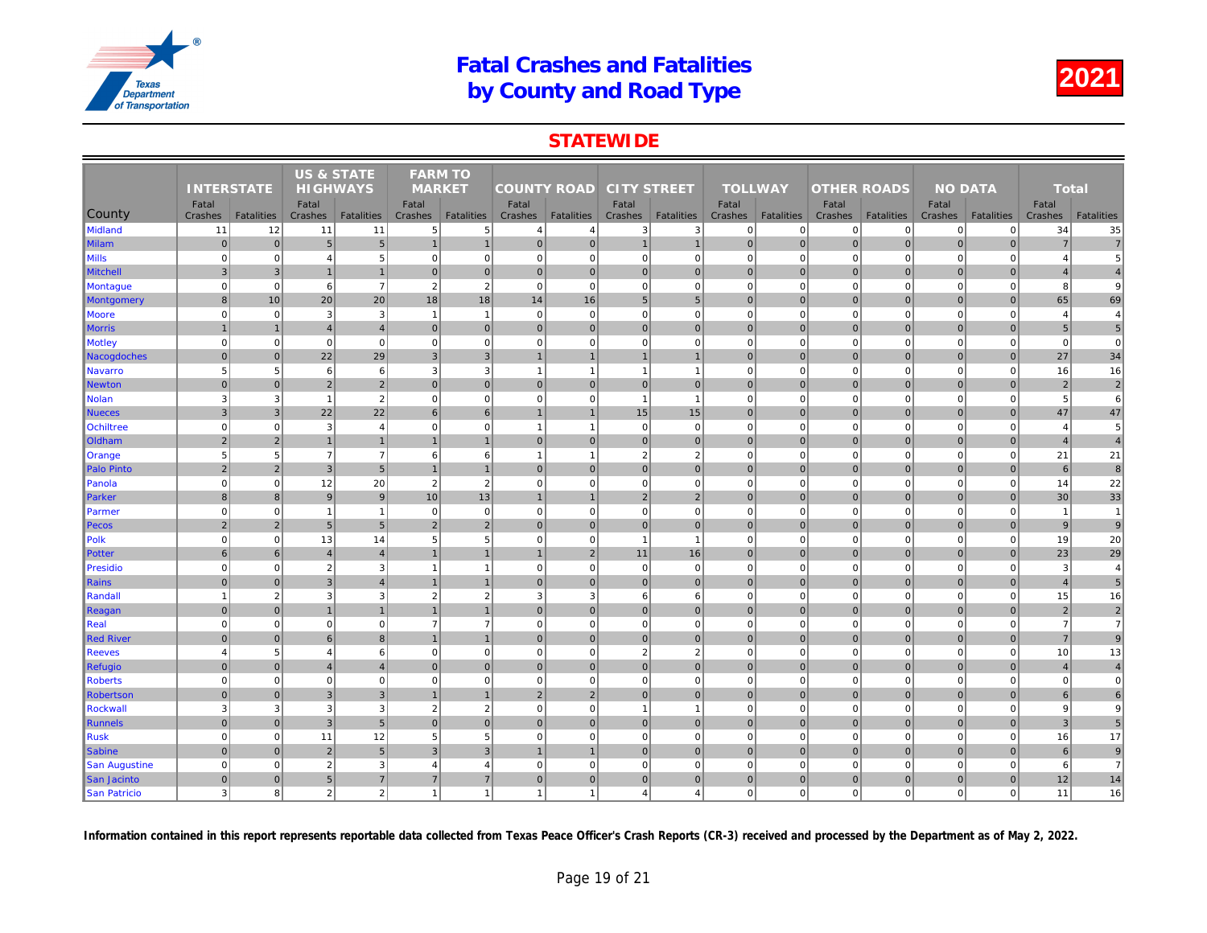## **STATEWIDE**

|                      |                   |                   | <b>US &amp; STATE</b> |                   | <b>FARM TO</b> |                   |                    |                   |                    |                   |                         |                   |                    |                   |     |
|----------------------|-------------------|-------------------|-----------------------|-------------------|----------------|-------------------|--------------------|-------------------|--------------------|-------------------|-------------------------|-------------------|--------------------|-------------------|-----|
|                      | <b>INTERSTATE</b> |                   | <b>HIGHWAYS</b>       |                   | <b>MARKET</b>  |                   | <b>COUNTY ROAD</b> |                   | <b>CITY STREET</b> |                   | <b>TOLLWAY</b>          |                   | <b>OTHER ROADS</b> |                   |     |
|                      | Fatal             |                   | Fatal                 |                   | Fatal          |                   | Fatal              |                   | Fatal              |                   | Fatal                   |                   | Fatal              |                   |     |
| County               | Crashes           | <b>Fatalities</b> | Crashes               | <b>Fatalities</b> | Crashes        | <b>Fatalities</b> | Crashes            | <b>Fatalities</b> | Crashes            | <b>Fatalities</b> | Crashes                 | <b>Fatalities</b> | Crashes            | <b>Fatalities</b> | Cra |
| <b>Midland</b>       | 11                | 12                | 11                    | 11                | 5 <sup>5</sup> | $\,$ 5            | 4                  | $\overline{4}$    | 3                  | 3                 | $\mathbf 0$             | $\overline{0}$    | $\overline{0}$     | $\mathbf 0$       |     |
| <b>Milam</b>         | $\overline{0}$    | $\overline{0}$    | $5\phantom{1}$        | $5\overline{)}$   | $\overline{1}$ | $\overline{1}$    | $\overline{0}$     | $\mathbf 0$       | $\mathbf{1}$       | $\mathbf{1}$      | $\mathbf 0$             | $\overline{0}$    | $\mathbf 0$        | $\mathbf 0$       |     |
| <b>Mills</b>         | $\mathbf 0$       | $\mathbf{0}$      | $\overline{4}$        | $\sqrt{5}$        | $\mathbf{0}$   | $\mathbf 0$       | $\mathbf{0}$       | $\mathbf 0$       | $\mathbf 0$        | $\mathbf{0}$      | $\mathbf 0$<br>$\Omega$ | $\mathbf 0$       | $\mathbf 0$        | $\mathbf 0$       |     |
| <b>Mitchell</b>      | $\mathbf{3}$      | $\overline{3}$    | $\overline{1}$        | $\overline{1}$    | $\Omega$       | $\mathbf{0}$      | 0                  | $\mathbf{0}$      | 0                  | 0                 |                         | 0                 | $\mathbf{0}$       | $\Omega$          |     |
| <b>Montague</b>      | $\mathbf 0$       | $\mathbf{0}$      | 6                     | $\overline{7}$    | $\overline{2}$ | $\overline{2}$    | $\mathbf{0}$       | $\mathbf 0$       | $\mathbf 0$        | $\overline{0}$    | $\mathbf 0$             | $\mathbf 0$       | $\mathbf 0$        | $\mathbf 0$       |     |
| <b>Montgomery</b>    | 8                 | 10                | 20                    | 20                | 18             | 18                | 14                 | 16                | 5 <sup>5</sup>     | 5 <sub>5</sub>    | $\mathbf{0}$            | $\overline{0}$    | $\mathbf 0$        | $\overline{0}$    |     |
| Moore                | $\mathbf 0$       | $\mathbf{0}$      | 3                     | $\mathbf{3}$      | $\overline{1}$ | $\mathbf{1}$      | $\overline{0}$     | $\mathbf 0$       | $\mathbf 0$        | $\overline{0}$    | $\mathbf 0$             | $\mathbf 0$       | $\mathbf 0$        | $\mathbf 0$       |     |
| <b>Morris</b>        |                   | $\overline{1}$    | $\overline{4}$        | $\overline{4}$    | $\Omega$       | $\mathbf{0}$      | $\overline{0}$     | $\mathbf{0}$      | 0                  | $\overline{0}$    | $\mathbf{0}$            | $\overline{0}$    | $\mathbf 0$        | $\Omega$          |     |
| <b>Motley</b>        | $\mathbf 0$       | $\mathbf{0}$      | $\mathbf 0$           | $\mathbf 0$       | $\mathbf 0$    | $\mathbf 0$       | $\mathbf{0}$       | $\mathbf 0$       | $\pmb{0}$          | $\mathbf{0}$      | $\mathbf 0$             | $\mathbf 0$       | $\mathbf 0$        | $\mathbf 0$       |     |
| Nacogdoches          | $\overline{0}$    | $\overline{0}$    | 22                    | 29                | $\mathbf{3}$   | $\mathbf{3}$      | $\mathbf{1}$       | $\overline{1}$    | 1                  | $\mathbf{1}$      | $\mathbf{0}$            | 0                 | $\pmb{0}$          | $\mathbf 0$       |     |
| <b>Navarro</b>       | 5                 | $5\overline{5}$   | 6                     | 6                 | 3              | 3                 | $\overline{1}$     | $\overline{1}$    | $\mathbf{1}$       | $\mathbf{1}$      | $\mathbf 0$             | $\mathbf 0$       | $\mathbf 0$        | $\mathbf 0$       |     |
| <b>Newton</b>        | $\overline{0}$    | $\overline{0}$    | $\overline{2}$        | $\overline{2}$    | $\Omega$       | $\mathbf{0}$      | $\overline{0}$     | $\mathbf 0$       | 0                  | $\overline{0}$    | $\mathbf{0}$            | $\overline{0}$    | $\mathbf 0$        | $\mathbf{0}$      |     |
| <b>Nolan</b>         | 3                 | $\overline{3}$    | $\overline{1}$        | $\overline{2}$    | $\mathbf 0$    | $\mathbf 0$       | $\overline{0}$     | $\Omega$          | $\overline{1}$     | $\overline{1}$    | $\mathbf 0$             | $\mathbf 0$       | $\mathbf 0$        | $\Omega$          |     |
| <b>Nueces</b>        | 3                 | 3                 | 22                    | 22                | 6              | 6                 | $\overline{1}$     | $\overline{1}$    | 15                 | 15                | $\mathbf{0}$            | $\overline{0}$    | $\mathbf 0$        | $\overline{0}$    |     |
| <b>Ochiltree</b>     | $\overline{0}$    | $\mathbf{0}$      | 3                     | $\overline{4}$    | $\mathbf 0$    | $\mathbf 0$       | $\overline{1}$     | $\overline{1}$    | $\mathbf 0$        | $\mathbf{0}$      | $\mathbf 0$             | $\Omega$          | $\mathbf 0$        | $\Omega$          |     |
| Oldham               | $\overline{2}$    | $\overline{2}$    | $\overline{1}$        | $\overline{1}$    |                | $\overline{1}$    | $\overline{0}$     | $\mathbf 0$       | $\pmb{0}$          | $\overline{0}$    | $\mathbf 0$             | $\overline{0}$    | $\mathbf 0$        | $\mathbf 0$       |     |
| Orange               | 5                 | $5\overline{)}$   | $\overline{7}$        | $\overline{7}$    | 6              | 6                 | -1                 | -1                | $\sqrt{2}$         | $\overline{2}$    | $\mathbf 0$             | $\mathbf 0$       | $\overline{0}$     | $\Omega$          |     |
| <b>Palo Pinto</b>    | $\overline{2}$    | $\overline{2}$    | 3                     | 5 <sup>5</sup>    | $\mathbf{1}$   | $\overline{1}$    | 0                  | $\mathbf{0}$      | 0                  | $\overline{0}$    | $\mathbf{0}$            | 0                 | $\mathbf{0}$       | $\mathbf{0}$      |     |
| Panola               | $\mathbf 0$       | $\mathbf{0}$      | 12                    | 20                | $\overline{2}$ | $\overline{2}$    | 0                  | $\Omega$          | $\mathbf 0$        | $\mathbf{0}$      | $\mathbf 0$             | $\mathbf 0$       | $\mathbf 0$        | $\mathbf 0$       |     |
| Parker               | 8                 | 8 <sup>1</sup>    | $\boldsymbol{9}$      | 9                 | 10             | 13                |                    |                   | 2                  | $\overline{2}$    | $\mathbf{0}$            | $\overline{0}$    | $\mathbf 0$        | $\mathbf{0}$      |     |
| Parmer               | $\mathbf 0$       | $\mathbf{0}$      | $\overline{1}$        | $\overline{1}$    | $\mathbf 0$    | $\mathbf 0$       | 0                  | $\mathbf 0$       | $\mathbf 0$        | $\overline{0}$    | $\mathbf 0$             | $\mathbf 0$       | $\mathbf 0$        | $\mathbf 0$       |     |
| Pecos                | $\overline{2}$    | $\overline{2}$    | $5\overline{5}$       | 5 <sup>5</sup>    | 2              | $\overline{2}$    | $\Omega$           | $\mathbf{0}$      | 0                  | $\overline{0}$    | $\mathbf{0}$            | $\overline{0}$    | $\mathbf{0}$       | $\Omega$          |     |
| Polk                 | $\overline{0}$    | $\overline{0}$    | 13                    | 14                | 5              | $\overline{5}$    | $\overline{0}$     | $\overline{0}$    | $\overline{1}$     | $\mathbf{1}$      | $\mathbf 0$             | $\mathbf 0$       | $\mathbf 0$        | $\mathbf 0$       |     |
| <b>Potter</b>        | 6                 | 6                 | $\overline{4}$        | $\overline{4}$    | $\mathbf{1}$   | $\mathbf{1}$      | $\mathbf{1}$       | $\sqrt{2}$        | 11                 | 16                | $\mathbf{0}$            | $\overline{0}$    | $\mathbf 0$        | $\mathbf 0$       |     |
| <b>Presidio</b>      | $\Omega$          | $\overline{0}$    | $\overline{2}$        | $\mathbf{3}$      | $\mathbf{1}$   | $\mathbf{1}$      | 0                  | $\Omega$          | $\mathbf 0$        | $\overline{0}$    | $\mathbf 0$             | $\mathbf 0$       | $\mathbf 0$        | $\mathbf 0$       |     |
| Rains                | $\Omega$          | $\overline{0}$    | $\mathbf{3}$          | $\overline{4}$    |                | $\overline{1}$    | 0                  | $\mathbf{0}$      | 0                  | $\overline{0}$    | $\mathbf{0}$            | 0                 | $\mathbf 0$        | $\mathbf{0}$      |     |
| Randall              | $\overline{1}$    | $\overline{2}$    | 3                     | $\mathbf{3}$      | $\overline{2}$ | $\overline{2}$    | 3                  | 3                 | 6                  | $6 \overline{6}$  | $\mathbf 0$             | $\mathbf 0$       | $\mathbf 0$        | $\Omega$          |     |
| Reagan               | $\overline{0}$    | $\mathbf{0}$      |                       | $\overline{1}$    |                | $\mathbf{1}$      | $\overline{0}$     | $\mathbf 0$       | $\pmb{0}$          | $\overline{0}$    | $\mathbf{0}$            | $\overline{0}$    | $\mathbf 0$        | $\overline{0}$    |     |
| Real                 | $\mathbf 0$       | $\overline{0}$    | $\mathbf 0$           | $\overline{0}$    | $\overline{7}$ | $\overline{7}$    | 0                  | $\mathbf 0$       | $\overline{0}$     | $\overline{0}$    | $\mathbf 0$             | $\mathbf 0$       | $\mathbf 0$        | $\mathbf 0$       |     |
| <b>Red River</b>     | $\overline{0}$    | $\overline{0}$    | 6                     | $\boldsymbol{8}$  |                | $\overline{1}$    | $\overline{0}$     | $\mathbf 0$       | 0                  | $\overline{0}$    | $\mathbf{0}$            | $\overline{0}$    | $\mathbf 0$        | $\overline{0}$    |     |
| <b>Reeves</b>        | $\overline{4}$    | $5\overline{5}$   | $\overline{4}$        | 6                 | $\mathbf 0$    | $\mathbf 0$       | $\overline{0}$     | $\Omega$          | $\overline{2}$     | 2                 | $\mathbf 0$             | $\mathbf 0$       | $\mathbf 0$        | $\Omega$          |     |
| <b>Refugio</b>       | $\mathbf{0}$      | $\overline{0}$    | $\overline{4}$        | $\overline{4}$    | $\overline{0}$ | 0                 | 0                  | $\mathbf{0}$      | 0                  | $\overline{0}$    | $\mathbf{0}$            | 0                 | $\mathbf 0$        | $\pmb{0}$         |     |
| <b>Roberts</b>       | $\mathbf 0$       | $\mathbf{0}$      | $\mathbf 0$           | $\overline{0}$    | $\mathbf 0$    | $\mathbf 0$       | 0                  | $\Omega$          | $\mathbf 0$        | $\overline{0}$    | $\mathbf 0$             | $\mathbf 0$       | $\mathbf 0$        | $\mathbf 0$       |     |
| <b>Robertson</b>     | $\overline{0}$    | $\overline{0}$    | $\mathbf{3}$          | $\overline{3}$    |                | $\overline{1}$    | $\overline{2}$     | $\overline{2}$    | 0                  | $\overline{0}$    | $\mathbf{0}$            | $\overline{0}$    | $\mathbf 0$        | $\mathbf{0}$      |     |
| <b>Rockwall</b>      | 3                 | $\mathbf{3}$      | 3                     | $\mathbf{3}$      | $\sqrt{2}$     | $\overline{2}$    | $\mathbf{0}$       | $\mathbf 0$       | $\mathbf{1}$       | $\mathbf{1}$      | $\mathbf 0$             | $\mathbf 0$       | $\mathbf 0$        | $\mathbf 0$       |     |
| <b>Runnels</b>       | $\Omega$          | $\overline{0}$    | $\mathbf{3}$          | 5                 | $\Omega$       | $\mathbf{0}$      | $\Omega$           | $\mathbf{0}$      | 0                  | $\overline{0}$    | $\mathbf{0}$            | $\overline{0}$    | $\mathbf 0$        | $\Omega$          |     |
| <b>Rusk</b>          | $\mathbf 0$       | $\mathbf{0}$      | 11                    | 12                | 5              | $\overline{5}$    | $\overline{0}$     | $\Omega$          | $\pmb{0}$          | $\overline{0}$    | $\mathbf 0$             | $\mathbf 0$       | $\mathbf 0$        | $\mathbf 0$       |     |
| Sabine               | $\overline{0}$    | $\overline{0}$    | $\sqrt{2}$            | $5\overline{)}$   | 3              | $\mathbf{3}$      |                    |                   | 0                  | $\overline{0}$    | $\mathbf 0$             | $\overline{0}$    | $\pmb{0}$          | $\mathbf 0$       |     |
| <b>San Augustine</b> | $\Omega$          | $\overline{0}$    | $\overline{2}$        | $\mathbf{3}$      | $\overline{4}$ | $\overline{4}$    | $\mathbf{0}$       | $\Omega$          | $\mathbf 0$        | $\overline{0}$    | $\mathbf 0$             | $\mathbf 0$       | $\mathbf 0$        | $\mathbf 0$       |     |
| San Jacinto          | $\mathbf 0$       | 0                 | $5\phantom{.0}$       | $\overline{7}$    | $\overline{7}$ | $\overline{7}$    | 0                  | $\mathbf{0}$      | 0                  | $\overline{0}$    | $\mathbf{0}$            | 0                 | $\mathbf 0$        | $\mathbf{0}$      |     |
| <b>San Patricio</b>  | 3                 | 8                 | 2                     | $\overline{2}$    | $\overline{1}$ | $\mathbf{1}$      | $\mathbf{1}$       | 1                 | $\overline{4}$     | $\overline{4}$    | $\mathbf 0$             | $\mathbf 0$       | $\mathbf 0$        | $\mathbf 0$       |     |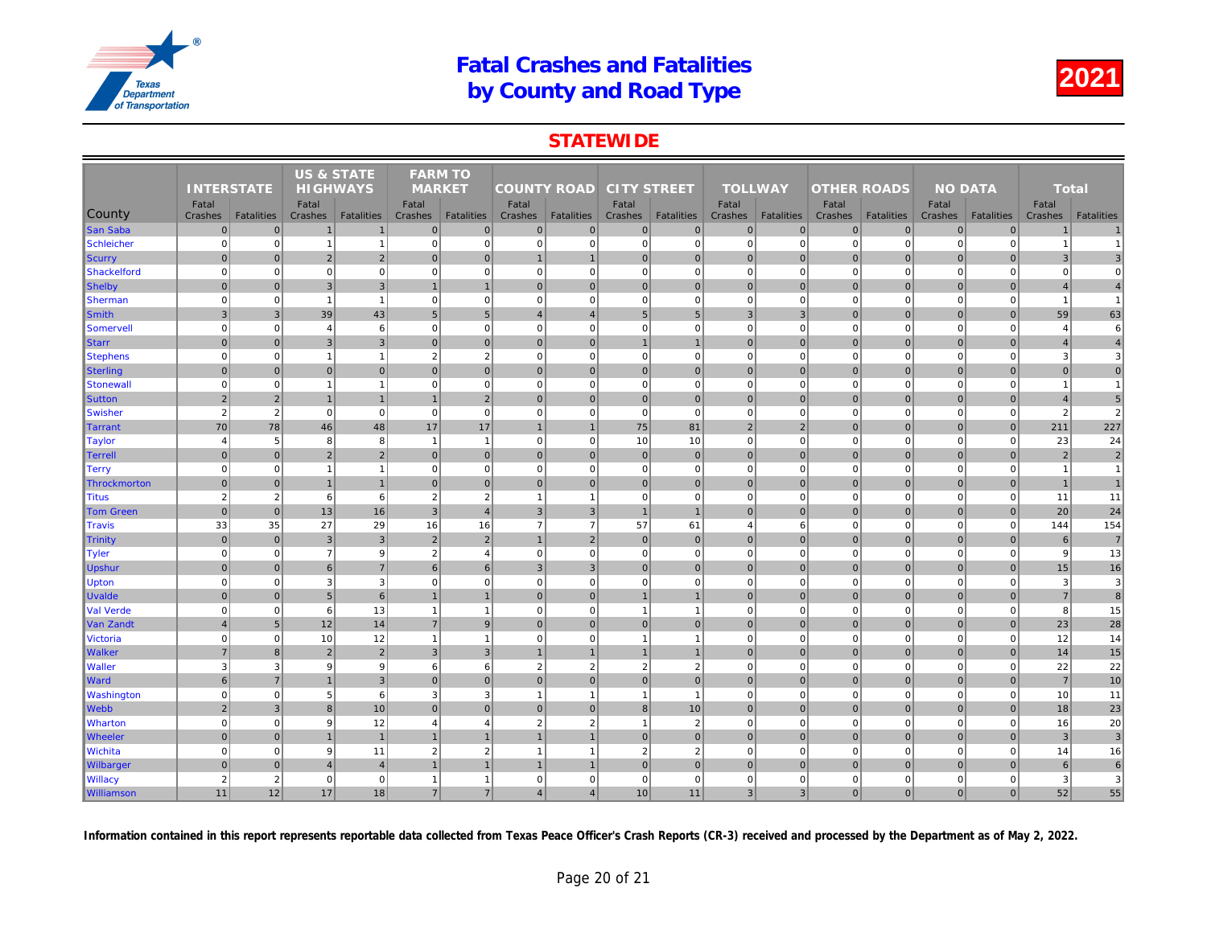### **STATEWIDE**

|                   | <b>INTERSTATE</b><br>Fatal |                | <b>US &amp; STATE</b><br><b>HIGHWAYS</b> |                   | <b>FARM TO</b><br><b>MARKET</b> |                   |                    |                |                    |                   |                  |                   |                    |                   |     |
|-------------------|----------------------------|----------------|------------------------------------------|-------------------|---------------------------------|-------------------|--------------------|----------------|--------------------|-------------------|------------------|-------------------|--------------------|-------------------|-----|
|                   |                            |                |                                          |                   |                                 |                   | <b>COUNTY ROAD</b> |                | <b>CITY STREET</b> |                   | <b>TOLLWAY</b>   |                   | <b>OTHER ROADS</b> |                   |     |
| County            | Crashes                    | Fatalities     | Fatal<br>Crashes                         | <b>Fatalities</b> | Fatal<br>Crashes                | <b>Fatalities</b> | Fatal<br>Crashes   | Fatalities     | Fatal<br>Crashes   | <b>Fatalities</b> | Fatal<br>Crashes | <b>Fatalities</b> | Fatal<br>Crashes   | <b>Fatalities</b> | Cra |
| <b>San Saba</b>   | $\mathbf 0$                | $\mathbf 0$    | $\mathbf{1}$                             | $\mathbf{1}$      | $\mathbf{0}$                    | $\mathbf 0$       | $\overline{0}$     | $\overline{0}$ | $\overline{0}$     | $\overline{0}$    | $\mathbf{0}$     | $\overline{0}$    | $\mathbf 0$        | $\overline{0}$    |     |
| Schleicher        | $\mathbf 0$                | $\Omega$       | $\overline{1}$                           | $\mathbf{1}$      | $\mathbf 0$                     | $\mathbf 0$       | $\mathbf{0}$       | $\mathbf 0$    | $\mathbf{0}$       | $\overline{0}$    | $\mathbf 0$      | $\Omega$          | $\mathbf 0$        | $\Omega$          |     |
| Scurry            | $\mathbf 0$                | $\overline{0}$ | $\sqrt{2}$                               | $\overline{2}$    | $\Omega$                        | $\mathbf 0$       |                    |                | $\overline{0}$     | $\mathbf 0$       | $\overline{0}$   | $\Omega$          | $\mathbf 0$        | $\mathbf 0$       |     |
| Shackelford       | $\mathbf 0$                | $\Omega$       | $\Omega$                                 | $\mathbf 0$       | $\mathbf 0$                     | $\mathbf 0$       | $\mathbf{0}$       | $\Omega$       | $\mathbf{0}$       | $\mathbf{0}$      | $\mathbf 0$      | $\Omega$          | $\mathbf 0$        | $\mathbf 0$       |     |
| Shelby            | $\mathbf{0}$               | $\overline{0}$ | $\mathbf{3}$                             | $\overline{3}$    |                                 | $\overline{1}$    | $\overline{0}$     | $\overline{0}$ | $\overline{0}$     | $\mathbf 0$       | $\mathbf 0$      | $\Omega$          | $\mathbf 0$        | $\overline{0}$    |     |
| <b>Sherman</b>    | $\mathbf 0$                | $\mathbf 0$    | $\overline{1}$                           | $\mathbf{1}$      | $\mathbf 0$                     | $\mathbf 0$       | $\overline{0}$     | $\mathbf 0$    | $\mathbf{0}$       | $\overline{0}$    | $\mathbf 0$      | $\mathbf 0$       | $\mathbf 0$        | $\Omega$          |     |
| Smith             | $\mathbf{3}$               | $\mathbf{3}$   | 39                                       | 43                | 5                               | $5\phantom{.0}$   | 4                  | $\overline{4}$ | 5 <sup>5</sup>     | 5 <sub>5</sub>    | $\mathbf{3}$     | 3                 | $\mathbf 0$        | $\mathbf 0$       |     |
| Somervell         | $\mathbf 0$                | $\mathbf 0$    | $\overline{4}$                           | 6                 | $\mathbf 0$                     | $\mathbf 0$       | 0                  | $\mathbf 0$    | $\mathbf{0}$       | $\mathbf{0}$      | $\mathbf 0$      | $\mathbf 0$       | $\mathbf 0$        | $\mathbf 0$       |     |
| <b>Starr</b>      | $\mathbf{0}$               | $\Omega$       | 3                                        | $\overline{3}$    | $\mathbf{0}$                    | $\mathbf{0}$      | $\overline{0}$     | $\overline{0}$ | $\overline{1}$     | $\mathbf{1}$      | $\mathbf 0$      | $\Omega$          | $\mathbf 0$        | $\overline{0}$    |     |
| <b>Stephens</b>   | $\overline{0}$             | $\Omega$       | $\overline{1}$                           | $\mathbf{1}$      | $\overline{2}$                  | $\overline{2}$    | 0                  | $\Omega$       | $\overline{0}$     | $\overline{0}$    | $\mathbf 0$      | $\Omega$          | $\overline{0}$     | $\Omega$          |     |
| Sterling          | $\mathbf{0}$               | $\Omega$       | $\mathbf{0}$                             | $\overline{0}$    | $\mathbf{0}$                    | $\mathbf{0}$      | $\overline{0}$     | $\mathbf 0$    | $\overline{0}$     | $\overline{0}$    | $\mathbf 0$      | $\Omega$          | $\mathbf 0$        | $\overline{0}$    |     |
| <b>Stonewal</b>   | $\mathbf 0$                | $\mathbf 0$    | $\overline{1}$                           | $\mathbf{1}$      | $\mathbf 0$                     | $\mathbf 0$       | 0                  | $\mathbf 0$    | $\overline{0}$     | $\mathbf{0}$      | $\mathbf 0$      | $\Omega$          | $\mathbf 0$        | $\mathbf 0$       |     |
| <b>Sutton</b>     | $\overline{2}$             | $\sqrt{2}$     | $\overline{1}$                           | $\mathbf{1}$      | $\overline{1}$                  | $\overline{2}$    | 0                  | $\mathbf 0$    | $\overline{0}$     | $\mathbf 0$       | $\mathbf 0$      | $\mathbf{0}$      | $\mathbf 0$        | $\overline{0}$    |     |
| <b>Swisher</b>    | $\overline{2}$             | $\sqrt{2}$     | $\Omega$                                 | $\mathbf 0$       | $\mathbf 0$                     | $\mathbf 0$       | $\Omega$           | $\Omega$       | $\overline{0}$     | $\Omega$          | $\mathbf 0$      | $\Omega$          | $\mathbf 0$        | $\Omega$          |     |
| Tarrant           | 70                         | 78             | 46                                       | 48                | 17                              | 17                | $\overline{1}$     | $\overline{1}$ | 75                 | 81                | $\overline{2}$   | $\overline{2}$    | $\mathbf{0}$       | $\overline{0}$    |     |
| <b>Taylor</b>     | $\overline{4}$             | 5 <sup>5</sup> | 8                                        | 8                 | $\overline{1}$                  | $\overline{1}$    | 0                  | $\mathbf 0$    | 10                 | 10                | $\pmb{0}$        | $\mathbf 0$       | $\mathbf 0$        | $\mathbf 0$       |     |
| Terrell           | $\mathbf 0$                | $\overline{0}$ | $\overline{2}$                           | $\overline{2}$    | $\mathbf{0}$                    | $\mathbf 0$       | 0                  | $\overline{0}$ | $\overline{0}$     | $\mathbf 0$       | $\mathbf{0}$     | $\Omega$          | $\mathbf 0$        | $\overline{0}$    |     |
| Terry             | $\mathbf 0$                | $\mathbf 0$    | $\overline{1}$                           | $\mathbf{1}$      | $\mathbf 0$                     | $\mathbf 0$       | 0                  | $\mathbf 0$    | $\overline{0}$     | $\overline{0}$    | $\mathbf 0$      | $\mathbf 0$       | $\mathbf 0$        | $\Omega$          |     |
| Throckmorton      | $\mathbf{0}$               | $\Omega$       | $\overline{1}$                           | $\mathbf{1}$      | $\Omega$                        | $\mathbf{0}$      | $\overline{0}$     | $\overline{0}$ | $\overline{0}$     | $\overline{0}$    | $\mathbf{0}$     | $\overline{0}$    | $\mathbf 0$        | $\Omega$          |     |
| <b>Titus</b>      | $\overline{2}$             | 2              | 6                                        | $6 \overline{6}$  | $\overline{2}$                  | $\overline{2}$    | $\overline{1}$     | $\overline{1}$ | $\mathbf{0}$       | $\mathbf 0$       | $\mathbf 0$      | $\mathbf 0$       | $\mathbf 0$        | $\Omega$          |     |
| <b>Tom Green</b>  | $\mathbf 0$                | $\overline{0}$ | 13                                       | 16                | $\mathbf{3}$                    | $\overline{4}$    | 3                  | $\mathbf{3}$   | $\overline{1}$     | $\mathbf{1}$      | $\mathbf 0$      | $\overline{0}$    | $\mathbf 0$        | $\mathbf 0$       |     |
| <b>Travis</b>     | 33                         | 35             | 27                                       | 29                | 16                              | 16                | $\overline{7}$     | $\overline{7}$ | 57                 | 61                | $\overline{4}$   | 6                 | $\mathbf 0$        | $\mathbf{0}$      |     |
| Trinity           | $\mathbf{0}$               | $\Omega$       | 3                                        | $\overline{3}$    | $\overline{2}$                  | $\overline{2}$    | $\overline{1}$     | $\overline{2}$ | $\overline{0}$     | $\overline{0}$    | $\mathbf{0}$     | $\Omega$          | $\mathbf{0}$       | $\overline{0}$    |     |
| Tyler             | $\mathbf 0$                | $\Omega$       | $\overline{7}$                           | 9                 | $\overline{2}$                  | $\overline{4}$    | $\overline{0}$     | $\mathbf 0$    | $\mathbf{0}$       | $\overline{0}$    | $\mathbf 0$      | $\mathbf 0$       | $\mathbf 0$        | $\mathbf 0$       |     |
| <b>Upshur</b>     | $\mathbf{0}$               | $\Omega$       | 6                                        | $\overline{7}$    | 6                               | 6                 | 3                  | 3              | $\overline{0}$     | $\overline{0}$    | $\mathbf{0}$     | $\Omega$          | $\mathbf{0}$       | $\overline{0}$    |     |
| <b>Upton</b>      | $\mathbf 0$                | $\mathbf 0$    | 3                                        | $\overline{3}$    | $\mathbf 0$                     | $\mathbf 0$       | 0                  | $\mathbf 0$    | $\overline{0}$     | $\overline{0}$    | $\mathbf 0$      | $\mathbf 0$       | $\overline{0}$     | $\mathbf 0$       |     |
| <b>Uvalde</b>     | $\mathbf{0}$               | $\overline{0}$ | $\sqrt{5}$                               | $6 \overline{6}$  |                                 | $\overline{1}$    | 0                  | $\overline{0}$ | $\mathbf{1}$       | $\mathbf 1$       | $\mathbf 0$      | $\mathbf 0$       | $\mathbf 0$        | $\overline{0}$    |     |
| <b>Val Verde</b>  | $\Omega$                   | $\Omega$       | 6                                        | 13                | $\overline{\phantom{a}}$        | $\overline{1}$    | $\Omega$           | $\Omega$       | $\mathbf{1}$       | $\mathbf{1}$      | $\mathbf 0$      | $\Omega$          | $\mathbf 0$        | $\Omega$          |     |
| Van Zandt         | $\overline{4}$             | 5              | 12                                       | 14                | $\overline{7}$                  | 9                 | 0                  | $\mathbf 0$    | 0                  | $\overline{0}$    | $\mathbf 0$      | $\overline{0}$    | $\mathbf 0$        | $\overline{0}$    |     |
| Victoria          | $\mathbf 0$                | $\mathbf 0$    | 10                                       | 12                | $\overline{1}$                  | $\overline{1}$    | $\mathbf{0}$       | $\mathbf 0$    | $\overline{1}$     | $\mathbf{1}$      | $\mathbf 0$      | $\mathbf 0$       | $\mathbf 0$        | $\mathbf 0$       |     |
| <b>Walker</b>     | $\overline{7}$             | $\overline{8}$ | $\overline{2}$                           | $\overline{2}$    | 3                               | $\overline{3}$    |                    |                | $\overline{1}$     | $\mathbf{1}$      | $\mathbf{0}$     | $\Omega$          | $\mathbf{0}$       | $\Omega$          |     |
| <b>Waller</b>     | 3                          | 3              | 9                                        | 9                 | 6                               | 6                 | $\overline{2}$     | $\overline{2}$ | $\overline{2}$     | $\overline{2}$    | $\mathbf 0$      | $\mathbf 0$       | $\mathbf 0$        | $\mathbf 0$       |     |
| <b>Ward</b>       | 6                          | $\overline{7}$ | $\overline{1}$                           | $\mathbf{3}$      | $\Omega$                        | $\mathbf{0}$      | $\Omega$           | $\overline{0}$ | $\overline{0}$     | $\mathbf{0}$      | $\mathbf{0}$     | $\Omega$          | $\mathbf 0$        | $\Omega$          |     |
| <b>Washington</b> | $\mathbf 0$                | $\pmb{0}$      | 5                                        | $6 \overline{6}$  | 3                               | 3                 | $\overline{1}$     | $\overline{1}$ | $\overline{1}$     | $\mathbf{1}$      | $\mathbf 0$      | $\mathbf 0$       | $\mathbf 0$        | $\mathbf 0$       |     |
| Webb              | $\sqrt{2}$                 | $\sqrt{3}$     | $\bf8$                                   | 10                | $\mathbf{0}$                    | $\mathbf{0}$      | $\overline{0}$     | $\overline{0}$ | 8 <sup>1</sup>     | 10                | $\mathbf 0$      | $\overline{0}$    | $\mathbf 0$        | $\mathbf 0$       |     |
| <b>Wharton</b>    | $\mathbf 0$                | $\mathbf 0$    | 9                                        | 12                | $\overline{4}$                  | $\overline{4}$    | $\overline{2}$     | $\overline{2}$ | $\mathbf{1}$       | 2                 | $\mathbf 0$      | $\Omega$          | $\mathbf 0$        | $\overline{0}$    |     |
| <b>Wheeler</b>    | $\mathbf{0}$               | $\Omega$       | $\overline{1}$                           | $\overline{1}$    |                                 |                   |                    |                | $\overline{0}$     | $\overline{0}$    | $\mathbf 0$      | $\overline{0}$    | $\mathbf 0$        | $\overline{0}$    |     |
| <b>Wichita</b>    | $\mathbf 0$                | $\Omega$       | 9                                        | 11                | $\overline{2}$                  | $\overline{2}$    | $\mathbf{1}$       |                | $\overline{2}$     | 2                 | $\mathbf 0$      | $\mathbf 0$       | $\mathbf 0$        | $\Omega$          |     |
| <b>Wilbarger</b>  | $\mathbf{0}$               | $\Omega$       | $\overline{4}$                           | $\overline{4}$    |                                 | $\overline{1}$    | 1                  |                | $\overline{0}$     | $\overline{0}$    | $\mathbf{0}$     | $\overline{0}$    | $\mathbf{0}$       | $\Omega$          |     |
| <b>Willacy</b>    | $\overline{2}$             | 2              | $\mathbf 0$                              | $\mathbf 0$       | -1                              | $\mathbf{1}$      | $\mathbf{0}$       | $\mathbf 0$    | $\mathbf{0}$       | $\mathbf 0$       | $\mathbf 0$      | $\mathbf 0$       | $\mathbf 0$        | $\mathbf 0$       |     |
| <b>Williamson</b> | 11                         | 12             | 17                                       | 18                | $\overline{7}$                  | $\overline{7}$    | $\overline{4}$     | $\overline{4}$ | 10                 | 11                | $\mathbf{3}$     | 3 <sup>1</sup>    | $\mathbf 0$        | $\mathbf{0}$      |     |